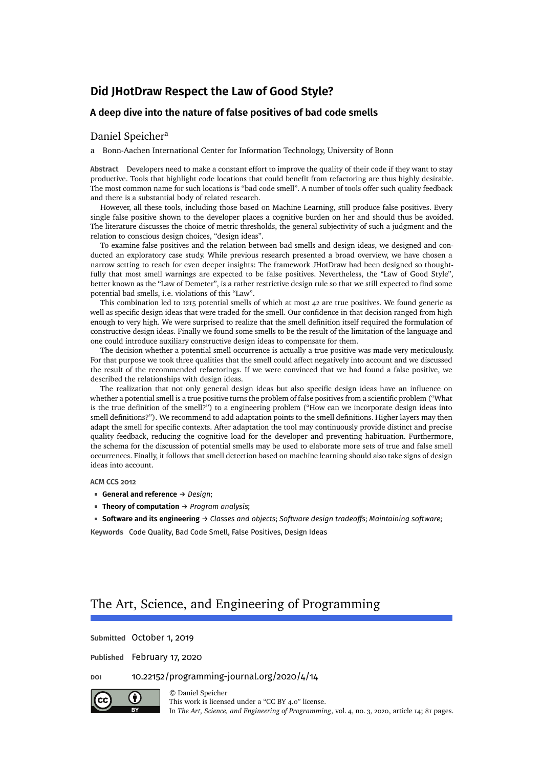### **A deep dive into the nature of false positives of bad code smells**

### [Daniel Speicher](#page-80-0)<sup>a</sup>

a Bonn-Aachen International Center for Information Technology, University of Bonn

**Abstract** Developers need to make a constant effort to improve the quality of their code if they want to stay productive. Tools that highlight code locations that could benefit from refactoring are thus highly desirable. The most common name for such locations is "bad code smell". A number of tools offer such quality feedback and there is a substantial body of related research.

However, all these tools, including those based on Machine Learning, still produce false positives. Every single false positive shown to the developer places a cognitive burden on her and should thus be avoided. The literature discusses the choice of metric thresholds, the general subjectivity of such a judgment and the relation to conscious design choices, "design ideas".

To examine false positives and the relation between bad smells and design ideas, we designed and conducted an exploratory case study. While previous research presented a broad overview, we have chosen a narrow setting to reach for even deeper insights: The framework JHotDraw had been designed so thoughtfully that most smell warnings are expected to be false positives. Nevertheless, the "Law of Good Style", better known as the "Law of Demeter", is a rather restrictive design rule so that we still expected to find some potential bad smells, i.e. violations of this "Law".

This combination led to 1215 potential smells of which at most 42 are true positives. We found generic as well as specific design ideas that were traded for the smell. Our confidence in that decision ranged from high enough to very high. We were surprised to realize that the smell definition itself required the formulation of constructive design ideas. Finally we found some smells to be the result of the limitation of the language and one could introduce auxiliary constructive design ideas to compensate for them.

The decision whether a potential smell occurrence is actually a true positive was made very meticulously. For that purpose we took three qualities that the smell could affect negatively into account and we discussed the result of the recommended refactorings. If we were convinced that we had found a false positive, we described the relationships with design ideas.

The realization that not only general design ideas but also specific design ideas have an influence on whether a potential smell is a true positive turns the problem of false positives from a scientific problem ("What is the true definition of the smell?") to a engineering problem ("How can we incorporate design ideas into smell definitions?"). We recommend to add adaptation points to the smell definitions. Higher layers may then adapt the smell for specific contexts. After adaptation the tool may continuously provide distinct and precise quality feedback, reducing the cognitive load for the developer and preventing habituation. Furthermore, the schema for the discussion of potential smells may be used to elaborate more sets of true and false smell occurrences. Finally, it follows that smell detection based on machine learning should also take signs of design ideas into account.

#### **ACM CCS 2012**

- **General and reference** → *Design*;
- **Theory of computation** → *Program analysis*;

**Software and its engineering** → *Classes and objects*; *Software design tradeoffs*; *Maintaining software*; **Keywords** Code Quality, Bad Code Smell, False Positives, Design Ideas

# The Art, Science, and Engineering of Programming

**Submitted** October 1, 2019

**Published** February 17, 2020

**doi** [10.22152/programming-journal.org/2020/4/14](https://doi.org/10.22152/programming-journal.org/2020/4/14)



© [Daniel Speicher](#page-80-0) This work is licensed undera ["CC BY 4.0"](https://creativecommons.org/licenses/by/4.0/deed.en) license. In *The Art, Science, and Engineering of Programming*, vol. 4, no. 3, 2020, article 14; [81](#page-80-1) pages.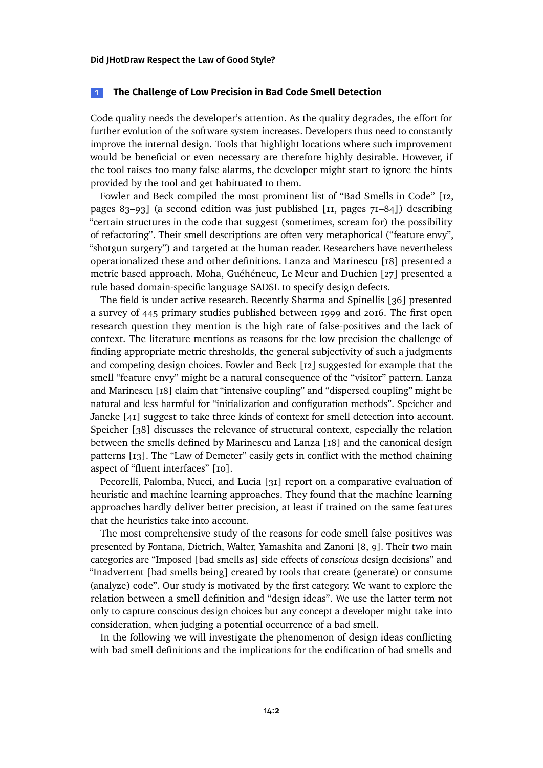### <span id="page-1-0"></span>**1 The Challenge of Low Precision in Bad Code Smell Detection**

Code quality needs the developer's attention. As the quality degrades, the effort for further evolution of the software system increases. Developers thus need to constantly improve the internal design. Tools that highlight locations where such improvement would be beneficial or even necessary are therefore highly desirable. However, if the tool raises too many false alarms, the developer might start to ignore the hints provided by the tool and get habituated to them.

Fowler and Beck compiled the most prominent list of "Bad Smells in Code" [\[12,](#page-29-0) pages 83–93] (a second edition was just published [\[11,](#page-28-0) pages 71–84]) describing "certain structures in the code that suggest (sometimes, scream for) the possibility of refactoring". Their smell descriptions are often very metaphorical ("feature envy", "shotgun surgery") and targeted at the human reader. Researchers have nevertheless operationalized these and other definitions. Lanza and Marinescu [\[18\]](#page-29-1) presented a metric based approach. Moha, Guéhéneuc, Le Meur and Duchien [\[27\]](#page-30-0) presented a rule based domain-specific language SADSL to specify design defects.

The field is under active research. Recently Sharma and Spinellis [\[36\]](#page-30-1) presented a survey of 445 primary studies published between 1999 and 2016. The first open research question they mention is the high rate of false-positives and the lack of context. The literature mentions as reasons for the low precision the challenge of finding appropriate metric thresholds, the general subjectivity of such a judgments and competing design choices. Fowler and Beck [\[12\]](#page-29-0) suggested for example that the smell "feature envy" might be a natural consequence of the "visitor" pattern. Lanza and Marinescu [\[18\]](#page-29-1) claim that "intensive coupling" and "dispersed coupling" might be natural and less harmful for "initialization and configuration methods". Speicher and Jancke [\[41\]](#page-31-0) suggest to take three kinds of context for smell detection into account. Speicher [\[38\]](#page-31-1) discusses the relevance of structural context, especially the relation between the smells defined by Marinescu and Lanza [\[18\]](#page-29-1) and the canonical design patterns [\[13\]](#page-29-2). The "Law of Demeter" easily gets in conflict with the method chaining aspect of "fluent interfaces" [\[10\]](#page-28-1).

Pecorelli, Palomba, Nucci, and Lucia [\[31\]](#page-30-2) report on a comparative evaluation of heuristic and machine learning approaches. They found that the machine learning approaches hardly deliver better precision, at least if trained on the same features that the heuristics take into account.

The most comprehensive study of the reasons for code smell false positives was presented by Fontana, Dietrich, Walter, Yamashita and Zanoni [\[8,](#page-28-2) [9\]](#page-28-3). Their two main categories are "Imposed [bad smells as] side effects of *conscious* design decisions" and "Inadvertent [bad smells being] created by tools that create (generate) or consume (analyze) code". Our study is motivated by the first category. We want to explore the relation between a smell definition and "design ideas". We use the latter term not only to capture conscious design choices but any concept a developer might take into consideration, when judging a potential occurrence of a bad smell.

In the following we will investigate the phenomenon of design ideas conflicting with bad smell definitions and the implications for the codification of bad smells and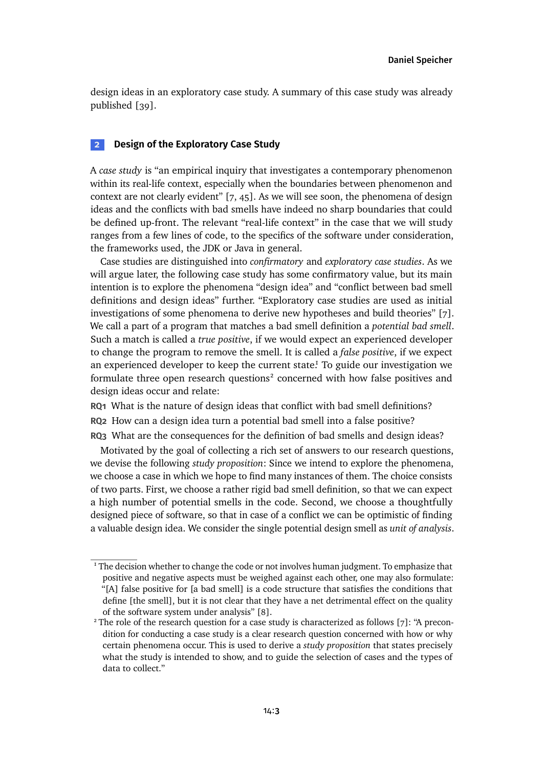design ideas in an exploratory case study. A summary of this case study was already published [\[39\]](#page-31-2).

# **2 Design of the Exploratory Case Study**

A *case study* is "an empirical inquiry that investigates a contemporary phenomenon within its real-life context, especially when the boundaries between phenomenon and context are not clearly evident" [\[7,](#page-28-4) [45\]](#page-31-3). As we will see soon, the phenomena of design ideas and the conflicts with bad smells have indeed no sharp boundaries that could be defined up-front. The relevant "real-life context" in the case that we will study ranges from a few lines of code, to the specifics of the software under consideration, the frameworks used, the JDK or Java in general.

Case studies are distinguished into *confirmatory* and *exploratory case studies*. As we will argue later, the following case study has some confirmatory value, but its main intention is to explore the phenomena "design idea" and "conflict between bad smell definitions and design ideas" further. "Exploratory case studies are used as initial investigations of some phenomena to derive new hypotheses and build theories" [\[7\]](#page-28-4). We call a part of a program that matches a bad smell definition a *potential bad smell*. Such a match is called a *true positive*, if we would expect an experienced developer to change the program to remove the smell. It is called a *false positive*, if we expect an experienced developer to keep the current stat[e.](#page-2-0)<sup>1</sup> To guide our investigation we formulate three open research questions<sup>[2](#page-2-1)</sup> concerned with how false positives and design ideas occur and relate:

**RQ1** What is the nature of design ideas that conflict with bad smell definitions? **RQ2** How can a design idea turn a potential bad smell into a false positive? **RQ3** What are the consequences for the definition of bad smells and design ideas?

Motivated by the goal of collecting a rich set of answers to our research questions, we devise the following *study proposition*: Since we intend to explore the phenomena, we choose a case in which we hope to find many instances of them. The choice consists of two parts. First, we choose a rather rigid bad smell definition, so that we can expect a high number of potential smells in the code. Second, we choose a thoughtfully designed piece of software, so that in case of a conflict we can be optimistic of finding a valuable design idea. We consider the single potential design smell as *unit of analysis*.

<span id="page-2-0"></span><sup>&</sup>lt;sup>1</sup> The decision whether to change the code or not involves human judgment. To emphasize that positive and negative aspects must be weighed against each other, one may also formulate: "[A] false positive for [a bad smell] is a code structure that satisfies the conditions that define [the smell], but it is not clear that they have a net detrimental effect on the quality of the software system under analysis" [\[8\]](#page-28-2).

<span id="page-2-1"></span> $2$  The role of the research question for a case study is characterized as follows [\[7\]](#page-28-4): "A precondition for conducting a case study is a clear research question concerned with how or why certain phenomena occur. This is used to derive a *study proposition* that states precisely what the study is intended to show, and to guide the selection of cases and the types of data to collect."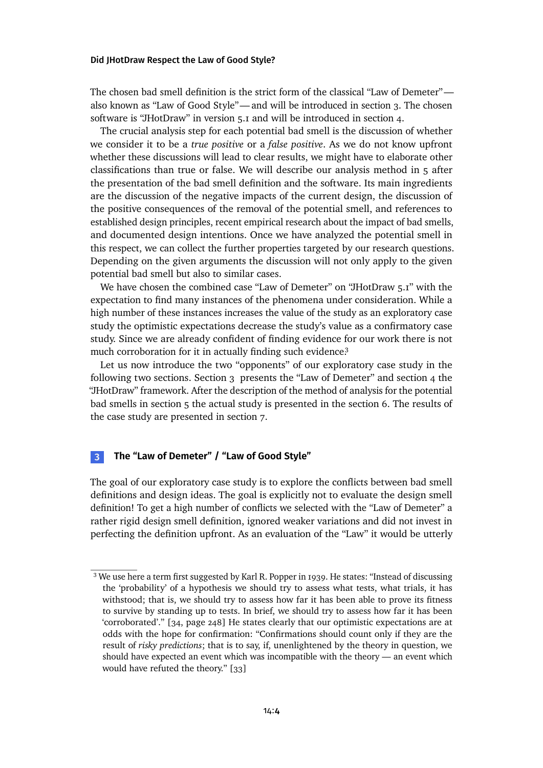The chosen bad smell definition is the strict form of the classical "Law of Demeter" also known as "Law of Good Style"— and will be introducedin [section 3.](#page-3-0) The chosen software is "JHotDraw" in version 5.1 and will be introduced in [section 4.](#page-7-0)

The crucial analysis step for each potential bad smell is the discussion of whether we consider it to be a *true positive* or a *false positive*. As we do not know upfront whether these discussions will lead to clear results, we might have to elaborate other classifications than true or false. We will describe our analysis method in [5](#page-8-0) after the presentation of the bad smell definition and the software. Its main ingredients are the discussion of the negative impacts of the current design, the discussion of the positive consequences of the removal of the potential smell, and references to established design principles, recent empirical research about the impact of bad smells, and documented design intentions. Once we have analyzed the potential smell in this respect, we can collect the further properties targeted by our research questions. Depending on the given arguments the discussion will not only apply to the given potential bad smell but also to similar cases.

We have chosen the combined case "Law of Demeter" on "JHotDraw 5.1" with the expectation to find many instances of the phenomena under consideration. While a high number of these instances increases the value of the study as an exploratory case study the optimistic expectations decrease the study's value as a confirmatory case study. Since we are already confident of finding evidence for our work there is not much corroboration for it in actually finding such evidenc[e.](#page-3-1)<sup>3</sup>

Let us now introduce the two "opponents" of our exploratory case study in the following two sections. [Section 3](#page-3-0) presents the "Law of Demeter" and [section 4](#page-7-0) the "JHotDraw" framework. After the description of the method of analysis for the potential bad smells in [section 5](#page-8-0) the actual study is presented in the [section 6.](#page-10-0) The results of the case study are presented in [section 7.](#page-20-0)

# <span id="page-3-0"></span>**3 The "Law of Demeter" / "Law of Good Style"**

The goal of our exploratory case study is to explore the conflicts between bad smell definitions and design ideas. The goal is explicitly not to evaluate the design smell definition! To get a high number of conflicts we selected with the "Law of Demeter" a rather rigid design smell definition, ignored weaker variations and did not invest in perfecting the definition upfront. As an evaluation of the "Law" it would be utterly

<span id="page-3-1"></span><sup>&</sup>lt;sup>3</sup> We use here a term first suggested by Karl R. Popper in 1939. He states: "Instead of discussing the 'probability' of a hypothesis we should try to assess what tests, what trials, it has withstood; that is, we should try to assess how far it has been able to prove its fitness to survive by standing up to tests. In brief, we should try to assess how far it has been 'corroborated'." [\[34,](#page-30-3) page 248] He states clearly that our optimistic expectations are at odds with the hope for confirmation: "Confirmations should count only if they are the result of *risky predictions*; that is to say, if, unenlightened by the theory in question, we should have expected an event which was incompatible with the theory — an event which would have refuted the theory." [\[33\]](#page-30-4)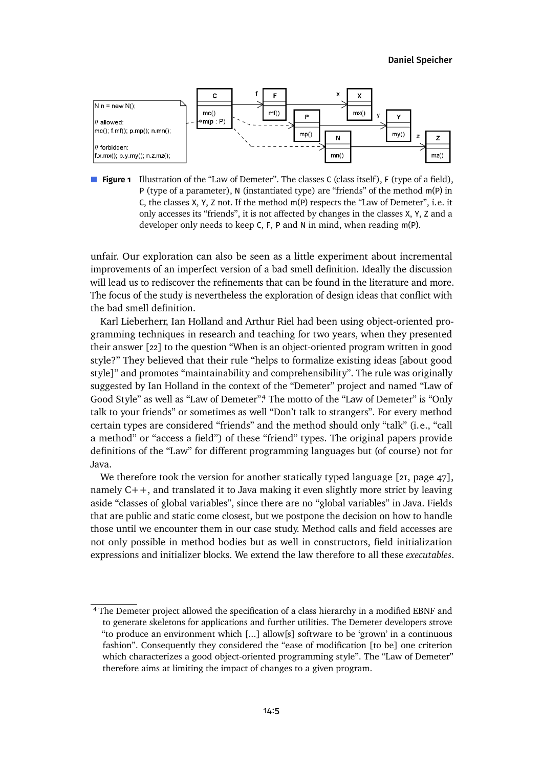

**Figure 1** Illustration of the "Law of Demeter". The classes C (class itself), F (type of a field), P (type of a parameter), N (instantiated type) are "friends" of the method m(P) in C, the classes X, Y, Z not. If the method m(P) respects the "Law of Demeter", i.e. it only accesses its "friends", it is not affected by changes in the classes X, Y, Z and a developer only needs to keep C, F, P and N in mind, when reading m(P).

unfair. Our exploration can also be seen as a little experiment about incremental improvements of an imperfect version of a bad smell definition. Ideally the discussion will lead us to rediscover the refinements that can be found in the literature and more. The focus of the study is nevertheless the exploration of design ideas that conflict with the bad smell definition.

Karl Lieberherr, Ian Holland and Arthur Riel had been using object-oriented programming techniques in research and teaching for two years, when they presented their answer [\[22\]](#page-29-3) to the question "When is an object-oriented program written in good style?" They believed that their rule "helps to formalize existing ideas [about good style]" and promotes "maintainability and comprehensibility". The rule was originally suggested by Ian Holland in the context of the "Demeter" project and named "Law of Good Style" as well as "Law of Demeter[".](#page-4-0)<sup>4</sup> The motto of the "Law of Demeter" is "Only talk to your friends" or sometimes as well "Don't talk to strangers". For every method certain types are considered "friends" and the method should only "talk" (i.e., "call a method" or "access a field") of these "friend" types. The original papers provide definitions of the "Law" for different programming languages but (of course) not for Java.

We therefore took the version for another statically typed language [\[21,](#page-29-4) page 47], namely C++, and translated it to Java making it even slightly more strict by leaving aside "classes of global variables", since there are no "global variables" in Java. Fields that are public and static come closest, but we postpone the decision on how to handle those until we encounter them in our case study. Method calls and field accesses are not only possible in method bodies but as well in constructors, field initialization expressions and initializer blocks. We extend the law therefore to all these *executables*.

<span id="page-4-0"></span><sup>4</sup> The Demeter project allowed the specification of a class hierarchy in a modified EBNF and to generate skeletons for applications and further utilities. The Demeter developers strove "to produce an environment which [...] allow[s] software to be 'grown' in a continuous fashion". Consequently they considered the "ease of modification [to be] one criterion which characterizes a good object-oriented programming style". The "Law of Demeter" therefore aims at limiting the impact of changes to a given program.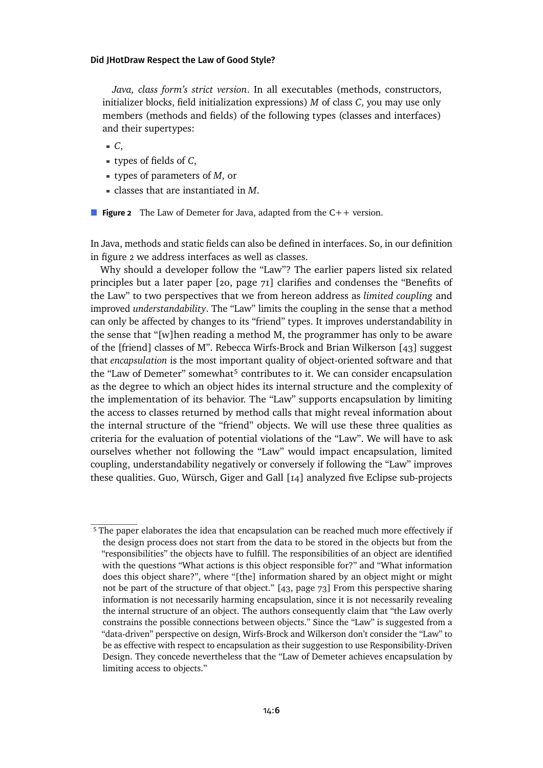<span id="page-5-0"></span>*Java, class form's strict version*. In all executables (methods, constructors, initializer blocks, field initialization expressions) *M* of class *C*, you may use only members (methods and fields) of the following types (classes and interfaces) and their supertypes:

*C*,

- types of fields of *C*,
- types of parameters of *M*, or
- classes that are instantiated in *M*.

■ **Figure 2** The Law of Demeter for Java, adapted from the C++ version.

In Java, methods and static fields can also be defined in interfaces. So, in our definition in [figure 2](#page-5-0) we address interfaces as well as classes.

Why should a developer follow the "Law"? The earlier papers listed six related principles but a later paper [\[20,](#page-29-5) page 71] clarifies and condenses the "Benefits of the Law" to two perspectives that we from hereon address as *limited coupling* and improved *understandability*. The "Law" limits the coupling in the sense that a method can only be affected by changes to its "friend" types. It improves understandability in the sense that "[w]hen reading a method M, the programmer has only to be aware of the [friend] classes of M". Rebecca Wirfs-Brock and Brian Wilkerson [\[43\]](#page-31-4) suggest that *encapsulation* is the most important quality of object-oriented software and that the "Law of Demeter" somewhat<sup>[5](#page-5-1)</sup> contributes to it. We can consider encapsulation as the degree to which an object hides its internal structure and the complexity of the implementation of its behavior. The "Law" supports encapsulation by limiting the access to classes returned by method calls that might reveal information about the internal structure of the "friend" objects. We will use these three qualities as criteria for the evaluation of potential violations of the "Law". We will have to ask ourselves whether not following the "Law" would impact encapsulation, limited coupling, understandability negatively or conversely if following the "Law" improves these qualities. Guo, Würsch, Giger and Gall [\[14\]](#page-29-6) analyzed five Eclipse sub-projects

<span id="page-5-1"></span><sup>&</sup>lt;sup>5</sup> The paper elaborates the idea that encapsulation can be reached much more effectively if the design process does not start from the data to be stored in the objects but from the "responsibilities" the objects have to fulfill. The responsibilities of an object are identified with the questions "What actions is this object responsible for?" and "What information does this object share?", where "[the] information shared by an object might or might not be part of the structure of that object." [\[43,](#page-31-4) page 73] From this perspective sharing information is not necessarily harming encapsulation, since it is not necessarily revealing the internal structure of an object. The authors consequently claim that "the Law overly constrains the possible connections between objects." Since the "Law" is suggested from a "data-driven" perspective on design, Wirfs-Brock and Wilkerson don't consider the "Law" to be as effective with respect to encapsulation as their suggestion to use Responsibility-Driven Design. They concede nevertheless that the "Law of Demeter achieves encapsulation by limiting access to objects."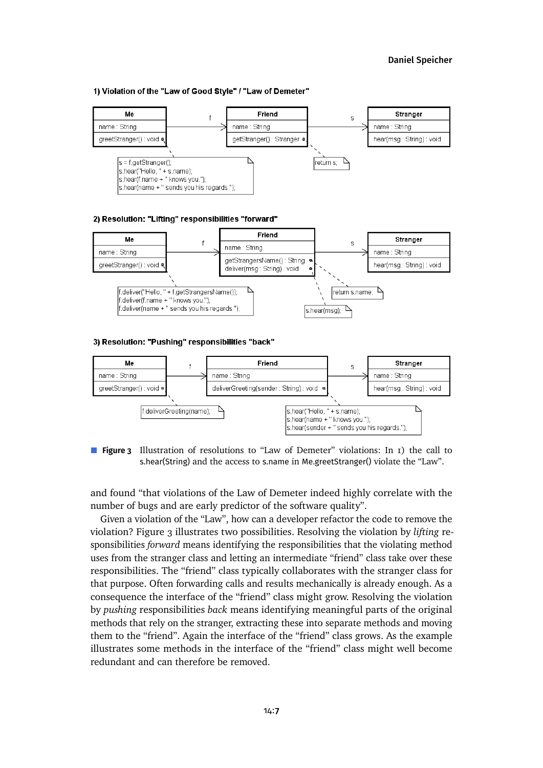### [Daniel Speicher](#page-80-0)

#### <span id="page-6-0"></span>1) Violation of the "Law of Good Style" / "Law of Demeter"



#### 2) Resolution: "Lifting" responsibilities "forward"



#### 3) Resolution: "Pushing" responsibilities "back"





and found "that violations of the Law of Demeter indeed highly correlate with the number of bugs and are early predictor of the software quality".

Given a violation of the "Law", how can a developer refactor the code to remove the violation? [Figure 3](#page-6-0) illustrates two possibilities. Resolving the violation by *lifting* responsibilities *forward* means identifying the responsibilities that the violating method uses from the stranger class and letting an intermediate "friend" class take over these responsibilities. The "friend" class typically collaborates with the stranger class for that purpose. Often forwarding calls and results mechanically is already enough. As a consequence the interface of the "friend" class might grow. Resolving the violation by *pushing* responsibilities *back* means identifying meaningful parts of the original methods that rely on the stranger, extracting these into separate methods and moving them to the "friend". Again the interface of the "friend" class grows. As the example illustrates some methods in the interface of the "friend" class might well become redundant and can therefore be removed.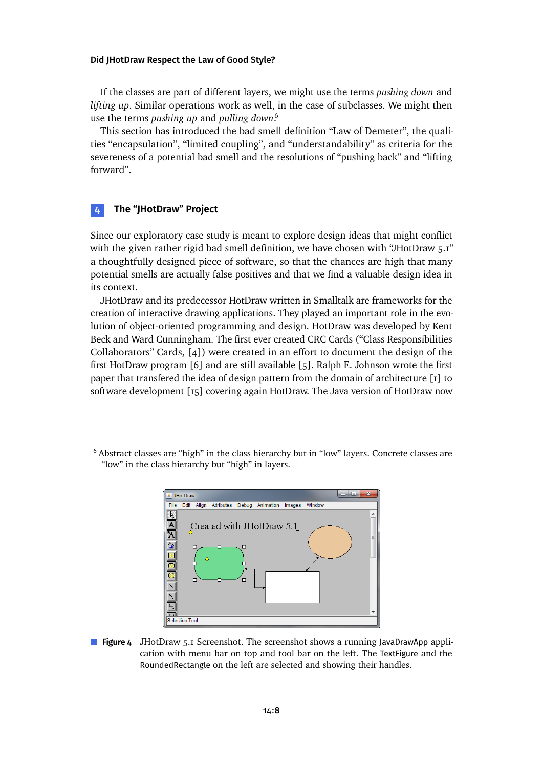If the classes are part of different layers, we might use the terms *pushing down* and *lifting up*. Similar operations work as well, in the case of subclasses. We might then use the terms *pushing up* and *pulling down*. [6](#page-7-1)

This section has introduced the bad smell definition "Law of Demeter", the qualities "encapsulation", "limited coupling", and "understandability" as criteria for the severeness of a potential bad smell and the resolutions of "pushing back" and "lifting forward".

# <span id="page-7-0"></span>**4 The "JHotDraw" Project**

Since our exploratory case study is meant to explore design ideas that might conflict with the given rather rigid bad smell definition, we have chosen with "JHotDraw 5.1" a thoughtfully designed piece of software, so that the chances are high that many potential smells are actually false positives and that we find a valuable design idea in its context.

JHotDraw and its predecessor HotDraw written in Smalltalk are frameworks for the creation of interactive drawing applications. They played an important role in the evolution of object-oriented programming and design. HotDraw was developed by Kent Beck and Ward Cunningham. The first ever created CRC Cards ("Class Responsibilities Collaborators" Cards, [\[4\]](#page-28-5)) were created in an effort to document the design of the first HotDraw program [\[6\]](#page-28-6) and are still available [\[5\]](#page-28-7). Ralph E. Johnson wrote the first paper that transfered the idea of design pattern from the domain of architecture [\[1\]](#page-28-8) to software development [\[15\]](#page-29-7) covering again HotDraw. The Java version of HotDraw now

<span id="page-7-2"></span><span id="page-7-1"></span><sup>6</sup> Abstract classes are "high" in the class hierarchy but in "low" layers. Concrete classes are "low" in the class hierarchy but "high" in layers.



**Figure 4** JHotDraw 5.1 Screenshot. The screenshot shows a running JavaDrawApp application with menu bar on top and tool bar on the left. The TextFigure and the RoundedRectangle on the left are selected and showing their handles.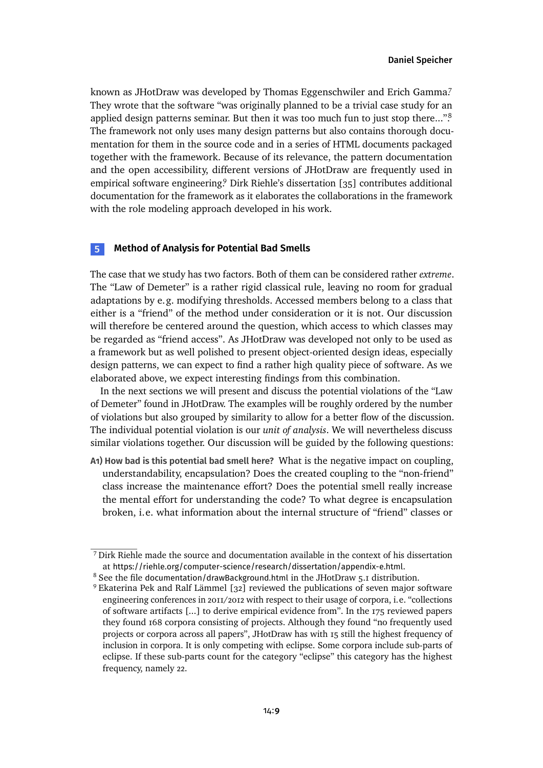known as JHotDraw was developed by Thomas Eggenschwiler and Erich Gamma? They wrote that the software "was originally planned to be a trivial case study for an applied design patterns seminar. But then it was too much fun to just stop there..."<sup>8</sup> The framework not only uses many design patterns but also contains thorough documentation for them in the source code and in a series of HTML documents packaged together with the framework. Because of its relevance, the pattern documentation and the open accessibility, different versions of JHotDraw are frequently used in empirical software engineering? Dirk Riehle's dissertation [\[35\]](#page-30-5) contributes additional documentation for the framework as it elaborates the collaborations in the framework with the role modeling approach developed in his work.

## <span id="page-8-0"></span>**5 Method of Analysis for Potential Bad Smells**

The case that we study has two factors. Both of them can be considered rather *extreme*. The "Law of Demeter" is a rather rigid classical rule, leaving no room for gradual adaptations by e.g. modifying thresholds. Accessed members belong to a class that either is a "friend" of the method under consideration or it is not. Our discussion will therefore be centered around the question, which access to which classes may be regarded as "friend access". As JHotDraw was developed not only to be used as a framework but as well polished to present object-oriented design ideas, especially design patterns, we can expect to find a rather high quality piece of software. As we elaborated above, we expect interesting findings from this combination.

In the next sections we will present and discuss the potential violations of the "Law of Demeter" found in JHotDraw. The examples will be roughly ordered by the number of violations but also grouped by similarity to allow for a better flow of the discussion. The individual potential violation is our *unit of analysis*. We will nevertheless discuss similar violations together. Our discussion will be guided by the following questions:

<span id="page-8-4"></span>**A1) How bad is this potential bad smell here?** What is the negative impact on coupling, understandability, encapsulation? Does the created coupling to the "non-friend" class increase the maintenance effort? Does the potential smell really increase the mental effort for understanding the code? To what degree is encapsulation broken, i.e. what information about the internal structure of "friend" classes or

<span id="page-8-1"></span><sup>7</sup> Dirk Riehle made the source and documentation available in the context of his dissertation at <https://riehle.org/computer-science/research/dissertation/appendix-e.html>.

<span id="page-8-2"></span><sup>&</sup>lt;sup>8</sup> See the file documentation/drawBackground.html in the JHotDraw 5.1 distribution.

<span id="page-8-3"></span><sup>9</sup> Ekaterina Pek and Ralf Lämmel [\[32\]](#page-30-6) reviewed the publications of seven major software engineering conferences in 2011/2012 with respect to their usage of corpora, i.e. "collections of software artifacts [...] to derive empirical evidence from". In the 175 reviewed papers they found 168 corpora consisting of projects. Although they found "no frequently used projects or corpora across all papers", JHotDraw has with 15 still the highest frequency of inclusion in corpora. It is only competing with eclipse. Some corpora include sub-parts of eclipse. If these sub-parts count for the category "eclipse" this category has the highest frequency, namely 22.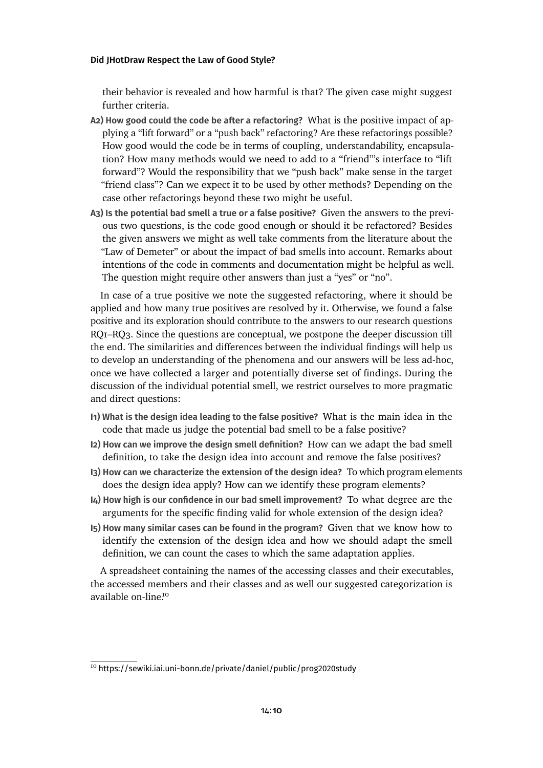their behavior is revealed and how harmful is that? The given case might suggest further criteria.

- <span id="page-9-4"></span>**A2) How good could the code be after a refactoring?** What is the positive impact of applying a "lift forward" or a "push back" refactoring? Are these refactorings possible? How good would the code be in terms of coupling, understandability, encapsulation? How many methods would we need to add to a "friend"'s interface to "lift forward"? Would the responsibility that we "push back" make sense in the target "friend class"? Can we expect it to be used by other methods? Depending on the case other refactorings beyond these two might be useful.
- <span id="page-9-1"></span>**A3) Is the potential bad smell a true or a false positive?** Given the answers to the previous two questions, is the code good enough or should it be refactored? Besides the given answers we might as well take comments from the literature about the "Law of Demeter" or about the impact of bad smells into account. Remarks about intentions of the code in comments and documentation might be helpful as well. The question might require other answers than just a "yes" or "no".

In case of a true positive we note the suggested refactoring, where it should be applied and how many true positives are resolved by it. Otherwise, we found a false positive and its exploration should contribute to the answers to our research questions RQ1–RQ3. Since the questions are conceptual, we postpone the deeper discussion till the end. The similarities and differences between the individual findings will help us to develop an understanding of the phenomena and our answers will be less ad-hoc, once we have collected a larger and potentially diverse set of findings. During the discussion of the individual potential smell, we restrict ourselves to more pragmatic and direct questions:

- <span id="page-9-2"></span>**I1) What is the design idea leading to the false positive?** What is the main idea in the code that made us judge the potential bad smell to be a false positive?
- <span id="page-9-5"></span>**I2) How can we improve the design smell definition?** How can we adapt the bad smell definition, to take the design idea into account and remove the false positives?
- <span id="page-9-6"></span>**I3) How can we characterize the extension of the design idea?** To which program elements does the design idea apply? How can we identify these program elements?
- <span id="page-9-7"></span>**I4) How high is our confidence in our bad smell improvement?** To what degree are the arguments for the specific finding valid for whole extension of the design idea?
- <span id="page-9-3"></span>**I5) How many similar cases can be found in the program?** Given that we know how to identify the extension of the design idea and how we should adapt the smell definition, we can count the cases to which the same adaptation applies.

A spreadsheet containing the names of the accessing classes and their executables, the accessed members and their classes and as well our suggested categorization is available on-line<sup>[10](#page-9-0)</sup>

<span id="page-9-0"></span><sup>10</sup> <https://sewiki.iai.uni-bonn.de/private/daniel/public/prog2020study>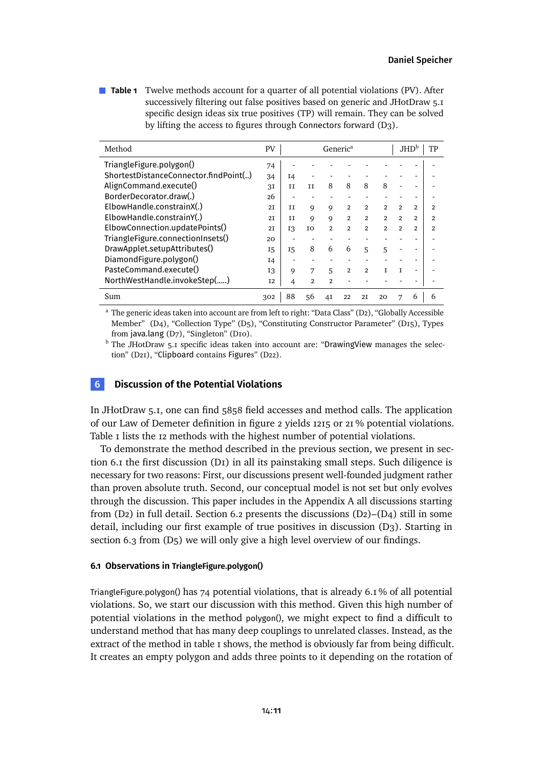<span id="page-10-1"></span>**Table 1** Twelve methods account for a quarter of all potential violations (PV). After successively filtering out false positives based on generic and JHotDraw 5.1 specific design ideas six true positives (TP) will remain. They can be solved by lifting the access to figures through Connectors forward [\(D3\).](#page-37-0)

| Method                                | PV             |           | Generic <sup>a</sup> |                |                |                | JHD <sup>b</sup><br>TР |                |                |                |
|---------------------------------------|----------------|-----------|----------------------|----------------|----------------|----------------|------------------------|----------------|----------------|----------------|
| TriangleFigure.polygon()              | 74             |           |                      |                |                |                |                        |                |                |                |
| ShortestDistanceConnector.findPoint() | 34             | I4        |                      |                |                |                |                        |                |                |                |
| AlignCommand.execute()                | 3I             | Π         | Π                    | 8              | 8              | 8              | 8                      |                |                |                |
| BorderDecorator.draw(.)               | 26             |           |                      |                |                |                |                        |                |                |                |
| ElbowHandle.constrainX(.)             | 2 <sub>T</sub> | Π         | 9                    | 9              | $\overline{2}$ | $\overline{2}$ | $\mathfrak{p}$         | $\overline{2}$ | 2              | 2              |
| ElbowHandle.constrainY(.)             | 2 <sub>T</sub> | Π         | 9                    | 9              | $\overline{2}$ | $\overline{2}$ | $\overline{2}$         | $\overline{2}$ | $\overline{2}$ | $\overline{2}$ |
| ElbowConnection.updatePoints()        | 2 <sub>T</sub> | 13        | IO                   | $\overline{2}$ | $\overline{2}$ | $\overline{2}$ | $\overline{2}$         | $\mathfrak{p}$ | $\overline{2}$ | 2              |
| TriangleFigure.connectionInsets()     | 20             |           |                      |                |                |                |                        |                |                |                |
| DrawApplet.setupAttributes()          | <b>I5</b>      | <b>I5</b> | 8                    | 6              | 6              | 5              | 5                      |                |                |                |
| DiamondFigure.polygon()               | I4             |           |                      |                |                |                |                        |                |                |                |
| PasteCommand.execute()                | 13             | 9         | 7                    | 5              | $\overline{2}$ | $\overline{2}$ | T                      | T              |                |                |
| NorthWestHandle.invokeStep()          | <b>I2</b>      | 4         | $\overline{2}$       | $\mathfrak{p}$ |                |                |                        |                |                |                |
| Sum                                   | 302            | 88        | 56                   | 4I             | 22             | 2 <sub>T</sub> | 20                     | 7              | 6              | 6              |

<sup>a</sup> The generic ideas taken into account are from left to right: "Data Class" [\(D2\),](#page-35-0) "Globally Accessible Member" [\(D4\),](#page-38-0) "Collection Type" [\(D5\),](#page-40-0) "Constituting Constructor Parameter" [\(D15\),](#page-56-0) Types from java.lang [\(D7\),](#page-44-0) "Singleton" [\(D10\).](#page-46-0)

 $<sup>b</sup>$  The JHotDraw 5.1 specific ideas taken into account are: "DrawingView manages the selec-</sup> tion" [\(D21\),](#page-64-0) "Clipboard contains Figures" [\(D22\).](#page-66-0)

# <span id="page-10-0"></span>**6 Discussion of the Potential Violations**

In JHotDraw 5.1, one can find 5858 field accesses and method calls. The application of our Law of Demeter definition in [figure 2](#page-5-0) yields 1215 or 21 % potential violations. Table I lists the 12 methods with the highest number of potential violations.

To demonstrate the method described in the previous section, we present in [sec](#page-10-2)[tion 6.1](#page-10-2) the first discussion [\(D1\)](#page-11-0) in all its painstaking small steps. Such diligence is necessary for two reasons: First, our discussions present well-founded judgment rather than proven absolute truth. Second, our conceptual model is not set but only evolves through the discussion. This paper includes in the Appendix [A](#page-31-5) all discussions starting from  $(D_2)$  in full detail. [Section 6.2](#page-13-0) presents the discussions  $(D_2)$ – $(D_4)$  still in some detail, including our first example of true positives in discussion [\(D3\).](#page-14-0) Starting in [section 6.3](#page-15-1) from [\(D5\)](#page-40-0) we will only give a high level overview of our findings.

### <span id="page-10-2"></span>**6.1 Observations in TriangleFigure.polygon()**

TriangleFigure.polygon() has 74 potential violations, that is already 6.1 % of all potential violations. So, we start our discussion with this method. Given this high number of potential violations in the method polygon(), we might expect to find a difficult to understand method that has many deep couplings to unrelated classes. Instead, as the extract of the methodin [table 1](#page-11-1) shows, the method is obviously far from being difficult. It creates an empty polygon and adds three points to it depending on the rotation of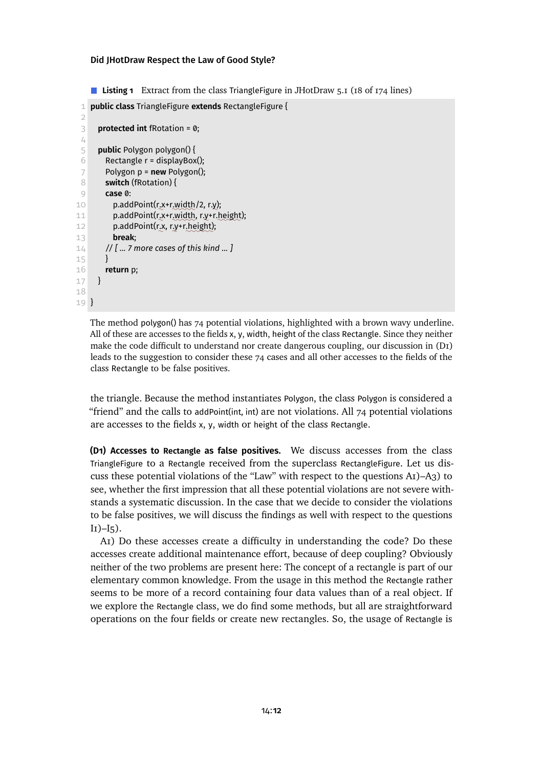<span id="page-11-1"></span>■ **Listing 1** Extract from the class TriangleFigure in JHotDraw 5.1 (18 of 174 lines)

```
1 public class TriangleFigure extends RectangleFigure {
 2
 3 protected int fRotation = 0;
 4
 5 public Polygon polygon() {
 6 Rectangle r = displayBox();
 7 Polygon p = new Polygon();
 8 switch (fRotation) {
 9 case 0:
10 p.addPoint(r.x+r.width/2, r.y);11 p.addPoint(r.x+r.width, r.y+r.height);
12 p.addPoint(r.x, r.y+r.height);
13 break;
14 // [ ... 7 more cases of this kind ... ]
15 }
16 return p;
17 }
18
19 }
```
The method polygon() has 74 potential violations, highlighted with a brown wavy underline. All of these are accesses to the fields x, y, width, height of the class Rectangle. Since they neither make the code difficult to understand nor create dangerous coupling, our discussion in [\(D1\)](#page-11-0) leads to the suggestion to consider these 74 cases and all other accesses to the fields of the class Rectangle to be false positives.

the triangle. Because the method instantiates Polygon, the class Polygon is considered a "friend" and the calls to addPoint(int, int) are not violations. All  $74$  potential violations are accesses to the fields x, y, width or height of the class Rectangle.

<span id="page-11-0"></span>**(D1) Accesses to Rectangle as false positives.** We discuss accesses from the class TriangleFigure to a Rectangle received from the superclass RectangleFigure. Let us discuss these potential violations of the "Law" with respect to the questions [A1\)](#page-8-4)[–A3\)](#page-9-1) to see, whether the first impression that all these potential violations are not severe withstands a systematic discussion. In the case that we decide to consider the violations to be false positives, we will discuss the findings as well with respect to the questions  $I_{I}$ )– $I_{5}$ ).

[A1\)](#page-8-4) Do these accesses create a difficulty in understanding the code? Do these accesses create additional maintenance effort, because of deep coupling? Obviously neither of the two problems are present here: The concept of a rectangle is part of our elementary common knowledge. From the usage in this method the Rectangle rather seems to be more of a record containing four data values than of a real object. If we explore the Rectangle class, we do find some methods, but all are straightforward operations on the four fields or create new rectangles. So, the usage of Rectangle is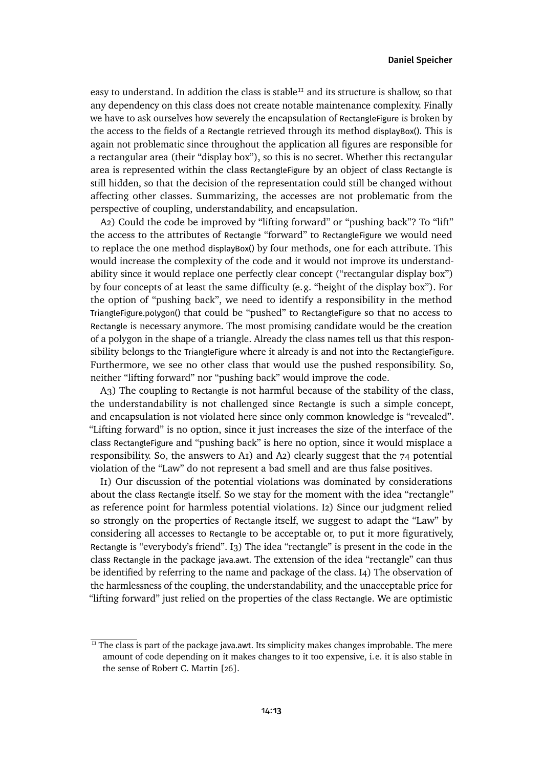easy to understand. In addition the class is stable<sup>[11](#page-12-0)</sup> and its structure is shallow, so that any dependency on this class does not create notable maintenance complexity. Finally we have to ask ourselves how severely the encapsulation of RectangleFigure is broken by the access to the fields of a Rectangle retrieved through its method displayBox(). This is again not problematic since throughout the application all figures are responsible for a rectangular area (their "display box"), so this is no secret. Whether this rectangular area is represented within the class RectangleFigure by an object of class Rectangle is still hidden, so that the decision of the representation could still be changed without affecting other classes. Summarizing, the accesses are not problematic from the perspective of coupling, understandability, and encapsulation.

[A2\)](#page-9-4) Could the code be improved by "lifting forward" or "pushing back"? To "lift" the access to the attributes of Rectangle "forward" to RectangleFigure we would need to replace the one method displayBox() by four methods, one for each attribute. This would increase the complexity of the code and it would not improve its understandability since it would replace one perfectly clear concept ("rectangular display box") by four concepts of at least the same difficulty (e.g. "height of the display box"). For the option of "pushing back", we need to identify a responsibility in the method TriangleFigure.polygon() that could be "pushed" to RectangleFigure so that no access to Rectangle is necessary anymore. The most promising candidate would be the creation of a polygon in the shape of a triangle. Already the class names tell us that this responsibility belongs to the TriangleFigure where it already is and not into the RectangleFigure. Furthermore, we see no other class that would use the pushed responsibility. So, neither "lifting forward" nor "pushing back" would improve the code.

[A3\)](#page-9-1) The coupling to Rectangle is not harmful because of the stability of the class, the understandability is not challenged since Rectangle is such a simple concept, and encapsulation is not violated here since only common knowledge is "revealed". "Lifting forward" is no option, since it just increases the size of the interface of the class RectangleFigure and "pushing back" is here no option, since it would misplace a responsibility. So, the answers to A $_1$ ) and A $_2$ ) clearly suggest that the  $74$  potential violation of the "Law" do not represent a bad smell and are thus false positives.

[I1\)](#page-9-2) Our discussion of the potential violations was dominated by considerations about the class Rectangle itself. So we stay for the moment with the idea "rectangle" as reference point for harmless potential violations. [I2\)](#page-9-5) Since our judgment relied so strongly on the properties of Rectangle itself, we suggest to adapt the "Law" by considering all accesses to Rectangle to be acceptable or, to put it more figuratively, Rectangle is "everybody's friend". [I3\)](#page-9-6) The idea "rectangle" is present in the code in the class Rectangle in the package java.awt. The extension of the idea "rectangle" can thus be identified by referring to the name and package of the class. [I4\)](#page-9-7) The observation of the harmlessness of the coupling, the understandability, and the unacceptable price for "lifting forward" just relied on the properties of the class Rectangle. We are optimistic

<span id="page-12-0"></span> $<sup>II</sup>$  The class is part of the package java.awt. Its simplicity makes changes improbable. The mere</sup> amount of code depending on it makes changes to it too expensive, i.e. it is also stable in the sense of Robert C. Martin [\[26\]](#page-30-7).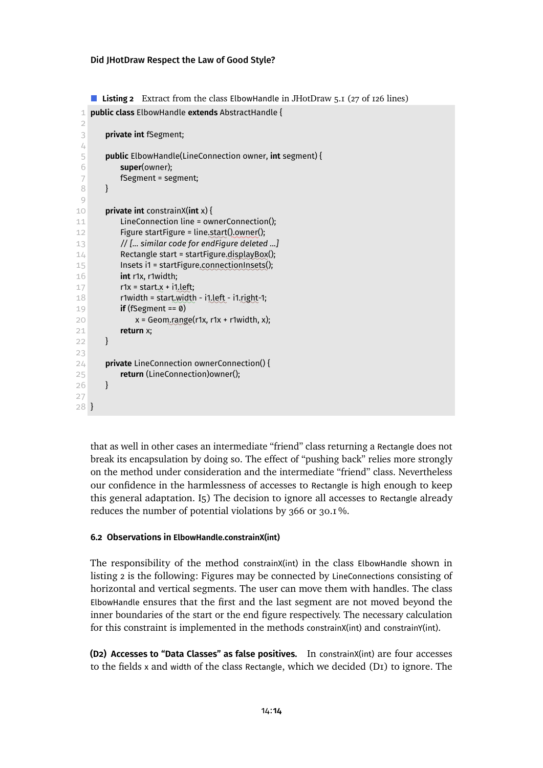<span id="page-13-2"></span>■ **Listing 2** Extract from the class ElbowHandle in JHotDraw 5.1 (27 of 126 lines)

```
1 public class ElbowHandle extends AbstractHandle {
 2
 3 private int fSegment;
 4
 5 public ElbowHandle(LineConnection owner, int segment) {
 6 super(owner);
 7 fSegment = segment;
 8 }
9
10 private int constrainX(int x) {
11 LineConnection line = ownerConnection();
12 Figure startFigure = line.start().owner();
13 // [... similar code for endFigure deleted ...]
14 Rectangle start = startFigure.displayBox();
15 Insets i1 = startFigure.connectionInsets();
16 int r1x, r1width;
17 r1x = start.x + i1, left;
18 r1width = start width - i1 left - i1 right-1;
19 if (fSegment == 0)
20 x = Geom.range(r1x, r1x + r1width, x);
21 return x;
22 }
23
24 private LineConnection ownerConnection() {
25 return (LineConnection)owner();
26 }
27
28 }
```
that as well in other cases an intermediate "friend" class returning a Rectangle does not break its encapsulation by doing so. The effect of "pushing back" relies more strongly on the method under consideration and the intermediate "friend" class. Nevertheless our confidence in the harmlessness of accesses to Rectangle is high enough to keep this general adaptation. [I5\)](#page-9-3) The decision to ignore all accesses to Rectangle already reduces the number of potential violations by 366 or 30.1 %.

### <span id="page-13-0"></span>**6.2 Observations in ElbowHandle.constrainX(int)**

The responsibility of the method constrainX(int) in the class ElbowHandle shown in [listing 2](#page-13-2) is the following: Figures may be connected by LineConnections consisting of horizontal and vertical segments. The user can move them with handles. The class ElbowHandle ensures that the first and the last segment are not moved beyond the inner boundaries of the start or the end figure respectively. The necessary calculation for this constraint is implemented in the methods constrainX(int) and constrainY(int).

<span id="page-13-1"></span>**(D2) Accesses to "Data Classes" as false positives.** In constrainX(int) are four accesses to the fields x and width of the class Rectangle, which we decided  $(DI)$  to ignore. The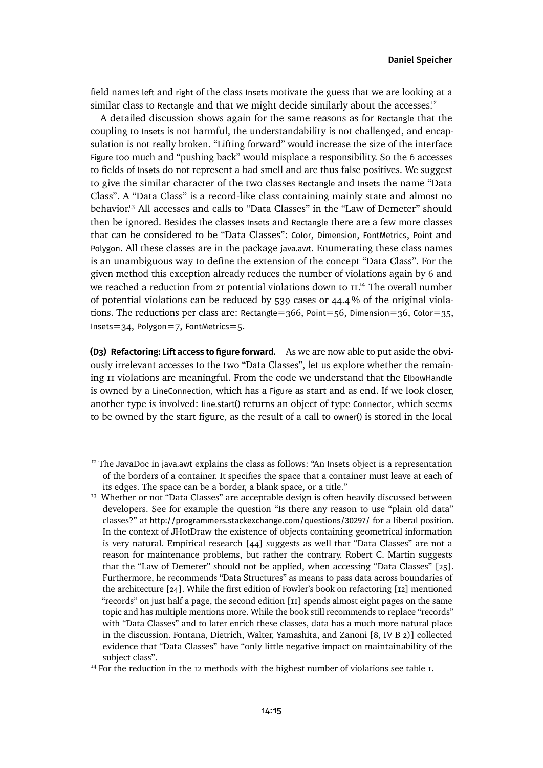field names left and right of the class Insets motivate the guess that we are looking at a similar class to Rectangle and that we might decide similarly about the accesses. $I<sup>2</sup>$ 

A detailed discussion shows again for the same reasons as for Rectangle that the coupling to Insets is not harmful, the understandability is not challenged, and encapsulation is not really broken. "Lifting forward" would increase the size of the interface Figure too much and "pushing back" would misplace a responsibility. So the 6 accesses to fields of Insets do not represent a bad smell and are thus false positives. We suggest to give the similar character of the two classes Rectangle and Insets the name "Data Class". A "Data Class" is a record-like class containing mainly state and almost no behavior<sup>[13](#page-14-2)</sup> All accesses and calls to "Data Classes" in the "Law of Demeter" should then be ignored. Besides the classes Insets and Rectangle there are a few more classes that can be considered to be "Data Classes": Color, Dimension, FontMetrics, Point and Polygon. All these classes are in the package java.awt. Enumerating these class names is an unambiguous way to define the extension of the concept "Data Class". For the given method this exception already reduces the number of violations again by 6 and we reached a reduction from 21 potential violations down to  $II<sup>14</sup>$  $II<sup>14</sup>$  $II<sup>14</sup>$  The overall number of potential violations can be reduced by 539 cases or 44.4 % of the original violations. The reductions per class are: Rectangle=366, Point=56, Dimension=36, Color=35, Insets=34, Polygon=7, FontMetrics=5.

<span id="page-14-0"></span>**(D3) Refactoring: Lift access to figure forward.** As we are now able to put aside the obviously irrelevant accesses to the two "Data Classes", let us explore whether the remaining 11 violations are meaningful. From the code we understand that the ElbowHandle is owned by a LineConnection, which has a Figure as start and as end. If we look closer, another type is involved: line.start() returns an object of type Connector, which seems to be owned by the start figure, as the result of a call to owner() is stored in the local

<span id="page-14-1"></span> $12$ <sup>12</sup> The JavaDoc in java.awt explains the class as follows: "An Insets object is a representation of the borders of a container. It specifies the space that a container must leave at each of its edges. The space can be a border, a blank space, or a title."

<span id="page-14-2"></span><sup>&</sup>lt;sup>13</sup> Whether or not "Data Classes" are acceptable design is often heavily discussed between developers. See for example the question "Is there any reason to use "plain old data" classes?" at <http://programmers.stackexchange.com/questions/30297/> for a liberal position. In the context of JHotDraw the existence of objects containing geometrical information is very natural. Empirical research [\[44\]](#page-31-6) suggests as well that "Data Classes" are not a reason for maintenance problems, but rather the contrary. Robert C. Martin suggests that the "Law of Demeter" should not be applied, when accessing "Data Classes" [\[25\]](#page-30-8). Furthermore, he recommends "Data Structures" as means to pass data across boundaries of the architecture [\[24\]](#page-30-9). While the first edition of Fowler's book on refactoring [\[12\]](#page-29-0) mentioned "records" on just half a page, the second edition [\[11\]](#page-28-0) spends almost eight pages on the same topic and has multiple mentions more. While the book still recommends to replace "records" with "Data Classes" and to later enrich these classes, data has a much more natural place in the discussion. Fontana, Dietrich, Walter, Yamashita, and Zanoni [\[8,](#page-28-2) IV B 2)] collected evidence that "Data Classes" have "only little negative impact on maintainability of the subject class".

<span id="page-14-3"></span> $14$  For the reduction in the 12 methods with the highest number of violations see [table 1.](#page-10-1)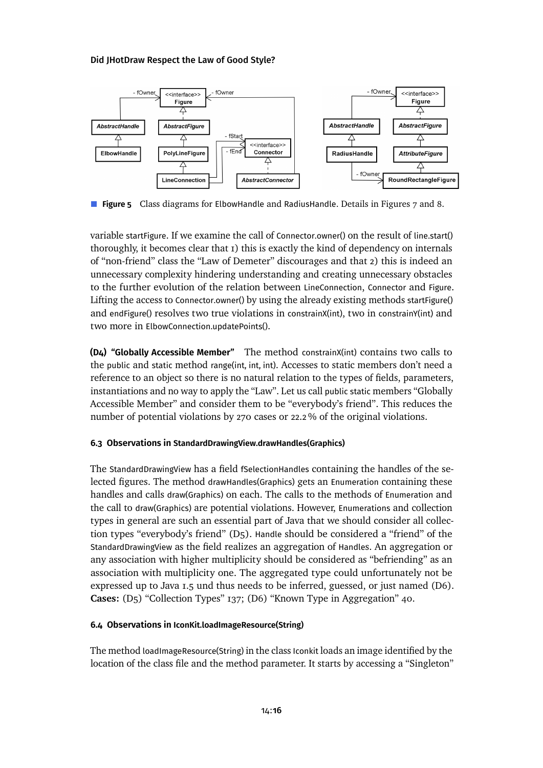<span id="page-15-2"></span>

**Figure 5** Class diagrams for ElbowHandle and RadiusHandle. Details in Figures [7](#page-34-0) and [8.](#page-54-0)

variable startFigure. If we examine the call of Connector.owner() on the result of line.start() thoroughly, it becomes clear that 1) this is exactly the kind of dependency on internals of "non-friend" class the "Law of Demeter" discourages and that 2) this is indeed an unnecessary complexity hindering understanding and creating unnecessary obstacles to the further evolution of the relation between LineConnection, Connector and Figure. Lifting the access to Connector.owner() by using the already existing methods startFigure() and endFigure() resolves two true violations in constrainX(int), two in constrainY(int) and two more in ElbowConnection.updatePoints().

<span id="page-15-0"></span>**(D4) "Globally Accessible Member"** The method constrainX(int) contains two calls to the public and static method range(int, int, int). Accesses to static members don't need a reference to an object so there is no natural relation to the types of fields, parameters, instantiations and no way to apply the "Law". Let us call public static members "Globally Accessible Member" and consider them to be "everybody's friend". This reduces the number of potential violations by 270 cases or 22.2 % of the original violations.

# <span id="page-15-1"></span>**6.3 Observations in StandardDrawingView.drawHandles(Graphics)**

The StandardDrawingView has a field fSelectionHandles containing the handles of the selected figures. The method drawHandles(Graphics) gets an Enumeration containing these handles and calls draw(Graphics) on each. The calls to the methods of Enumeration and the call to draw(Graphics) are potential violations. However, Enumerations and collection types in general are such an essential part of Java that we should consider all collection types "everybody's friend" [\(D5\).](#page-40-0) Handle should be considered a "friend" of the StandardDrawingView as the field realizes an aggregation of Handles. An aggregation or any association with higher multiplicity should be considered as "befriending" as an association with multiplicity one. The aggregated type could unfortunately not be expressed up to Java 1.5 und thus needs to be inferred, guessed, or just named [\(D6\).](#page-41-0) **Cases:** [\(D5\) "Collection Types"](#page-40-0) 137; [\(D6\) "Known Type in Aggregation"](#page-41-0) 40.

# **6.4 Observations in IconKit.loadImageResource(String)**

The method loadImageResource(String) in the class Iconkit loads an image identified by the location of the class file and the method parameter. It starts by accessing a "Singleton"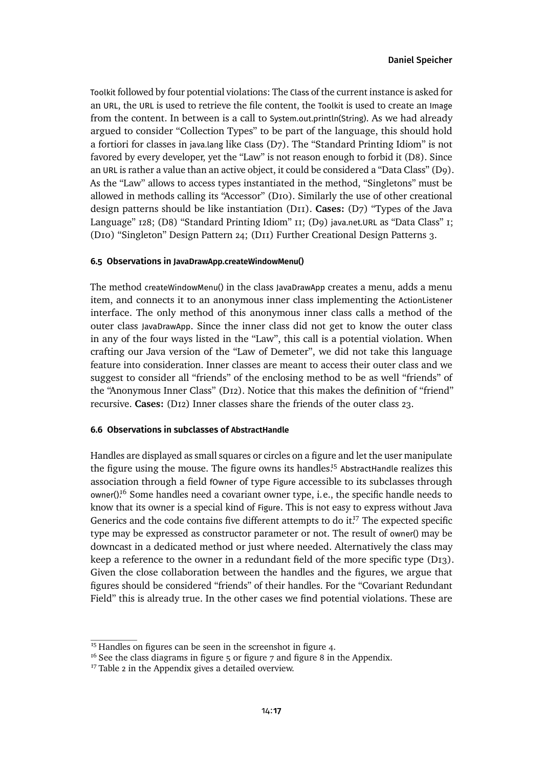Toolkit followed by four potential violations: The Class of the current instance is asked for an URL, the URL is used to retrieve the file content, the Toolkit is used to create an Image from the content. In between is a call to System.out.println(String). As we had already argued to consider "Collection Types" to be part of the language, this should hold a fortiori for classes in java.lang like Class [\(D7\).](#page-44-0) The "Standard Printing Idiom" is not favored by every developer, yet the "Law" is not reason enough to forbidit [\(D8\).](#page-45-0) Since an URL is rather a value than an active object, it could be considered a "Data Class" [\(D9\).](#page-45-1) As the "Law" allows to access types instantiated in the method, "Singletons" must be allowed in methods calling its "Accessor" [\(D10\).](#page-46-0) Similarly the use of other creational design patterns should be like instantiation [\(D11\).](#page-47-0) **Cases:** [\(D7\) "Types of the Java](#page-44-0) [Language"](#page-44-0) 128; [\(D8\) "Standard Printing Idiom"](#page-45-0) 11; (D9) java.net.URL [as "Data Class"](#page-45-1) 1; [\(D10\) "Singleton" Design Pattern](#page-46-0) 24; [\(D11\) Further Creational Design Patterns](#page-47-0) 3.

## **6.5 Observations in JavaDrawApp.createWindowMenu()**

The method createWindowMenu() in the class JavaDrawApp creates a menu, adds a menu item, and connects it to an anonymous inner class implementing the ActionListener interface. The only method of this anonymous inner class calls a method of the outer class JavaDrawApp. Since the inner class did not get to know the outer class in any of the four ways listed in the "Law", this call is a potential violation. When crafting our Java version of the "Law of Demeter", we did not take this language feature into consideration. Inner classes are meant to access their outer class and we suggest to consider all "friends" of the enclosing method to be as well "friends" of the "Anonymous Inner Class" [\(D12\).](#page-48-0) Notice that this makes the definition of "friend" recursive. **Cases:** [\(D12\) Inner classes share the friends of the outer class](#page-48-0) 23.

### **6.6 Observations in subclasses of AbstractHandle**

Handles are displayed as small squares or circles on a figure and let the user manipulate the figure using the mouse. The figure owns its handles.<sup>[15](#page-16-0)</sup> AbstractHandle realizes this association through a field fOwner of type Figure accessible to its subclasses through owner()<sup>[16](#page-16-1)</sup> Some handles need a covariant owner type, i.e., the specific handle needs to know that its owner is a special kind of Figure. This is not easy to express without Java Genericsand the code contains five different attempts to do i[t.](#page-16-2)<sup> $7$ </sup> The expected specific type may be expressed as constructor parameter or not. The result of owner() may be downcast in a dedicated method or just where needed. Alternatively the class may keep a reference to the owner in a redundant field of the more specific type [\(D13\).](#page-51-0) Given the close collaboration between the handles and the figures, we argue that figures should be considered "friends" of their handles. For the "Covariant Redundant Field" this is already true. In the other cases we find potential violations. These are

<span id="page-16-0"></span> $15$ Handles on figures can be seen in the screenshot in [figure 4.](#page-7-2)

<span id="page-16-1"></span> $16$  See the class diagrams in [figure 5](#page-15-2) or [figure 7](#page-34-0) and [figure 8](#page-54-0) in the Appendix.

<span id="page-16-2"></span> $17$  [Table 2](#page-52-0) in the Appendix gives a detailed overview.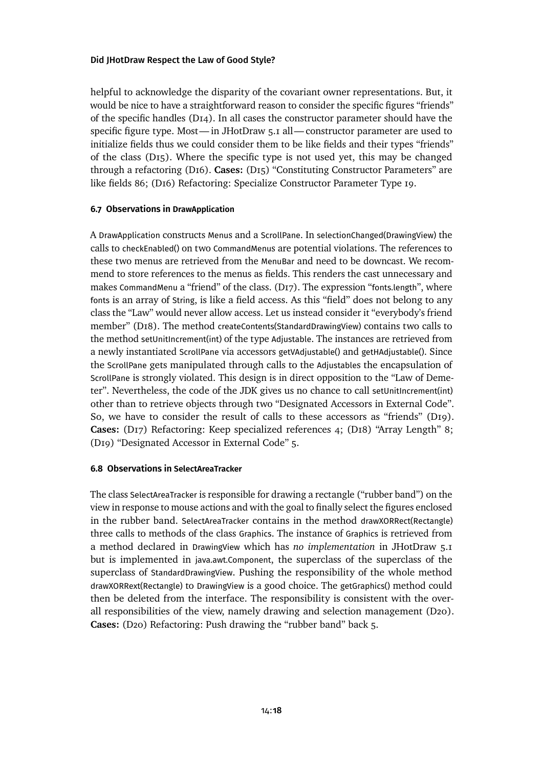helpful to acknowledge the disparity of the covariant owner representations. But, it would be nice to have a straightforward reason to consider the specific figures "friends" of the specific handles [\(D14\).](#page-56-1) In all cases the constructor parameter should have the specific figure type. Most— in JHotDraw 5.1 all— constructor parameter are used to initialize fields thus we could consider them to be like fields and their types "friends" of the class [\(D15\).](#page-56-0) Where the specific type is not used yet, this may be changed through a refactoring [\(D16\).](#page-57-0) **Cases:** [\(D15\) "Constituting Constructor Parameters" are](#page-56-0) [like fields](#page-56-0) 86; [\(D16\) Refactoring: Specialize Constructor Parameter Type](#page-57-0) 19.

## **6.7 Observations in DrawApplication**

A DrawApplication constructs Menus and a ScrollPane. In selectionChanged(DrawingView) the calls to checkEnabled() on two CommandMenus are potential violations. The references to these two menus are retrieved from the MenuBar and need to be downcast. We recommend to store references to the menus as fields. This renders the cast unnecessary and makes CommandMenu a "friend" of the class. [\(D17\).](#page-58-0) The expression "fonts.length", where fonts is an array of String, is like a field access. As this "field" does not belong to any class the "Law" would never allow access. Let us instead consider it "everybody's friend member" [\(D18\).](#page-58-1) The method createContents(StandardDrawingView) contains two calls to the method setUnitIncrement(int) of the type Adjustable. The instances are retrieved from a newly instantiated ScrollPane via accessors getVAdjustable() and getHAdjustable(). Since the ScrollPane gets manipulated through calls to the Adjustables the encapsulation of ScrollPane is strongly violated. This design is in direct opposition to the "Law of Demeter". Nevertheless, the code of the JDK gives us no chance to call setUnitIncrement(int) other than to retrieve objects through two "Designated Accessors in External Code". So, we have to consider the result of calls to these accessors as "friends" [\(D19\).](#page-60-0) **Cases:** [\(D17\) Refactoring: Keep specialized references](#page-58-0) 4; [\(D18\) "Array Length"](#page-58-1) 8; [\(D19\) "Designated Accessor in External Code"](#page-60-0) 5.

### **6.8 Observations in SelectAreaTracker**

The class SelectAreaTracker is responsible for drawing a rectangle ("rubber band") on the view in response to mouse actions and with the goal to finally select the figures enclosed in the rubber band. SelectAreaTracker contains in the method drawXORRect(Rectangle) three calls to methods of the class Graphics. The instance of Graphics is retrieved from a method declared in DrawingView which has *no implementation* in JHotDraw 5.1 but is implemented in java.awt.Component, the superclass of the superclass of the superclass of StandardDrawingView. Pushing the responsibility of the whole method drawXORRext(Rectangle) to DrawingView is a good choice. The getGraphics() method could then be deleted from the interface. The responsibility is consistent with the overall responsibilities of the view, namely drawing and selection management [\(D20\).](#page-63-0) **Cases:** [\(D20\) Refactoring: Push drawing the "rubber band" back](#page-63-0) 5.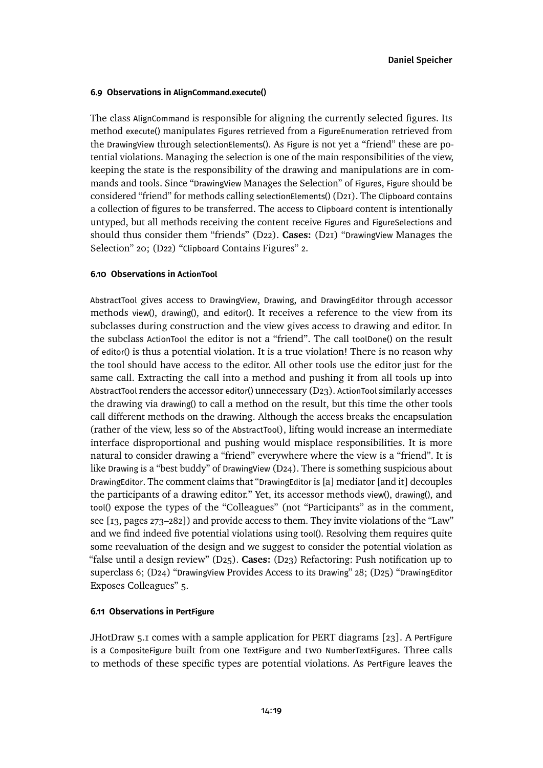### <span id="page-18-0"></span>**6.9 Observations in AlignCommand.execute()**

The class AlignCommand is responsible for aligning the currently selected figures. Its method execute() manipulates Figures retrieved from a FigureEnumeration retrieved from the DrawingView through selectionElements(). As Figure is not yet a "friend" these are potential violations. Managing the selection is one of the main responsibilities of the view, keeping the state is the responsibility of the drawing and manipulations are in commands and tools. Since "DrawingView Manages the Selection" of Figures, Figure should be considered "friend" for methods calling selectionElements() [\(D21\).](#page-64-0) The Clipboard contains a collection of figures to be transferred. The access to Clipboard content is intentionally untyped, but all methods receiving the content receive Figures and FigureSelections and should thus consider them "friends" [\(D22\).](#page-66-0) **Cases:** (D21) "DrawingView [Manages the](#page-64-0) [Selection"](#page-64-0) 20; (D22) "Clipboard [Contains Figures"](#page-66-0) 2.

# **6.10 Observations in ActionTool**

AbstractTool gives access to DrawingView, Drawing, and DrawingEditor through accessor methods view(), drawing(), and editor(). It receives a reference to the view from its subclasses during construction and the view gives access to drawing and editor. In the subclass ActionTool the editor is not a "friend". The call toolDone() on the result of editor() is thus a potential violation. It is a true violation! There is no reason why the tool should have access to the editor. All other tools use the editor just for the same call. Extracting the call into a method and pushing it from all tools up into AbstractTool renders the accessor editor() unnecessary [\(D23\).](#page-66-1) ActionTool similarly accesses the drawing via drawing() to call a method on the result, but this time the other tools call different methods on the drawing. Although the access breaks the encapsulation (rather of the view, less so of the AbstractTool), lifting would increase an intermediate interface disproportional and pushing would misplace responsibilities. It is more natural to consider drawing a "friend" everywhere where the view is a "friend". It is like Drawing is a "best buddy" of DrawingView [\(D24\).](#page-68-0) There is something suspicious about DrawingEditor. The comment claims that "DrawingEditor is [a] mediator [and it] decouples the participants of a drawing editor." Yet, its accessor methods view(), drawing(), and tool() expose the types of the "Colleagues" (not "Participants" as in the comment, see [\[13,](#page-29-2) pages 273–282]) and provide access to them. They invite violations of the "Law" and we find indeed five potential violations using tool(). Resolving them requires quite some reevaluation of the design and we suggest to consider the potential violation as "false until a design review" [\(D25\).](#page-69-0) **Cases:** [\(D23\) Refactoring: Push notification up to](#page-66-1) [superclass](#page-66-1) 6; (D24) "DrawingView [Provides Access to its](#page-68-0) Drawing" 28; (D25) "[DrawingEditor](#page-69-0) [Exposes Colleagues"](#page-69-0) 5.

#### **6.11 Observations in PertFigure**

JHotDraw 5.1 comes with a sample application for PERT diagrams [\[23\]](#page-29-8). A PertFigure is a CompositeFigure built from one TextFigure and two NumberTextFigures. Three calls to methods of these specific types are potential violations. As PertFigure leaves the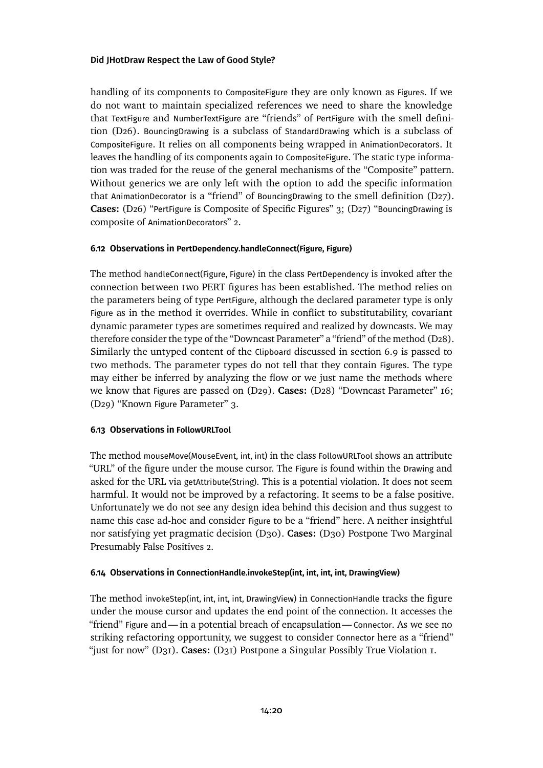handling of its components to CompositeFigure they are only known as Figures. If we do not want to maintain specialized references we need to share the knowledge that TextFigure and NumberTextFigure are "friends" of PertFigure with the smell definition [\(D26\).](#page-72-0) BouncingDrawing is a subclass of StandardDrawing which is a subclass of CompositeFigure. It relies on all components being wrapped in AnimationDecorators. It leaves the handling of its components again to CompositeFigure. The static type information was traded for the reuse of the general mechanisms of the "Composite" pattern. Without generics we are only left with the option to add the specific information that AnimationDecorator is a "friend" of BouncingDrawing to the smell definition  $(D27)$ . **Cases:** (D26) "PertFigure [is Composite of Specific Figures"](#page-72-0) 3; (D27) "[BouncingDrawing](#page-72-1) is composite of [AnimationDecorator](#page-72-1)s" 2.

# **6.12 Observations in PertDependency.handleConnect(Figure, Figure)**

The method handleConnect(Figure, Figure) in the class PertDependency is invoked after the connection between two PERT figures has been established. The method relies on the parameters being of type PertFigure, although the declared parameter type is only Figure as in the method it overrides. While in conflict to substitutability, covariant dynamic parameter types are sometimes required and realized by downcasts. We may therefore consider the type of the "Downcast Parameter" a "friend" of the method [\(D28\).](#page-74-0) Similarly the untyped content of the Clipboard discussed in [section 6.9](#page-18-0) is passed to two methods. The parameter types do not tell that they contain Figures. The type may either be inferred by analyzing the flow or we just name the methods where we know that Figures are passed on [\(D29\).](#page-75-0) **Cases:** [\(D28\) "Downcast Parameter"](#page-74-0) 16; [\(D29\) "Known](#page-75-0) Figure Parameter" 3.

# **6.13 Observations in FollowURLTool**

The method mouseMove(MouseEvent, int, int) in the class FollowURLTool shows an attribute "URL" of the figure under the mouse cursor. The Figure is found within the Drawing and asked for the URL via getAttribute(String). This is a potential violation. It does not seem harmful. It would not be improved by a refactoring. It seems to be a false positive. Unfortunately we do not see any design idea behind this decision and thus suggest to name this case ad-hoc and consider Figure to be a "friend" here. A neither insightful nor satisfying yet pragmatic decision [\(D30\).](#page-76-0) **Cases:** [\(D30\) Postpone Two Marginal](#page-76-0) [Presumably False Positives](#page-76-0) 2.

# **6.14 Observations in ConnectionHandle.invokeStep(int, int, int, int, DrawingView)**

The method invokeStep(int, int, int, int, DrawingView) in ConnectionHandle tracks the figure under the mouse cursor and updates the end point of the connection. It accesses the "friend" Figure and—in a potential breach of encapsulation—Connector. As we see no striking refactoring opportunity, we suggest to consider Connector here as a "friend" "just for now" [\(D31\).](#page-78-0) **Cases:** [\(D31\) Postpone a Singular Possibly True Violation](#page-78-0) 1.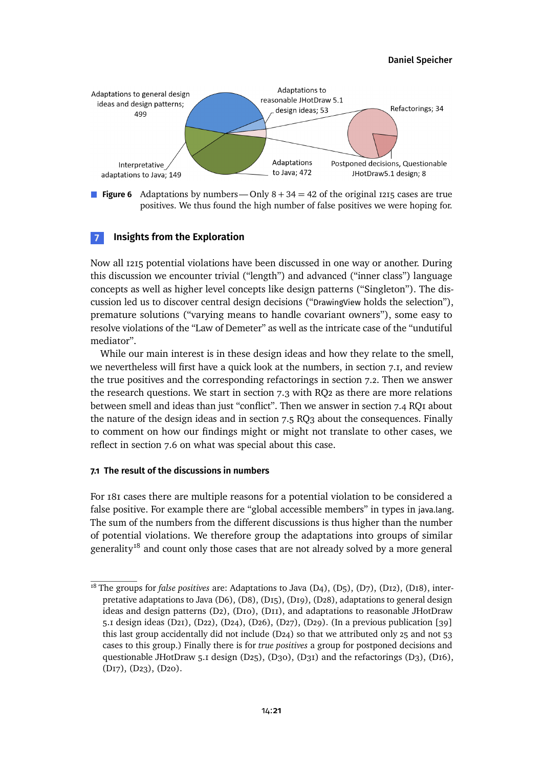[Daniel Speicher](#page-80-0)

<span id="page-20-3"></span>

**Figure 6** Adaptations by numbers—Only  $8 + 34 = 42$  of the original 1215 cases are true positives. We thus found the high number of false positives we were hoping for.

# <span id="page-20-0"></span>**7 Insights from the Exploration**

Now all 1215 potential violations have been discussed in one way or another. During this discussion we encounter trivial ("length") and advanced ("inner class") language concepts as well as higher level concepts like design patterns ("Singleton"). The discussion led us to discover central design decisions ("DrawingView holds the selection"), premature solutions ("varying means to handle covariant owners"), some easy to resolve violations of the "Law of Demeter" as well as the intricate case of the "undutiful mediator".

While our main interest is in these design ideas and how they relate to the smell, we nevertheless will first have a quick look at the numbers, in [section 7.1,](#page-20-1) and review the true positives and the corresponding refactorings in [section 7.2.](#page-21-0) Then we answer the research questions. We start in [section 7.3](#page-21-1) with RQ2 as there are more relations between smell and ideas than just "conflict". Then we answerin [section 7.4](#page-22-0) RQ1 about the nature of the design ideas and in [section 7.5](#page-23-0) RQ3 about the consequences. Finally to comment on how our findings might or might not translate to other cases, we reflect in [section 7.6](#page-24-0) on what was special about this case.

### <span id="page-20-1"></span>**7.1 The result of the discussions in numbers**

For 181 cases there are multiple reasons for a potential violation to be considered a false positive. For example there are "global accessible members" in types in java.lang. The sum of the numbers from the different discussions is thus higher than the number of potential violations. We therefore group the adaptations into groups of similar generality<sup>[18](#page-20-2)</sup> and count only those cases that are not already solved by a more general

<span id="page-20-2"></span><sup>&</sup>lt;sup>18</sup> The groups for *false positives* are: Adaptations to Java [\(D4\),](#page-38-0) [\(D5\),](#page-40-0) [\(D7\),](#page-44-0) [\(D12\),](#page-48-0) [\(D18\),](#page-58-1) inter-pretative adaptations to Java [\(D6\),](#page-41-0) [\(D8\),](#page-45-0) [\(D15\),](#page-56-0) [\(D19\),](#page-60-0) [\(D28\),](#page-74-0) adaptations to general design ideas and design patterns [\(D2\),](#page-35-0) [\(D10\),](#page-46-0) [\(D11\),](#page-47-0) and adaptations to reasonable JHotDraw 5.1 design ideas [\(D21\),](#page-64-0) [\(D22\),](#page-66-0) [\(D24\),](#page-68-0) [\(D26\),](#page-72-0) [\(D27\),](#page-72-1) [\(D29\).](#page-75-0) (In a previous publication [\[39\]](#page-31-2) this last group accidentally did not include [\(D24\)](#page-68-0) so that we attributed only 25 and not 53 cases to this group.) Finally there is for *true positives* a group for postponed decisions and questionable JHotDraw 5.1 design [\(D25\),](#page-69-0) [\(D30\),](#page-76-0) [\(D31\)](#page-78-0) and the refactorings [\(D3\),](#page-37-0) [\(D16\),](#page-57-0) [\(D17\),](#page-58-0) [\(D23\),](#page-66-1) [\(D20\).](#page-63-0)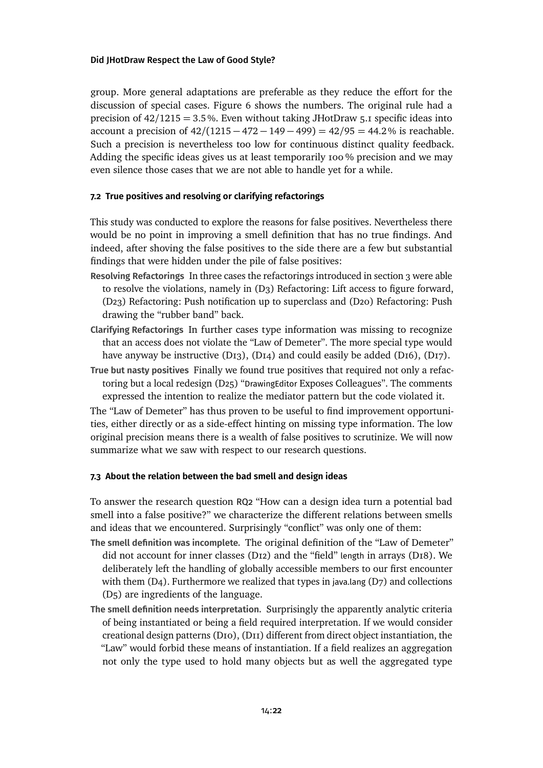group. More general adaptations are preferable as they reduce the effort for the discussion of special cases. [Figure 6](#page-20-3) shows the numbers. The original rule had a precision of 42*/*1215 = 3.5%. Even without taking JHotDraw 5.1 specific ideas into account a precision of 42*/*(1215 − 472 − 149 − 499) = 42*/*95 = 44.2% is reachable. Such a precision is nevertheless too low for continuous distinct quality feedback. Adding the specific ideas gives us at least temporarily 100 % precision and we may even silence those cases that we are not able to handle yet for a while.

# <span id="page-21-0"></span>**7.2 True positives and resolving or clarifying refactorings**

This study was conducted to explore the reasons for false positives. Nevertheless there would be no point in improving a smell definition that has no true findings. And indeed, after shoving the false positives to the side there are a few but substantial findings that were hidden under the pile of false positives:

- **Resolving Refactorings** In three cases the refactorings introducedin [section 3](#page-3-0) were able to resolve the violations, namely in [\(D3\) Refactoring: Lift access to figure forward,](#page-37-0) [\(D23\) Refactoring: Push notification up to superclass](#page-66-1) and [\(D20\) Refactoring: Push](#page-63-0) [drawing the "rubber band" back.](#page-63-0)
- **Clarifying Refactorings** In further cases type information was missing to recognize that an access does not violate the "Law of Demeter". The more special type would have anyway be instructive  $(D_{13})$ ,  $(D_{14})$  and could easily be added  $(D_{16})$ ,  $(D_{17})$ .
- **True but nasty positives** Finally we found true positives that required not only a refactoring but a local redesign (D25) "DrawingEditor [Exposes Colleagues".](#page-69-0) The comments expressed the intention to realize the mediator pattern but the code violated it.

The "Law of Demeter" has thus proven to be useful to find improvement opportunities, either directly or as a side-effect hinting on missing type information. The low original precision means there is a wealth of false positives to scrutinize. We will now summarize what we saw with respect to our research questions.

# <span id="page-21-1"></span>**7.3 About the relation between the bad smell and design ideas**

To answer the research question RQ2 "How can a design idea turn a potential bad smell into a false positive?" we characterize the different relations between smells and ideas that we encountered. Surprisingly "conflict" was only one of them:

- **The smell definition was incomplete.** The original definition of the "Law of Demeter" did not account for inner classes [\(D12\)](#page-48-0) and the "field" length in arrays [\(D18\).](#page-58-1) We deliberately left the handling of globally accessible members to our first encounter with them  $(D_4)$ . Furthermore we realized that types in java.lang  $(D_7)$  and collections [\(D5\)](#page-40-0) are ingredients of the language.
- **The smell definition needs interpretation.** Surprisingly the apparently analytic criteria of being instantiated or being a field required interpretation. If we would consider creational design patterns [\(D10\),](#page-46-0) [\(D11\)](#page-47-0) different from direct object instantiation, the "Law" would forbid these means of instantiation. If a field realizes an aggregation not only the type used to hold many objects but as well the aggregated type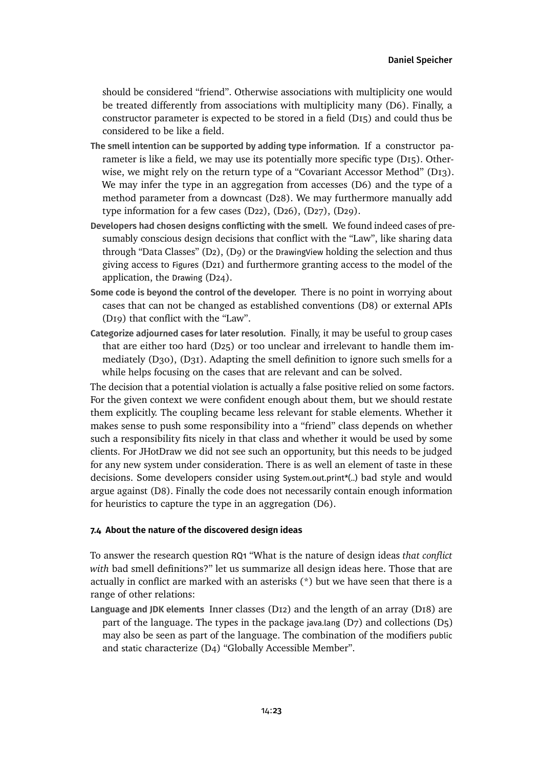should be considered "friend". Otherwise associations with multiplicity one would be treated differently from associations with multiplicity many [\(D6\).](#page-41-0) Finally, a constructor parameter is expected to be stored in a field [\(D15\)](#page-56-0) and could thus be considered to be like a field.

- **The smell intention can be supported by adding type information.** If a constructor parameter is like a field, we may use its potentially more specific type [\(D15\).](#page-56-0) Otherwise, we might rely on the return type of a "Covariant Accessor Method" [\(D13\).](#page-51-0) We may infer the type in an aggregation from accesses [\(D6\)](#page-41-0) and the type of a method parameter from a downcast [\(D28\).](#page-74-0) We may furthermore manually add type information for a few cases [\(D22\),](#page-66-0) [\(D26\),](#page-72-0) [\(D27\),](#page-72-1) [\(D29\).](#page-75-0)
- **Developers had chosen designs conflicting with the smell.** We found indeed cases of presumably conscious design decisions that conflict with the "Law", like sharing data through "Data Classes" [\(D2\),](#page-35-0) [\(D9\)](#page-45-1) or the DrawingView holding the selection and thus giving access to Figures [\(D21\)](#page-64-0) and furthermore granting access to the model of the application, the Drawing [\(D24\).](#page-68-0)
- **Some code is beyond the control of the developer.** There is no point in worrying about cases that can not be changed as established conventions [\(D8\)](#page-45-0) or external APIs [\(D19\)](#page-60-0) that conflict with the "Law".
- **Categorize adjourned cases for later resolution.** Finally, it may be useful to group cases that are either too hard [\(D25\)](#page-69-0) or too unclear and irrelevant to handle them immediately [\(D30\),](#page-76-0) [\(D31\).](#page-78-0) Adapting the smell definition to ignore such smells for a while helps focusing on the cases that are relevant and can be solved.

The decision that a potential violation is actually a false positive relied on some factors. For the given context we were confident enough about them, but we should restate them explicitly. The coupling became less relevant for stable elements. Whether it makes sense to push some responsibility into a "friend" class depends on whether such a responsibility fits nicely in that class and whether it would be used by some clients. For JHotDraw we did not see such an opportunity, but this needs to be judged for any new system under consideration. There is as well an element of taste in these decisions. Some developers consider using System.out.print\*(..) bad style and would argue against [\(D8\).](#page-45-0) Finally the code does not necessarily contain enough information for heuristics to capture the type in an aggregation [\(D6\).](#page-41-0)

# <span id="page-22-0"></span>**7.4 About the nature of the discovered design ideas**

To answer the research question RQ1 "What is the nature of design ideas *that conflict with* bad smell definitions?" let us summarize all design ideas here. Those that are actually in conflict are marked with an asterisks  $(*)$  but we have seen that there is a range of other relations:

**Language and JDK elements** Inner classes [\(D12\)](#page-48-0) and the length of an array [\(D18\)](#page-58-1) are part of the language. The types in the package java.lang [\(D7\)](#page-44-0) and collections [\(D5\)](#page-40-0) may also be seen as part of the language. The combination of the modifiers public and static characterize [\(D4\) "Globally Accessible Member".](#page-38-0)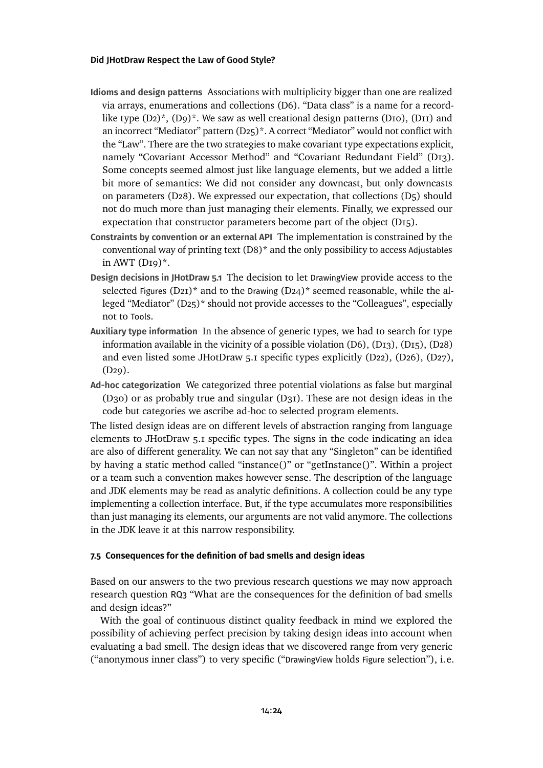- **Idioms and design patterns** Associations with multiplicity bigger than one are realized via arrays, enumerations and collections [\(D6\).](#page-41-0) "Data class" is a name for a recordlike type  $(D_2)^*$ ,  $(D_9)^*$ . We saw as well creational design patterns  $(D_{10})$ ,  $(D_{11})$  and an incorrect "Mediator" pattern [\(D25\)\\*](#page-69-0). A correct "Mediator" would not conflict with the "Law". There are the two strategies to make covariant type expectations explicit, namely "Covariant Accessor Method" and "Covariant Redundant Field" [\(D13\).](#page-51-0) Some concepts seemed almost just like language elements, but we added a little bit more of semantics: We did not consider any downcast, but only downcasts on parameters [\(D28\).](#page-74-0) We expressed our expectation, that collections [\(D5\)](#page-40-0) should not do much more than just managing their elements. Finally, we expressed our expectation that constructor parameters become part of the object [\(D15\).](#page-56-0)
- **Constraints by convention or an external API** The implementation is constrained by the conventional way of printing text  $(D8)^*$  and the only possibility to access Adjustables in AWT  $(DI9)^*$ .
- **Design decisions in JHotDraw 5.1** The decision to let DrawingView provide access to the selected Figures (D21)<sup>\*</sup> and to the Drawing (D24)<sup>\*</sup> seemed reasonable, while the alleged "Mediator" [\(D25\)\\*](#page-69-0) should not provide accesses to the "Colleagues", especially not to Tools.
- **Auxiliary type information** In the absence of generic types, we had to search for type information available in the vicinity of a possible violation [\(D6\),](#page-41-0) [\(D13\),](#page-51-0) [\(D15\),](#page-56-0) [\(D28\)](#page-74-0) and even listed some JHotDraw 5.1 specific types explicitly [\(D22\),](#page-66-0) [\(D26\),](#page-72-0) [\(D27\),](#page-72-1) [\(D29\).](#page-75-0)
- **Ad-hoc categorization** We categorized three potential violations as false but marginal [\(D30\)](#page-76-0) or as probably true and singular [\(D31\).](#page-78-0) These are not design ideas in the code but categories we ascribe ad-hoc to selected program elements.

The listed design ideas are on different levels of abstraction ranging from language elements to JHotDraw 5.1 specific types. The signs in the code indicating an idea are also of different generality. We can not say that any "Singleton" can be identified by having a static method called "instance()" or "getInstance()". Within a project or a team such a convention makes however sense. The description of the language and JDK elements may be read as analytic definitions. A collection could be any type implementing a collection interface. But, if the type accumulates more responsibilities than just managing its elements, our arguments are not valid anymore. The collections in the JDK leave it at this narrow responsibility.

# <span id="page-23-0"></span>**7.5 Consequences for the definition of bad smells and design ideas**

Based on our answers to the two previous research questions we may now approach research question RQ3 "What are the consequences for the definition of bad smells and design ideas?"

With the goal of continuous distinct quality feedback in mind we explored the possibility of achieving perfect precision by taking design ideas into account when evaluating a bad smell. The design ideas that we discovered range from very generic ("anonymous inner class") to very specific ("DrawingView holds Figure selection"), i.e.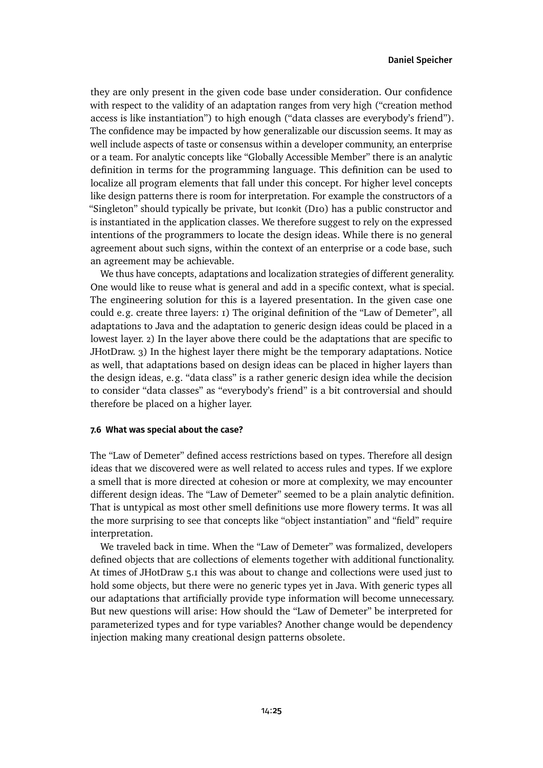they are only present in the given code base under consideration. Our confidence with respect to the validity of an adaptation ranges from very high ("creation method access is like instantiation") to high enough ("data classes are everybody's friend"). The confidence may be impacted by how generalizable our discussion seems. It may as well include aspects of taste or consensus within a developer community, an enterprise or a team. For analytic concepts like "Globally Accessible Member" there is an analytic definition in terms for the programming language. This definition can be used to localize all program elements that fall under this concept. For higher level concepts like design patterns there is room for interpretation. For example the constructors of a "Singleton" should typically be private, but Iconkit [\(D10\)](#page-46-0) has a public constructor and is instantiated in the application classes. We therefore suggest to rely on the expressed intentions of the programmers to locate the design ideas. While there is no general agreement about such signs, within the context of an enterprise or a code base, such an agreement may be achievable.

We thus have concepts, adaptations and localization strategies of different generality. One would like to reuse what is general and add in a specific context, what is special. The engineering solution for this is a layered presentation. In the given case one could e.g. create three layers: 1) The original definition of the "Law of Demeter", all adaptations to Java and the adaptation to generic design ideas could be placed in a lowest layer. 2) In the layer above there could be the adaptations that are specific to JHotDraw. 3) In the highest layer there might be the temporary adaptations. Notice as well, that adaptations based on design ideas can be placed in higher layers than the design ideas, e.g. "data class" is a rather generic design idea while the decision to consider "data classes" as "everybody's friend" is a bit controversial and should therefore be placed on a higher layer.

### <span id="page-24-0"></span>**7.6 What was special about the case?**

The "Law of Demeter" defined access restrictions based on types. Therefore all design ideas that we discovered were as well related to access rules and types. If we explore a smell that is more directed at cohesion or more at complexity, we may encounter different design ideas. The "Law of Demeter" seemed to be a plain analytic definition. That is untypical as most other smell definitions use more flowery terms. It was all the more surprising to see that concepts like "object instantiation" and "field" require interpretation.

We traveled back in time. When the "Law of Demeter" was formalized, developers defined objects that are collections of elements together with additional functionality. At times of JHotDraw 5.1 this was about to change and collections were used just to hold some objects, but there were no generic types yet in Java. With generic types all our adaptations that artificially provide type information will become unnecessary. But new questions will arise: How should the "Law of Demeter" be interpreted for parameterized types and for type variables? Another change would be dependency injection making many creational design patterns obsolete.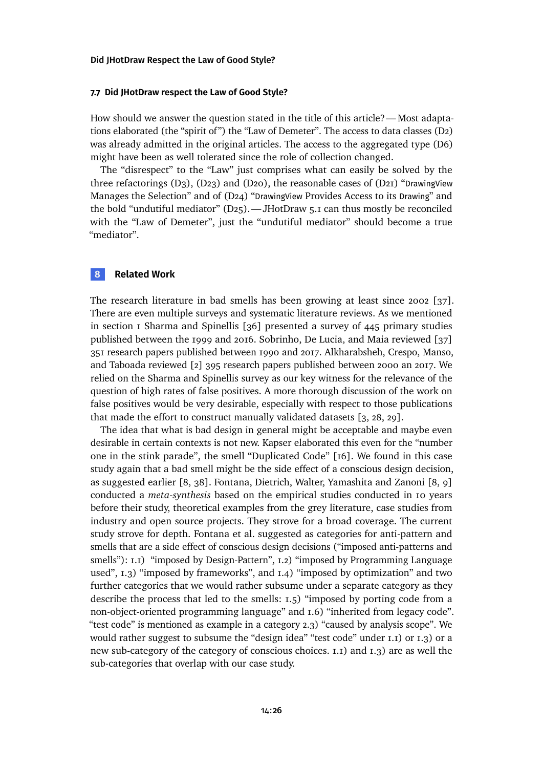#### **7.7 Did JHotDraw respect the Law of Good Style?**

How should we answer the question stated in the title of this article?— Most adapta-tions elaborated (the "spirit of") the "Law of Demeter". The access to data classes [\(D2\)](#page-35-0) was already admitted in the original articles. The access to the aggregated type [\(D6\)](#page-41-0) might have been as well tolerated since the role of collection changed.

The "disrespect" to the "Law" just comprises what can easily be solved by the three refactorings  $(D_3)$ ,  $(D_2)$  and  $(D_2)$ , the reasonable cases of  $(D_2)$  "[DrawingView](#page-64-0) [Manages the Selection"](#page-64-0) and of (D24) "DrawingView [Provides Access to its](#page-68-0) Drawing" and the bold "undutiful mediator" [\(D25\).](#page-69-0)— JHotDraw 5.1 can thus mostly be reconciled with the "Law of Demeter", just the "undutiful mediator" should become a true "mediator".

# **8 Related Work**

The research literature in bad smells has been growing at least since 2002 [\[37\]](#page-31-7). There are even multiple surveys and systematic literature reviews. As we mentioned in [section 1](#page-1-0) Sharma and Spinellis [\[36\]](#page-30-1) presented a survey of 445 primary studies published between the 1999 and 2016. Sobrinho, De Lucia, and Maia reviewed [\[37\]](#page-31-7) 351 research papers published between 1990 and 2017. Alkharabsheh, Crespo, Manso, and Taboada reviewed [\[2\]](#page-28-9) 395 research papers published between 2000 an 2017. We relied on the Sharma and Spinellis survey as our key witness for the relevance of the question of high rates of false positives. A more thorough discussion of the work on false positives would be very desirable, especially with respect to those publications that made the effort to construct manually validated datasets [\[3,](#page-28-10) [28,](#page-30-10) [29\]](#page-30-11).

The idea that what is bad design in general might be acceptable and maybe even desirable in certain contexts is not new. Kapser elaborated this even for the "number one in the stink parade", the smell "Duplicated Code" [\[16\]](#page-29-9). We found in this case study again that a bad smell might be the side effect of a conscious design decision, as suggested earlier [\[8,](#page-28-2) [38\]](#page-31-1). Fontana, Dietrich, Walter, Yamashita and Zanoni [\[8,](#page-28-2) [9\]](#page-28-3) conducted a *meta-synthesis* based on the empirical studies conducted in 10 years before their study, theoretical examples from the grey literature, case studies from industry and open source projects. They strove for a broad coverage. The current study strove for depth. Fontana et al. suggested as categories for anti-pattern and smells that are a side effect of conscious design decisions ("imposed anti-patterns and smells"): I.I) "imposed by Design-Pattern", I.2) "imposed by Programming Language used", 1.3) "imposed by frameworks", and 1.4) "imposed by optimization" and two further categories that we would rather subsume under a separate category as they describe the process that led to the smells: 1.5) "imposed by porting code from a non-object-oriented programming language" and 1.6) "inherited from legacy code". "test code" is mentioned as example in a category 2.3) "caused by analysis scope". We would rather suggest to subsume the "design idea" "test code" under 1.1) or 1.3) or a new sub-category of the category of conscious choices. 1.1) and 1.3) are as well the sub-categories that overlap with our case study.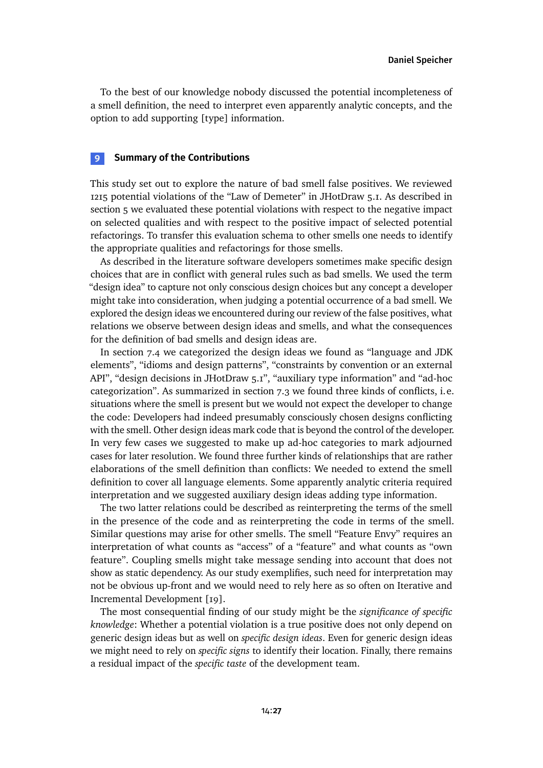To the best of our knowledge nobody discussed the potential incompleteness of a smell definition, the need to interpret even apparently analytic concepts, and the option to add supporting [type] information.

# **9 Summary of the Contributions**

This study set out to explore the nature of bad smell false positives. We reviewed 1215 potential violations of the "Law of Demeter" in JHotDraw 5.1. As described in [section 5](#page-8-0) we evaluated these potential violations with respect to the negative impact on selected qualities and with respect to the positive impact of selected potential refactorings. To transfer this evaluation schema to other smells one needs to identify the appropriate qualities and refactorings for those smells.

As described in the literature software developers sometimes make specific design choices that are in conflict with general rules such as bad smells. We used the term "design idea" to capture not only conscious design choices but any concept a developer might take into consideration, when judging a potential occurrence of a bad smell. We explored the design ideas we encountered during our review of the false positives, what relations we observe between design ideas and smells, and what the consequences for the definition of bad smells and design ideas are.

In [section 7.4](#page-22-0) we categorized the design ideas we found as "language and JDK elements", "idioms and design patterns", "constraints by convention or an external API", "design decisions in JHotDraw 5.1", "auxiliary type information" and "ad-hoc categorization". As summarized in [section 7.3](#page-21-1) we found three kinds of conflicts, i.e. situations where the smell is present but we would not expect the developer to change the code: Developers had indeed presumably consciously chosen designs conflicting with the smell. Other design ideas mark code that is beyond the control of the developer. In very few cases we suggested to make up ad-hoc categories to mark adjourned cases for later resolution. We found three further kinds of relationships that are rather elaborations of the smell definition than conflicts: We needed to extend the smell definition to cover all language elements. Some apparently analytic criteria required interpretation and we suggested auxiliary design ideas adding type information.

The two latter relations could be described as reinterpreting the terms of the smell in the presence of the code and as reinterpreting the code in terms of the smell. Similar questions may arise for other smells. The smell "Feature Envy" requires an interpretation of what counts as "access" of a "feature" and what counts as "own feature". Coupling smells might take message sending into account that does not show as static dependency. As our study exemplifies, such need for interpretation may not be obvious up-front and we would need to rely here as so often on Iterative and Incremental Development [\[19\]](#page-29-10).

The most consequential finding of our study might be the *significance of specific knowledge*: Whether a potential violation is a true positive does not only depend on generic design ideas but as well on *specific design ideas*. Even for generic design ideas we might need to rely on *specific signs* to identify their location. Finally, there remains a residual impact of the *specific taste* of the development team.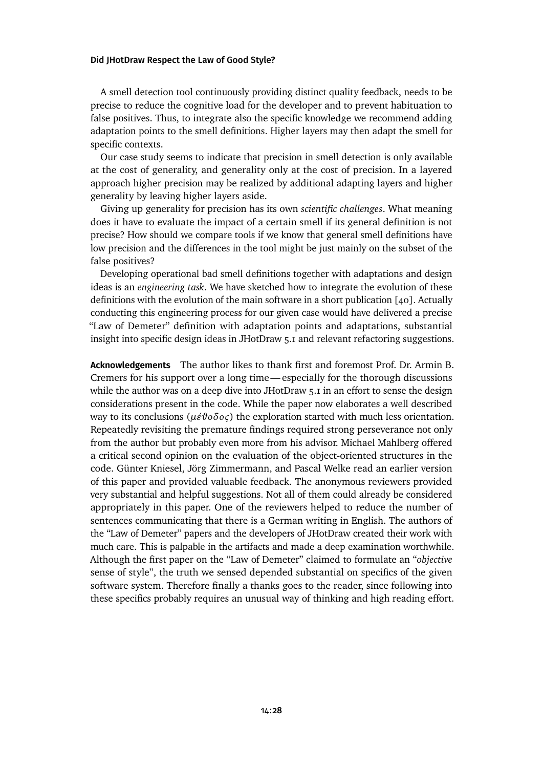A smell detection tool continuously providing distinct quality feedback, needs to be precise to reduce the cognitive load for the developer and to prevent habituation to false positives. Thus, to integrate also the specific knowledge we recommend adding adaptation points to the smell definitions. Higher layers may then adapt the smell for specific contexts.

Our case study seems to indicate that precision in smell detection is only available at the cost of generality, and generality only at the cost of precision. In a layered approach higher precision may be realized by additional adapting layers and higher generality by leaving higher layers aside.

Giving up generality for precision has its own *scientific challenges*. What meaning does it have to evaluate the impact of a certain smell if its general definition is not precise? How should we compare tools if we know that general smell definitions have low precision and the differences in the tool might be just mainly on the subset of the false positives?

Developing operational bad smell definitions together with adaptations and design ideas is an *engineering task*. We have sketched how to integrate the evolution of these definitions with the evolution of the main software in a short publication [\[40\]](#page-31-8). Actually conducting this engineering process for our given case would have delivered a precise "Law of Demeter" definition with adaptation points and adaptations, substantial insight into specific design ideas in JHotDraw 5.1 and relevant refactoring suggestions.

**Acknowledgements** The author likes to thank first and foremost Prof. Dr. Armin B. Cremers for his support over a long time— especially for the thorough discussions while the author was on a deep dive into JHotDraw 5.1 in an effort to sense the design considerations present in the code. While the paper now elaborates a well described way to its conclusions (*μέθοδος*) the exploration started with much less orientation. Repeatedly revisiting the premature findings required strong perseverance not only from the author but probably even more from his advisor. Michael Mahlberg offered a critical second opinion on the evaluation of the object-oriented structures in the code. Günter Kniesel, Jörg Zimmermann, and Pascal Welke read an earlier version of this paper and provided valuable feedback. The anonymous reviewers provided very substantial and helpful suggestions. Not all of them could already be considered appropriately in this paper. One of the reviewers helped to reduce the number of sentences communicating that there is a German writing in English. The authors of the "Law of Demeter" papers and the developers of JHotDraw created their work with much care. This is palpable in the artifacts and made a deep examination worthwhile. Although the first paper on the "Law of Demeter" claimed to formulate an "*objective* sense of style", the truth we sensed depended substantial on specifics of the given software system. Therefore finally a thanks goes to the reader, since following into these specifics probably requires an unusual way of thinking and high reading effort.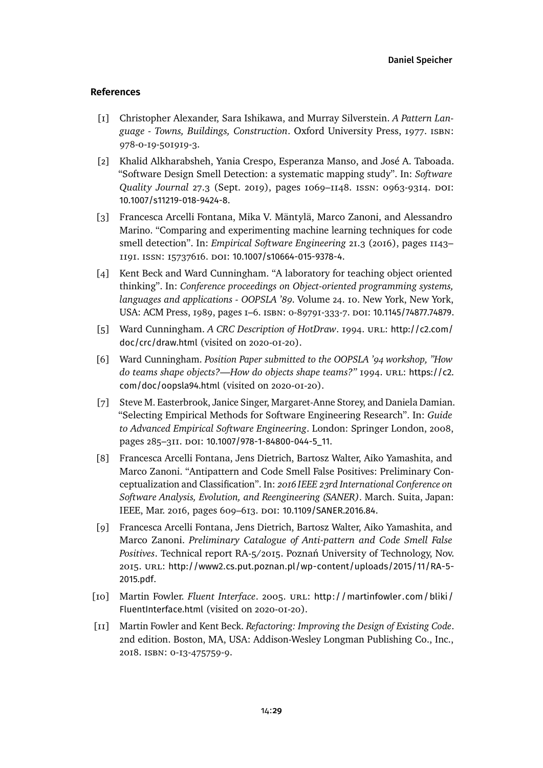### **References**

- <span id="page-28-8"></span>[1] Christopher Alexander, Sara Ishikawa, and Murray Silverstein. *A Pattern Language - Towns, Buildings, Construction*. Oxford University Press, 1977. isbn: 978-0-19-501919-3.
- <span id="page-28-9"></span>[2] Khalid Alkharabsheh, Yania Crespo, Esperanza Manso, and José A. Taboada. "Software Design Smell Detection: a systematic mapping study". In: *Software Quality Journal* 27.3 (Sept. 2019), pages 1069–1148. issn: 0963-9314. doi: [10.1007/s11219-018-9424-8](https://doi.org/10.1007/s11219-018-9424-8).
- <span id="page-28-10"></span>[3] Francesca Arcelli Fontana, Mika V. Mäntylä, Marco Zanoni, and Alessandro Marino. "Comparing and experimenting machine learning techniques for code smell detection". In: *Empirical Software Engineering* 21.3 (2016), pages 1143– 1191. issn: 15737616. doi: [10.1007/s10664-015-9378-4](https://doi.org/10.1007/s10664-015-9378-4).
- <span id="page-28-5"></span>[4] Kent Beck and Ward Cunningham. "A laboratory for teaching object oriented thinking". In: *Conference proceedings on Object-oriented programming systems, languages and applications - OOPSLA '89*. Volume 24. 10. New York, New York, USA: ACM Press, 1989, pages 1–6. isbn: 0-89791-333-7. doi: [10.1145/74877.74879](https://doi.org/10.1145/74877.74879).
- <span id="page-28-7"></span>[5] Ward Cunningham. *A CRC Description of HotDraw*. 1994. URL: [http://c2.com/](http://c2.com/doc/crc/draw.html) [doc/crc/draw.html](http://c2.com/doc/crc/draw.html) (visited on 2020-01-20).
- <span id="page-28-6"></span>[6] Ward Cunningham. *Position Paper submitted to the OOPSLA '94 workshop, "How do teams shape objects?—How do objects shape teams?"* 1994. URL: [https://c2.](https://c2.com/doc/oopsla94.html) [com/doc/oopsla94.html](https://c2.com/doc/oopsla94.html) (visited on 2020-01-20).
- <span id="page-28-4"></span>[7] Steve M. Easterbrook, Janice Singer, Margaret-Anne Storey, and Daniela Damian. "Selecting Empirical Methods for Software Engineering Research". In: *Guide to Advanced Empirical Software Engineering*. London: Springer London, 2008, pages 285-311. DOI: [10.1007/978-1-84800-044-5\\_11](https://doi.org/10.1007/978-1-84800-044-5_11).
- <span id="page-28-2"></span>[8] Francesca Arcelli Fontana, Jens Dietrich, Bartosz Walter, Aiko Yamashita, and Marco Zanoni. "Antipattern and Code Smell False Positives: Preliminary Conceptualization and Classification". In: *2016 IEEE 23rd International Conference on Software Analysis, Evolution, and Reengineering (SANER)*. March. Suita, Japan: IEEE, Mar. 2016, pages 609-613. DOI: [10.1109/SANER.2016.84](https://doi.org/10.1109/SANER.2016.84).
- <span id="page-28-3"></span>[9] Francesca Arcelli Fontana, Jens Dietrich, Bartosz Walter, Aiko Yamashita, and Marco Zanoni. *Preliminary Catalogue of Anti-pattern and Code Smell False Positives*. Technical report RA-5/2015. Poznań University of Technology, Nov. 2015. url: [http://www2.cs.put.poznan.pl/wp-content/uploads/2015/11/RA-5-](http://www2.cs.put.poznan.pl/wp-content/uploads/2015/11/RA-5-2015.pdf) [2015.pdf](http://www2.cs.put.poznan.pl/wp-content/uploads/2015/11/RA-5-2015.pdf).
- <span id="page-28-1"></span>[10] Martin Fowler. *Fluent Interface*. 2005. URL: [http://martinfowler.com/bliki/](http://martinfowler.com/bliki/FluentInterface.html) [FluentInterface.html](http://martinfowler.com/bliki/FluentInterface.html) (visited on 2020-01-20).
- <span id="page-28-0"></span>[11] Martin Fowler and Kent Beck. *Refactoring: Improving the Design of Existing Code*. 2nd edition. Boston, MA, USA: Addison-Wesley Longman Publishing Co., Inc., 2018. isbn: 0-13-475759-9.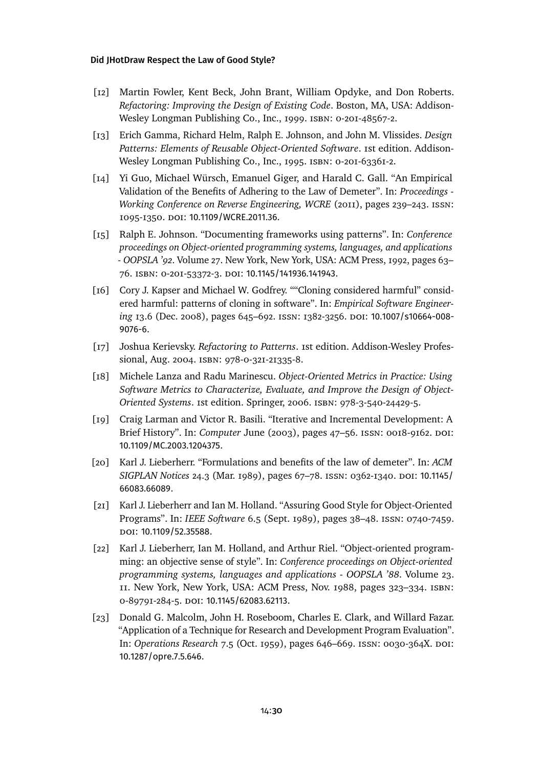- <span id="page-29-0"></span>[12] Martin Fowler, Kent Beck, John Brant, William Opdyke, and Don Roberts. *Refactoring: Improving the Design of Existing Code*. Boston, MA, USA: Addison-Wesley Longman Publishing Co., Inc., 1999. isbn: 0-201-48567-2.
- <span id="page-29-2"></span>[13] Erich Gamma, Richard Helm, Ralph E. Johnson, and John M. Vlissides. *Design Patterns: Elements of Reusable Object-Oriented Software*. 1st edition. Addison-Wesley Longman Publishing Co., Inc., 1995. isbn: 0-201-63361-2.
- <span id="page-29-6"></span>[14] Yi Guo, Michael Würsch, Emanuel Giger, and Harald C. Gall. "An Empirical Validation of the Benefits of Adhering to the Law of Demeter". In: *Proceedings - Working Conference on Reverse Engineering, WCRE* (2011), pages 239–243. issn: 1095-1350. doi: [10.1109/WCRE.2011.36](https://doi.org/10.1109/WCRE.2011.36).
- <span id="page-29-7"></span>[15] Ralph E. Johnson. "Documenting frameworks using patterns". In: *Conference proceedings on Object-oriented programming systems, languages, and applications - OOPSLA '92*. Volume 27. New York, New York, USA: ACM Press, 1992, pages 63– 76. isbn: 0-201-53372-3. doi: [10.1145/141936.141943](https://doi.org/10.1145/141936.141943).
- <span id="page-29-9"></span>[16] Cory J. Kapser and Michael W. Godfrey. ""Cloning considered harmful" considered harmful: patterns of cloning in software". In: *Empirical Software Engineering* 13.6 (Dec. 2008), pages 645–692. issn: 1382-3256. doi: [10.1007/s10664-008-](https://doi.org/10.1007/s10664-008-9076-6) [9076-6](https://doi.org/10.1007/s10664-008-9076-6).
- [17] Joshua Kerievsky. *Refactoring to Patterns*. 1st edition. Addison-Wesley Professional, Aug. 2004. isbn: 978-0-321-21335-8.
- <span id="page-29-1"></span>[18] Michele Lanza and Radu Marinescu. *Object-Oriented Metrics in Practice: Using Software Metrics to Characterize, Evaluate, and Improve the Design of Object-Oriented Systems*. 1st edition. Springer, 2006. isbn: 978-3-540-24429-5.
- <span id="page-29-10"></span>[19] Craig Larman and Victor R. Basili. "Iterative and Incremental Development: A Brief History". In: *Computer* June (2003), pages 47–56. issn: 0018-9162. doi: [10.1109/MC.2003.1204375](https://doi.org/10.1109/MC.2003.1204375).
- <span id="page-29-5"></span>[20] Karl J. Lieberherr. "Formulations and benefits of the law of demeter". In: *ACM SIGPLAN Notices* 24.3 (Mar. 1989), pages 67–78. issn: 0362-1340. doi: [10.1145/](https://doi.org/10.1145/66083.66089) [66083.66089](https://doi.org/10.1145/66083.66089).
- <span id="page-29-4"></span>[21] Karl J. Lieberherr and Ian M. Holland. "Assuring Good Style for Object-Oriented Programs". In: *IEEE Software* 6.5 (Sept. 1989), pages 38–48. issn: 0740-7459. doi: [10.1109/52.35588](https://doi.org/10.1109/52.35588).
- <span id="page-29-3"></span>[22] Karl J. Lieberherr, Ian M. Holland, and Arthur Riel. "Object-oriented programming: an objective sense of style". In: *Conference proceedings on Object-oriented programming systems, languages and applications - OOPSLA '88*. Volume 23. 11. New York, New York, USA: ACM Press, Nov. 1988, pages 323–334. isbn: 0-89791-284-5. doi: [10.1145/62083.62113](https://doi.org/10.1145/62083.62113).
- <span id="page-29-8"></span>[23] Donald G. Malcolm, John H. Roseboom, Charles E. Clark, and Willard Fazar. "Application of a Technique for Research and Development Program Evaluation". In: *Operations Research* 7.5 (Oct. 1959), pages 646–669. issn: 0030-364X. doi: [10.1287/opre.7.5.646](https://doi.org/10.1287/opre.7.5.646).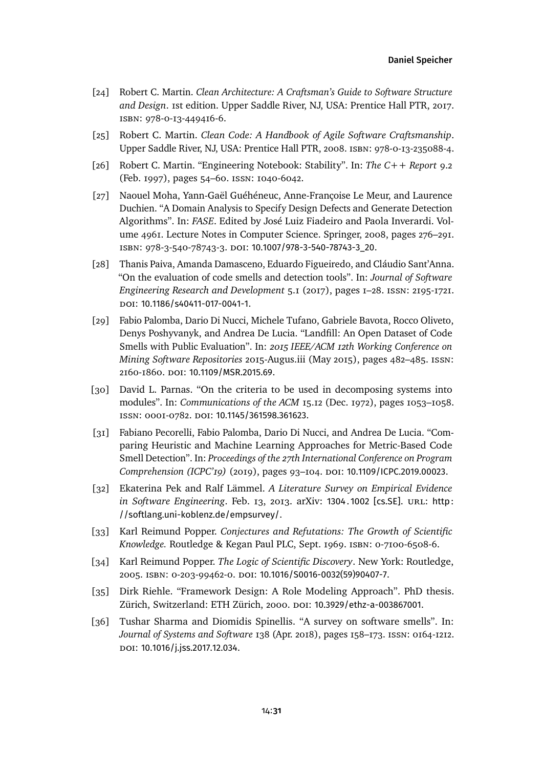- <span id="page-30-9"></span>[24] Robert C. Martin. *Clean Architecture: A Craftsman's Guide to Software Structure and Design*. 1st edition. Upper Saddle River, NJ, USA: Prentice Hall PTR, 2017. isbn: 978-0-13-449416-6.
- <span id="page-30-8"></span>[25] Robert C. Martin. *Clean Code: A Handbook of Agile Software Craftsmanship*. Upper Saddle River, NJ, USA: Prentice Hall PTR, 2008. isbn: 978-0-13-235088-4.
- <span id="page-30-7"></span>[26] Robert C. Martin. "Engineering Notebook: Stability". In: *The C++ Report* 9.2 (Feb. 1997), pages 54–60. issn: 1040-6042.
- <span id="page-30-0"></span>[27] Naouel Moha, Yann-Gaël Guéhéneuc, Anne-Françoise Le Meur, and Laurence Duchien. "A Domain Analysis to Specify Design Defects and Generate Detection Algorithms". In: *FASE*. Edited by José Luiz Fiadeiro and Paola Inverardi. Volume 4961. Lecture Notes in Computer Science. Springer, 2008, pages 276–291. isbn: 978-3-540-78743-3. doi: [10.1007/978-3-540-78743-3\\_20](https://doi.org/10.1007/978-3-540-78743-3_20).
- <span id="page-30-10"></span>[28] Thanis Paiva, Amanda Damasceno, Eduardo Figueiredo, and Cláudio Sant'Anna. "On the evaluation of code smells and detection tools". In: *Journal of Software Engineering Research and Development* 5.1 (2017), pages 1–28. issn: 2195-1721. doi: [10.1186/s40411-017-0041-1](https://doi.org/10.1186/s40411-017-0041-1).
- <span id="page-30-11"></span>[29] Fabio Palomba, Dario Di Nucci, Michele Tufano, Gabriele Bavota, Rocco Oliveto, Denys Poshyvanyk, and Andrea De Lucia. "Landfill: An Open Dataset of Code Smells with Public Evaluation". In: *2015 IEEE/ACM 12th Working Conference on Mining Software Repositories* 2015-Augus.iii (May 2015), pages 482–485. issn: 2160-1860. doi: [10.1109/MSR.2015.69](https://doi.org/10.1109/MSR.2015.69).
- [30] David L. Parnas. "On the criteria to be used in decomposing systems into modules". In: *Communications of the ACM* 15.12 (Dec. 1972), pages 1053–1058. issn: 0001-0782. doi: [10.1145/361598.361623](https://doi.org/10.1145/361598.361623).
- <span id="page-30-2"></span>[31] Fabiano Pecorelli, Fabio Palomba, Dario Di Nucci, and Andrea De Lucia. "Comparing Heuristic and Machine Learning Approaches for Metric-Based Code Smell Detection". In: *Proceedings of the 27th International Conference on Program Comprehension (ICPC'19)* (2019), pages 93–104. doi: [10.1109/ICPC.2019.00023](https://doi.org/10.1109/ICPC.2019.00023).
- <span id="page-30-6"></span>[32] Ekaterina Pek and Ralf Lämmel. *A Literature Survey on Empirical Evidence in Software Engineering. Feb. 13, 2013. arXiv: 1304.1002 [cs.SE]. URL: http:* [//softlang.uni-koblenz.de/empsurvey/](http://softlang.uni-koblenz.de/empsurvey/).
- <span id="page-30-4"></span>[33] Karl Reimund Popper. *Conjectures and Refutations: The Growth of Scientific Knowledge.* Routledge & Kegan Paul PLC, Sept. 1969. isbn: 0-7100-6508-6.
- <span id="page-30-3"></span>[34] Karl Reimund Popper. *The Logic of Scientific Discovery*. New York: Routledge, 2005. isbn: 0-203-99462-0. doi: [10.1016/S0016-0032\(59\)90407-7](https://doi.org/10.1016/S0016-0032(59)90407-7).
- <span id="page-30-5"></span>[35] Dirk Riehle. "Framework Design: A Role Modeling Approach". PhD thesis. Zürich, Switzerland: ETH Zürich, 2000. doi: [10.3929/ethz-a-003867001](https://doi.org/10.3929/ethz-a-003867001).
- <span id="page-30-1"></span>[36] Tushar Sharma and Diomidis Spinellis. "A survey on software smells". In: *Journal of Systems and Software* 138 (Apr. 2018), pages 158–173. issn: 0164-1212. doi: [10.1016/j.jss.2017.12.034](https://doi.org/10.1016/j.jss.2017.12.034).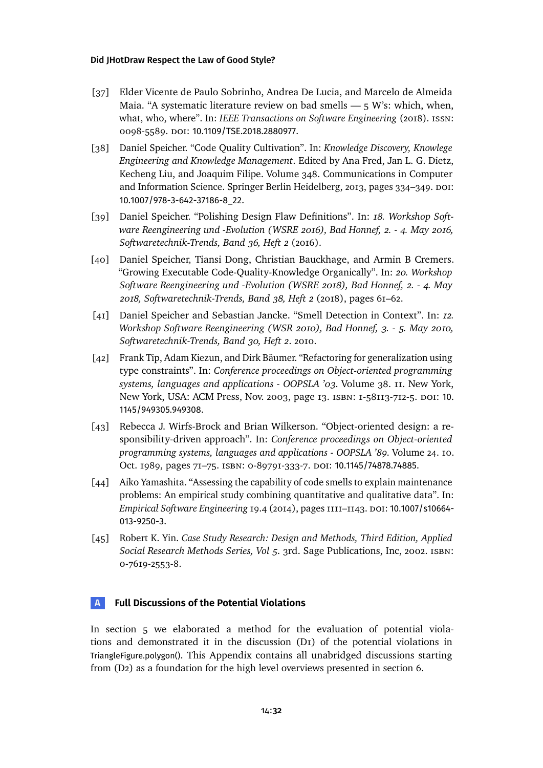- <span id="page-31-7"></span>[37] Elder Vicente de Paulo Sobrinho, Andrea De Lucia, and Marcelo de Almeida Maia. "A systematic literature review on bad smells  $-5$  W's: which, when, what, who, where". In: *IEEE Transactions on Software Engineering* (2018). issn: 0098-5589. doi: [10.1109/TSE.2018.2880977](https://doi.org/10.1109/TSE.2018.2880977).
- <span id="page-31-1"></span>[38] Daniel Speicher. "Code Quality Cultivation". In: *Knowledge Discovery, Knowlege Engineering and Knowledge Management*. Edited by Ana Fred, Jan L. G. Dietz, Kecheng Liu, and Joaquim Filipe. Volume 348. Communications in Computer and Information Science. Springer Berlin Heidelberg, 2013, pages 334–349. DOI: [10.1007/978-3-642-37186-8\\_22](https://doi.org/10.1007/978-3-642-37186-8_22).
- <span id="page-31-2"></span>[39] Daniel Speicher. "Polishing Design Flaw Definitions". In: *18. Workshop Software Reengineering und -Evolution (WSRE 2016), Bad Honnef, 2. - 4. May 2016, Softwaretechnik-Trends, Band 36, Heft 2* (2016).
- <span id="page-31-8"></span>[40] Daniel Speicher, Tiansi Dong, Christian Bauckhage, and Armin B Cremers. "Growing Executable Code-Quality-Knowledge Organically". In: *20. Workshop Software Reengineering und -Evolution (WSRE 2018), Bad Honnef, 2. - 4. May 2018, Softwaretechnik-Trends, Band 38, Heft 2* (2018), pages 61–62.
- <span id="page-31-0"></span>[41] Daniel Speicher and Sebastian Jancke. "Smell Detection in Context". In: *12. Workshop Software Reengineering (WSR 2010), Bad Honnef, 3. - 5. May 2010, Softwaretechnik-Trends, Band 30, Heft 2*. 2010.
- [42] Frank Tip, Adam Kiezun, and Dirk Bäumer. "Refactoring for generalization using type constraints". In: *Conference proceedings on Object-oriented programming systems, languages and applications - OOPSLA '03*. Volume 38. 11. New York, New York, USA: ACM Press, Nov. 2003, page 13. isbn: 1-58113-712-5. doi: [10.](https://doi.org/10.1145/949305.949308) [1145/949305.949308](https://doi.org/10.1145/949305.949308).
- <span id="page-31-4"></span>[43] Rebecca J. Wirfs-Brock and Brian Wilkerson. "Object-oriented design: a responsibility-driven approach". In: *Conference proceedings on Object-oriented programming systems, languages and applications - OOPSLA '89*. Volume 24. 10. Oct. 1989, pages 71-75. ISBN: 0-89791-333-7. DOI: [10.1145/74878.74885](https://doi.org/10.1145/74878.74885).
- <span id="page-31-6"></span>[44] Aiko Yamashita. "Assessing the capability of code smells to explain maintenance problems: An empirical study combining quantitative and qualitative data". In: *Empirical Software Engineering* 19.4 (2014), pages 1111–1143. doi: [10.1007/s10664-](https://doi.org/10.1007/s10664-013-9250-3) [013-9250-3](https://doi.org/10.1007/s10664-013-9250-3).
- <span id="page-31-3"></span>[45] Robert K. Yin. *Case Study Research: Design and Methods, Third Edition, Applied Social Research Methods Series, Vol 5*. 3rd. Sage Publications, Inc, 2002. isbn: 0-7619-2553-8.

# <span id="page-31-5"></span>**A Full Discussions of the Potential Violations**

In [section 5](#page-8-0) we elaborated a method for the evaluation of potential violations and demonstrated it in the discussion [\(D1\)](#page-11-0) of the potential violations in TriangleFigure.polygon(). This Appendix contains all unabridged discussions starting from [\(D2\)](#page-35-0) as a foundation for the high level overviews presented in [section 6.](#page-10-0)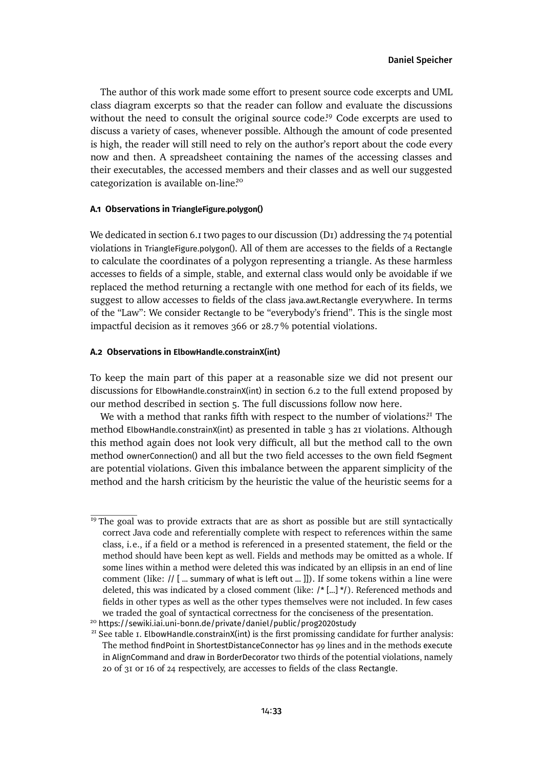The author of this work made some effort to present source code excerpts and UML class diagram excerpts so that the reader can follow and evaluate the discussions without the need to consult the original source code.<sup>[19](#page-32-0)</sup> Code excerpts are used to discuss a variety of cases, whenever possible. Although the amount of code presented is high, the reader will still need to rely on the author's report about the code every now and then. A spreadsheet containing the names of the accessing classes and their executables, the accessed members and their classes and as well our suggested categorization is available on-line.[20](#page-32-1)

## **A.1 Observations in TriangleFigure.polygon()**

Wededicated in [section 6.1](#page-10-2) two pages to our discussion (D<sub>I</sub>) addressing the 74 potential violations in TriangleFigure.polygon(). All of them are accesses to the fields of a Rectangle to calculate the coordinates of a polygon representing a triangle. As these harmless accesses to fields of a simple, stable, and external class would only be avoidable if we replaced the method returning a rectangle with one method for each of its fields, we suggest to allow accesses to fields of the class java.awt.Rectangle everywhere. In terms of the "Law": We consider Rectangle to be "everybody's friend". This is the single most impactful decision as it removes 366 or 28.7 % potential violations.

### **A.2 Observations in ElbowHandle.constrainX(int)**

To keep the main part of this paper at a reasonable size we did not present our discussions for ElbowHandle.constrainX(int) in [section 6.2](#page-13-0) to the full extend proposed by our method described in [section 5.](#page-8-0) The full discussions follow now here.

We with a method that ranks fifth with respect to the number of violations.<sup>[21](#page-32-2)</sup> The method ElbowHandle.constrainX(int) as presented in [table 3](#page-33-0) has 21 violations. Although this method again does not look very difficult, all but the method call to the own method ownerConnection() and all but the two field accesses to the own field fSegment are potential violations. Given this imbalance between the apparent simplicity of the method and the harsh criticism by the heuristic the value of the heuristic seems for a

<span id="page-32-0"></span> $<sup>I9</sup>$  The goal was to provide extracts that are as short as possible but are still syntactically</sup> correct Java code and referentially complete with respect to references within the same class, i.e., if a field or a method is referenced in a presented statement, the field or the method should have been kept as well. Fields and methods may be omitted as a whole. If some lines within a method were deleted this was indicated by an ellipsis in an end of line comment (like: // [ ... summary of what is left out ... ]]). If some tokens within a line were deleted, this was indicated by a closed comment (like: /\* [...] \*/). Referenced methods and fields in other types as well as the other types themselves were not included. In few cases we traded the goal of syntactical correctness for the conciseness of the presentation.

<span id="page-32-1"></span><sup>20</sup> <https://sewiki.iai.uni-bonn.de/private/daniel/public/prog2020study>

<span id="page-32-2"></span><sup>&</sup>lt;sup>21</sup> See [table 1.](#page-10-1) ElbowHandle.constrainX(int) is the first promissing candidate for further analysis: The method findPoint in ShortestDistanceConnector has 99 lines and in the methods execute in AlignCommand and draw in BorderDecorator two thirds of the potential violations, namely 20 of 31 or 16 of 24 respectively, are accesses to fields of the class Rectangle.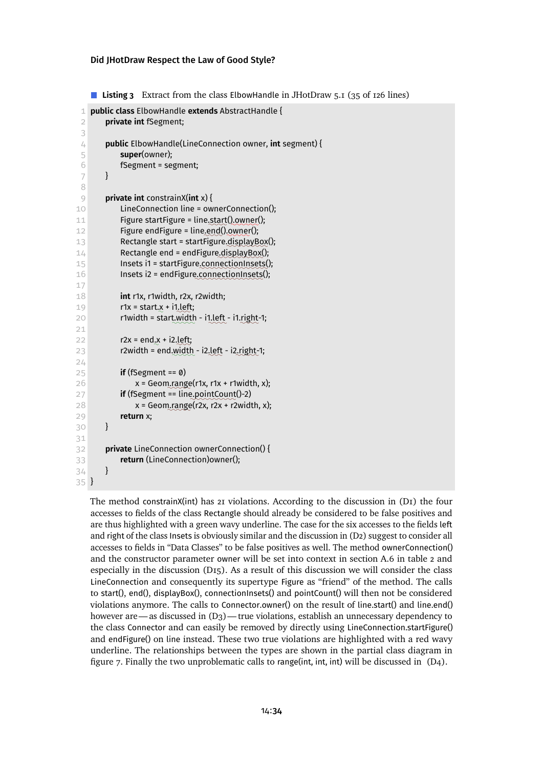```
■ Listing 3 Extract from the class ElbowHandle in JHotDraw 5.1 (35 of 126 lines)
 1 public class ElbowHandle extends AbstractHandle {
 2 private int fSegment;
 3
 4 public ElbowHandle(LineConnection owner, int segment) {
 5 super(owner);
 6 fSegment = segment;
 7 }
 8
 9 private int constrainX(int x) {
10 LineConnection line = ownerConnection();
11 Figure startFigure = line✿✿✿✿
.start()✿✿✿✿✿✿
.owner();
12 Figure endFigure = line, end(), owner();
13 Rectangle start = startFigure.displayBox();
14 Rectangle end = endFigure.displayBox();
15 Insets i1 = startFigure.connectionInsets();
16 Insets i2 = endFigure.connectionInsets();
17
18 int r1x, r1width, r2x, r2width;
19 r1x = start.x + i1, left;
20 r1width = start width - i1 left - i1 right-1;
21
22 r2x = end<sub>.</sub>x + i2.left;
23 r2width = end.width - i2.left - i2.right-1;
24
25 if (fSegment == 0)
26 x = Geom.range(r1x, r1x + r1width, x);
27 if (fSegment == line<sub>.</sub>pointCount()-2)
28 x = Geom.range(r2x, r2x + r2width, x);
29 return x;
30 }
31
32 private LineConnection ownerConnection() {
33 return (LineConnection)owner();
34 }
35 }
```
The method constrainX(int) has 21 violations. According to the discussion in [\(D1\)](#page-11-0) the four accesses to fields of the class Rectangle should already be considered to be false positives and are thus highlighted with a green wavy underline. The case for the six accesses to the fields left and right of the class Insets is obviously similar and the discussionin [\(D2\)](#page-35-0) suggest to consider all accesses to fields in "Data Classes" to be false positives as well. The method ownerConnection() and the constructor parameter owner will be set into context in [section A.6](#page-50-0) in [table 2](#page-52-0) and especially in the discussion [\(D15\).](#page-56-0) As a result of this discussion we will consider the class LineConnection and consequently its supertype Figure as "friend" of the method. The calls to start(), end(), displayBox(), connectionInsets() and pointCount() will then not be considered violations anymore. The calls to Connector.owner() on the result of line.start() and line.end() however are—as discussed in  $(D_3)$ —true violations, establish an unnecessary dependency to the class Connector and can easily be removed by directly using LineConnection.startFigure() and endFigure() on line instead. These two true violations are highlighted with a red wavy underline. The relationships between the types are shown in the partial class diagram in [figure 7.](#page-34-0) Finally the two unproblematic calls to range(int, int, int) will be discussed in [\(D4\).](#page-38-0)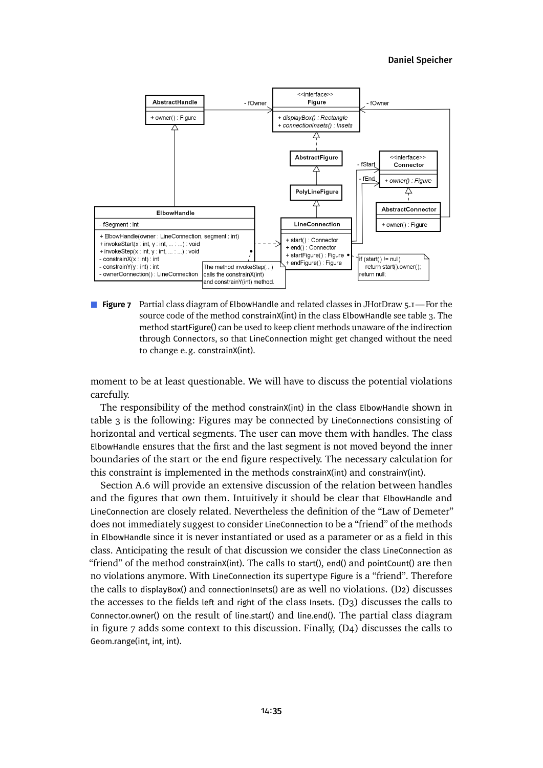### [Daniel Speicher](#page-80-0)

<span id="page-34-0"></span>

**Figure 7** Partial class diagram of ElbowHandle and related classes in JHotDraw 5.1—For the source code of the method constrainX(int) in the class ElbowHandle see [table 3.](#page-33-0) The method startFigure() can be used to keep client methods unaware of the indirection through Connectors, so that LineConnection might get changed without the need to change e.g. constrainX(int).

moment to be at least questionable. We will have to discuss the potential violations carefully.

The responsibility of the method constrainX(int) in the class ElbowHandle shown in [table 3](#page-33-0) is the following: Figures may be connected by LineConnections consisting of horizontal and vertical segments. The user can move them with handles. The class ElbowHandle ensures that the first and the last segment is not moved beyond the inner boundaries of the start or the end figure respectively. The necessary calculation for this constraint is implemented in the methods constrainX(int) and constrainY(int).

[Section A.6](#page-50-0) will provide an extensive discussion of the relation between handles and the figures that own them. Intuitively it should be clear that ElbowHandle and LineConnection are closely related. Nevertheless the definition of the "Law of Demeter" does not immediately suggest to consider LineConnection to be a "friend" of the methods in ElbowHandle since it is never instantiated or used as a parameter or as a field in this class. Anticipating the result of that discussion we consider the class LineConnection as "friend" of the method constrainX(int). The calls to start(), end() and pointCount() are then no violations anymore. With LineConnection its supertype Figure is a "friend". Therefore the calls to displayBox() and connectionInsets() are as well no violations. [\(D2\)](#page-35-0) discusses the accesses to the fields left and right of the class Insets. [\(D3\)](#page-37-0) discusses the calls to Connector.owner() on the result of line.start() and line.end(). The partial class diagram in [figure 7](#page-34-0) adds some context to this discussion. Finally, [\(D4\)](#page-38-0) discusses the calls to Geom.range(int, int, int).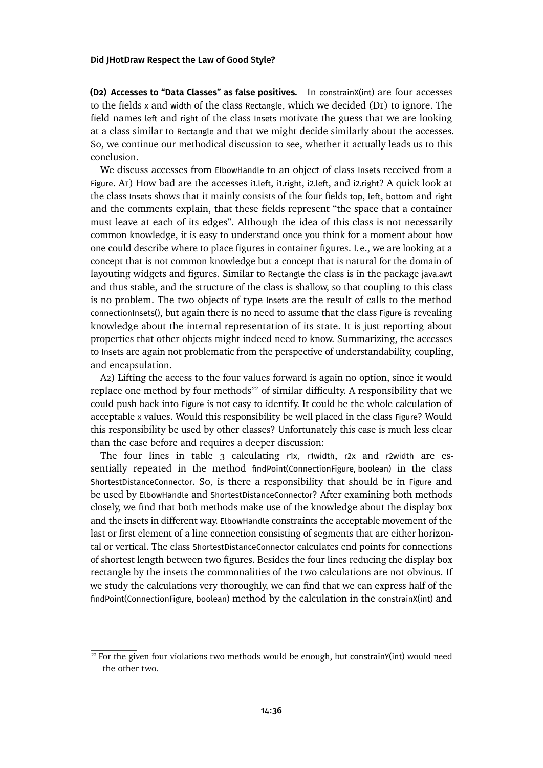<span id="page-35-0"></span>**(D2) Accesses to "Data Classes" as false positives.** In constrainX(int) are four accesses to the fields x and width of the class Rectangle, which we decided  $(DI)$  to ignore. The field names left and right of the class Insets motivate the guess that we are looking at a class similar to Rectangle and that we might decide similarly about the accesses. So, we continue our methodical discussion to see, whether it actually leads us to this conclusion.

We discuss accesses from ElbowHandle to an object of class Insets received from a Figure. [A1\)](#page-8-4) How bad are the accesses i1.left, i1.right, i2.left, and i2.right? A quick look at the class Insets shows that it mainly consists of the four fields top, left, bottom and right and the comments explain, that these fields represent "the space that a container must leave at each of its edges". Although the idea of this class is not necessarily common knowledge, it is easy to understand once you think for a moment about how one could describe where to place figures in container figures. I.e., we are looking at a concept that is not common knowledge but a concept that is natural for the domain of layouting widgets and figures. Similar to Rectangle the class is in the package java.awt and thus stable, and the structure of the class is shallow, so that coupling to this class is no problem. The two objects of type Insets are the result of calls to the method connectionInsets(), but again there is no need to assume that the class Figure is revealing knowledge about the internal representation of its state. It is just reporting about properties that other objects might indeed need to know. Summarizing, the accesses to Insets are again not problematic from the perspective of understandability, coupling, and encapsulation.

[A2\)](#page-9-4) Lifting the access to the four values forward is again no option, since it would replace one method by four methods<sup>[22](#page-35-1)</sup> of similar difficulty. A responsibility that we could push back into Figure is not easy to identify. It could be the whole calculation of acceptable x values. Would this responsibility be well placed in the class Figure? Would this responsibility be used by other classes? Unfortunately this case is much less clear than the case before and requires a deeper discussion:

The four lines in [table 3](#page-33-0) calculating r1x, r1width, r2x and r2width are essentially repeated in the method findPoint(ConnectionFigure, boolean) in the class ShortestDistanceConnector. So, is there a responsibility that should be in Figure and be used by ElbowHandle and ShortestDistanceConnector? After examining both methods closely, we find that both methods make use of the knowledge about the display box and the insets in different way. ElbowHandle constraints the acceptable movement of the last or first element of a line connection consisting of segments that are either horizontal or vertical. The class ShortestDistanceConnector calculates end points for connections of shortest length between two figures. Besides the four lines reducing the display box rectangle by the insets the commonalities of the two calculations are not obvious. If we study the calculations very thoroughly, we can find that we can express half of the findPoint(ConnectionFigure, boolean) method by the calculation in the constrainX(int) and

<span id="page-35-1"></span> $22$  For the given four violations two methods would be enough, but constrainY(int) would need the other two.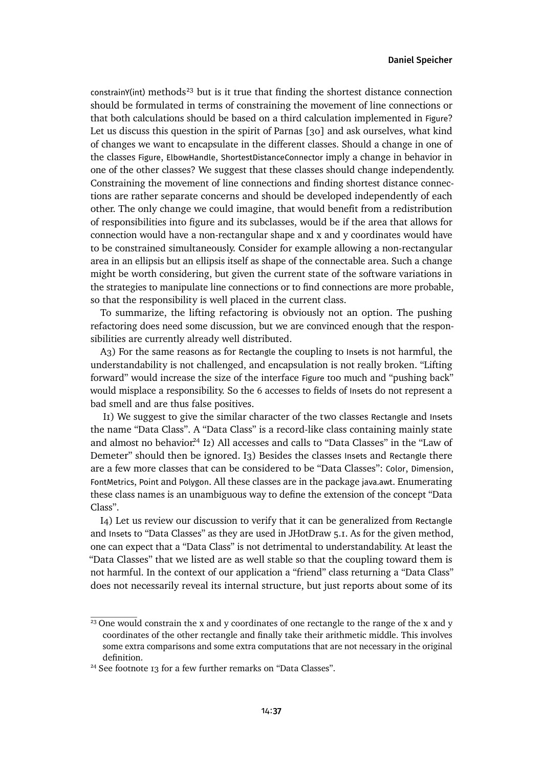$constant$ ) methods<sup>[23](#page-36-0)</sup> but is it true that finding the shortest distance connection should be formulated in terms of constraining the movement of line connections or that both calculations should be based on a third calculation implemented in Figure? Let us discuss this question in the spirit of Parnas [\[30\]](#page-30-0) and ask ourselves, what kind of changes we want to encapsulate in the different classes. Should a change in one of the classes Figure, ElbowHandle, ShortestDistanceConnector imply a change in behavior in one of the other classes? We suggest that these classes should change independently. Constraining the movement of line connections and finding shortest distance connections are rather separate concerns and should be developed independently of each other. The only change we could imagine, that would benefit from a redistribution of responsibilities into figure and its subclasses, would be if the area that allows for connection would have a non-rectangular shape and x and y coordinates would have to be constrained simultaneously. Consider for example allowing a non-rectangular area in an ellipsis but an ellipsis itself as shape of the connectable area. Such a change might be worth considering, but given the current state of the software variations in the strategies to manipulate line connections or to find connections are more probable, so that the responsibility is well placed in the current class.

To summarize, the lifting refactoring is obviously not an option. The pushing refactoring does need some discussion, but we are convinced enough that the responsibilities are currently already well distributed.

[A3\)](#page-9-0) For the same reasons as for Rectangle the coupling to Insets is not harmful, the understandability is not challenged, and encapsulation is not really broken. "Lifting forward" would increase the size of the interface Figure too much and "pushing back" would misplace a responsibility. So the 6 accesses to fields of Insets do not represent a bad smell and are thus false positives.

[I1\)](#page-9-1) We suggest to give the similar character of the two classes Rectangle and Insets the name "Data Class". A "Data Class" is a record-like class containing mainly state and almost no behavior.<sup>[24](#page-36-1)</sup> [I2\)](#page-9-2) All accesses and calls to "Data Classes" in the "Law of Demeter" should then be ignored. [I3\)](#page-9-3) Besides the classes Insets and Rectangle there are a few more classes that can be considered to be "Data Classes": Color, Dimension, FontMetrics, Point and Polygon. All these classes are in the package java.awt. Enumerating these class names is an unambiguous way to define the extension of the concept "Data Class".

[I4\)](#page-9-4) Let us review our discussion to verify that it can be generalized from Rectangle and Insets to "Data Classes" as they are used in JHotDraw 5.1. As for the given method, one can expect that a "Data Class" is not detrimental to understandability. At least the "Data Classes" that we listed are as well stable so that the coupling toward them is not harmful. In the context of our application a "friend" class returning a "Data Class" does not necessarily reveal its internal structure, but just reports about some of its

<span id="page-36-0"></span> $23$  One would constrain the x and y coordinates of one rectangle to the range of the x and y coordinates of the other rectangle and finally take their arithmetic middle. This involves some extra comparisons and some extra computations that are not necessary in the original definition.

<span id="page-36-1"></span><sup>&</sup>lt;sup>24</sup> See [footnote 13](#page-14-0) for a few further remarks on "Data Classes".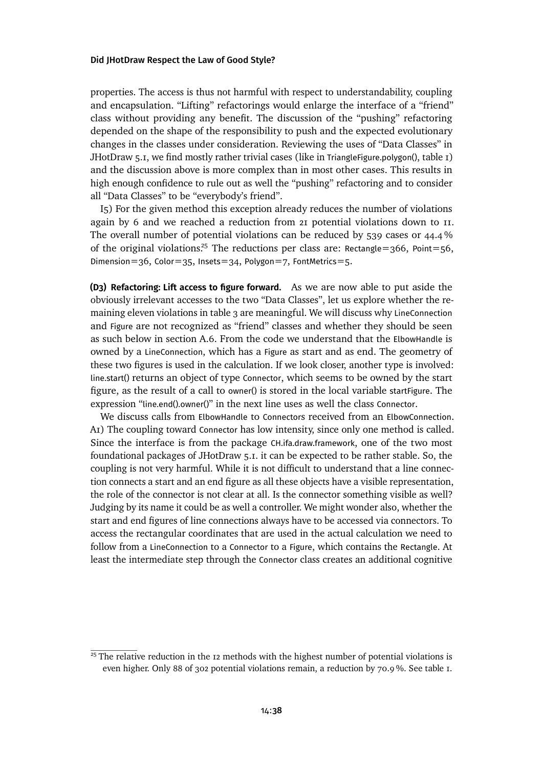properties. The access is thus not harmful with respect to understandability, coupling and encapsulation. "Lifting" refactorings would enlarge the interface of a "friend" class without providing any benefit. The discussion of the "pushing" refactoring depended on the shape of the responsibility to push and the expected evolutionary changes in the classes under consideration. Reviewing the uses of "Data Classes" in JHotDraw 5.1, we find mostly rather trivial cases (like in TriangleFigure.polygon(), [table 1\)](#page-11-0) and the discussion above is more complex than in most other cases. This results in high enough confidence to rule out as well the "pushing" refactoring and to consider all "Data Classes" to be "everybody's friend".

[I5\)](#page-9-5) For the given method this exception already reduces the number of violations again by 6 and we reached a reduction from 21 potential violations down to 11. The overall number of potential violations can be reduced by 539 cases or 44.4 % of the original violations.<sup>[25](#page-37-0)</sup> The reductions per class are: Rectangle=366, Point=56, Dimension=36, Color=35, Insets=34, Polygon=7, FontMetrics=5.

<span id="page-37-1"></span>**(D3) Refactoring: Lift access to figure forward.** As we are now able to put aside the obviously irrelevant accesses to the two "Data Classes", let us explore whether the remaining eleven violationsin [table 3](#page-33-0) are meaningful. We will discuss why LineConnection and Figure are not recognized as "friend" classes and whether they should be seen as such below in [section A.6.](#page-50-0) From the code we understand that the ElbowHandle is owned by a LineConnection, which has a Figure as start and as end. The geometry of these two figures is used in the calculation. If we look closer, another type is involved: line.start() returns an object of type Connector, which seems to be owned by the start figure, as the result of a call to owner() is stored in the local variable startFigure. The expression "line.end().owner()" in the next line uses as well the class Connector.

We discuss calls from ElbowHandle to Connectors received from an ElbowConnection. [A1\)](#page-8-0) The coupling toward Connector has low intensity, since only one method is called. Since the interface is from the package CH.ifa.draw.framework, one of the two most foundational packages of JHotDraw 5.1. it can be expected to be rather stable. So, the coupling is not very harmful. While it is not difficult to understand that a line connection connects a start and an end figure as all these objects have a visible representation, the role of the connector is not clear at all. Is the connector something visible as well? Judging by its name it could be as well a controller. We might wonder also, whether the start and end figures of line connections always have to be accessed via connectors. To access the rectangular coordinates that are used in the actual calculation we need to follow from a LineConnection to a Connector to a Figure, which contains the Rectangle. At least the intermediate step through the Connector class creates an additional cognitive

<span id="page-37-0"></span> $25$  The relative reduction in the 12 methods with the highest number of potential violations is even higher. Only 88 of 302 potential violations remain, a reduction by 70.9 %. See [table 1.](#page-10-0)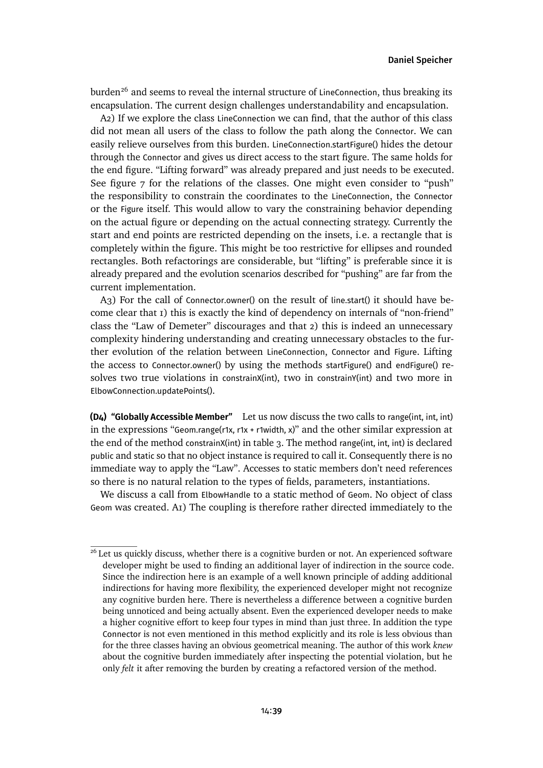burden<sup>[26](#page-38-0)</sup> and seems to reveal the internal structure of LineConnection, thus breaking its encapsulation. The current design challenges understandability and encapsulation.

[A2\)](#page-9-6) If we explore the class LineConnection we can find, that the author of this class did not mean all users of the class to follow the path along the Connector. We can easily relieve ourselves from this burden. LineConnection.startFigure() hides the detour through the Connector and gives us direct access to the start figure. The same holds for the end figure. "Lifting forward" was already prepared and just needs to be executed. See [figure 7](#page-34-0) for the relations of the classes. One might even consider to "push" the responsibility to constrain the coordinates to the LineConnection, the Connector or the Figure itself. This would allow to vary the constraining behavior depending on the actual figure or depending on the actual connecting strategy. Currently the start and end points are restricted depending on the insets, i.e. a rectangle that is completely within the figure. This might be too restrictive for ellipses and rounded rectangles. Both refactorings are considerable, but "lifting" is preferable since it is already prepared and the evolution scenarios described for "pushing" are far from the current implementation.

[A3\)](#page-9-0) For the call of Connector.owner() on the result of line.start() it should have become clear that 1) this is exactly the kind of dependency on internals of "non-friend" class the "Law of Demeter" discourages and that 2) this is indeed an unnecessary complexity hindering understanding and creating unnecessary obstacles to the further evolution of the relation between LineConnection, Connector and Figure. Lifting the access to Connector.owner() by using the methods startFigure() and endFigure() resolves two true violations in constrainX(int), two in constrainY(int) and two more in ElbowConnection.updatePoints().

<span id="page-38-1"></span>**(D4) "Globally Accessible Member"** Let us now discuss the two calls to range(int, int, int) in the expressions "Geom.range(r1x, r1x + r1width, x)" and the other similar expression at the end of the method constrainX(int) in [table 3.](#page-33-0) The method range(int, int, int) is declared public and static so that no object instance is required to call it. Consequently there is no immediate way to apply the "Law". Accesses to static members don't need references so there is no natural relation to the types of fields, parameters, instantiations.

We discuss a call from ElbowHandle to a static method of Geom. No object of class Geom was created. [A1\)](#page-8-0) The coupling is therefore rather directed immediately to the

<span id="page-38-0"></span> $26$  Let us quickly discuss, whether there is a cognitive burden or not. An experienced software developer might be used to finding an additional layer of indirection in the source code. Since the indirection here is an example of a well known principle of adding additional indirections for having more flexibility, the experienced developer might not recognize any cognitive burden here. There is nevertheless a difference between a cognitive burden being unnoticed and being actually absent. Even the experienced developer needs to make a higher cognitive effort to keep four types in mind than just three. In addition the type Connector is not even mentioned in this method explicitly and its role is less obvious than for the three classes having an obvious geometrical meaning. The author of this work *knew* about the cognitive burden immediately after inspecting the potential violation, but he only *felt* it after removing the burden by creating a refactored version of the method.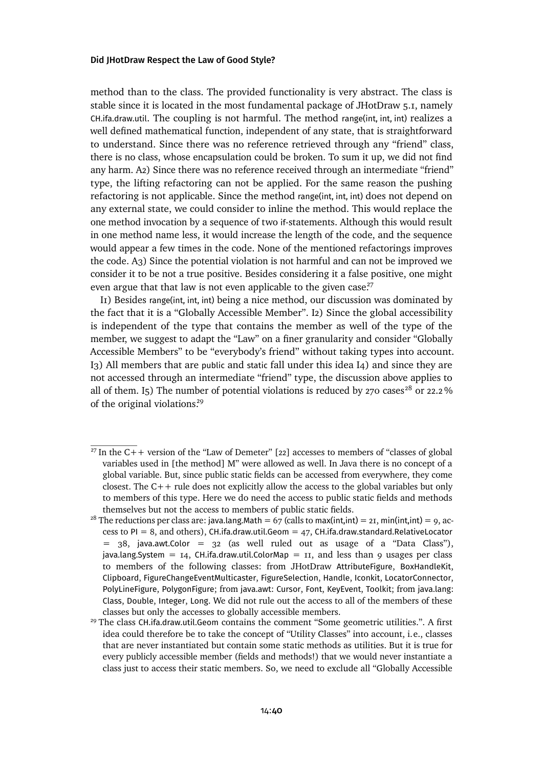method than to the class. The provided functionality is very abstract. The class is stable since it is located in the most fundamental package of JHotDraw 5.1, namely CH.ifa.draw.util. The coupling is not harmful. The method range(int, int, int) realizes a well defined mathematical function, independent of any state, that is straightforward to understand. Since there was no reference retrieved through any "friend" class, there is no class, whose encapsulation could be broken. To sum it up, we did not find any harm. [A2\)](#page-9-6) Since there was no reference received through an intermediate "friend" type, the lifting refactoring can not be applied. For the same reason the pushing refactoring is not applicable. Since the method range(int, int, int) does not depend on any external state, we could consider to inline the method. This would replace the one method invocation by a sequence of two if-statements. Although this would result in one method name less, it would increase the length of the code, and the sequence would appear a few times in the code. None of the mentioned refactorings improves the code. [A3\)](#page-9-0) Since the potential violation is not harmful and can not be improved we consider it to be not a true positive. Besides considering it a false positive, one might even argue that that law is not even applicable to the given case.<sup>[27](#page-39-0)</sup>

[I1\)](#page-9-1) Besides range(int, int, int) being a nice method, our discussion was dominated by the fact that it is a "Globally Accessible Member". [I2\)](#page-9-2) Since the global accessibility is independent of the type that contains the member as well of the type of the member, we suggest to adapt the "Law" on a finer granularity and consider "Globally Accessible Members" to be "everybody's friend" without taking types into account. [I3\)](#page-9-3) All members that are public and static fall under this idea [I4\)](#page-9-4) and since they are not accessed through an intermediate "friend" type, the discussion above applies to all of them. [I5\)](#page-9-5) The number of potential violations is reduced by 270 cases<sup>[28](#page-39-1)</sup> or 22.2% of the original violations.<sup>[29](#page-39-2)</sup>

<span id="page-39-0"></span><sup>&</sup>lt;sup>27</sup> In the C++ version of the "Law of Demeter" [\[22\]](#page-29-0) accesses to members of "classes of global variables used in [the method] M" were allowed as well. In Java there is no concept of a global variable. But, since public static fields can be accessed from everywhere, they come closest. The C++ rule does not explicitly allow the access to the global variables but only to members of this type. Here we do need the access to public static fields and methods themselves but not the access to members of public static fields.

<span id="page-39-1"></span><sup>&</sup>lt;sup>28</sup> The reductions per class are: java.lang.Math = 67 (calls to max(int,int) = 21, min(int,int) = 9, access to  $PI = 8$ , and others), CH.ifa.draw.util.Geom = 47, CH.ifa.draw.standard.RelativeLocator = 38, java.awt.Color = 32 (as well ruled out as usage of a "Data Class"), java.lang. System  $= 14$ , CH. ifa. draw. util. Color Map  $= 11$ , and less than 9 usages per class to members of the following classes: from JHotDraw AttributeFigure, BoxHandleKit, Clipboard, FigureChangeEventMulticaster, FigureSelection, Handle, Iconkit, LocatorConnector, PolyLineFigure, PolygonFigure; from java.awt: Cursor, Font, KeyEvent, Toolkit; from java.lang: Class, Double, Integer, Long. We did not rule out the access to all of the members of these classes but only the accesses to globally accessible members.

<span id="page-39-2"></span><sup>&</sup>lt;sup>29</sup> The class CH.ifa.draw.util.Geom contains the comment "Some geometric utilities.". A first idea could therefore be to take the concept of "Utility Classes" into account, i.e., classes that are never instantiated but contain some static methods as utilities. But it is true for every publicly accessible member (fields and methods!) that we would never instantiate a class just to access their static members. So, we need to exclude all "Globally Accessible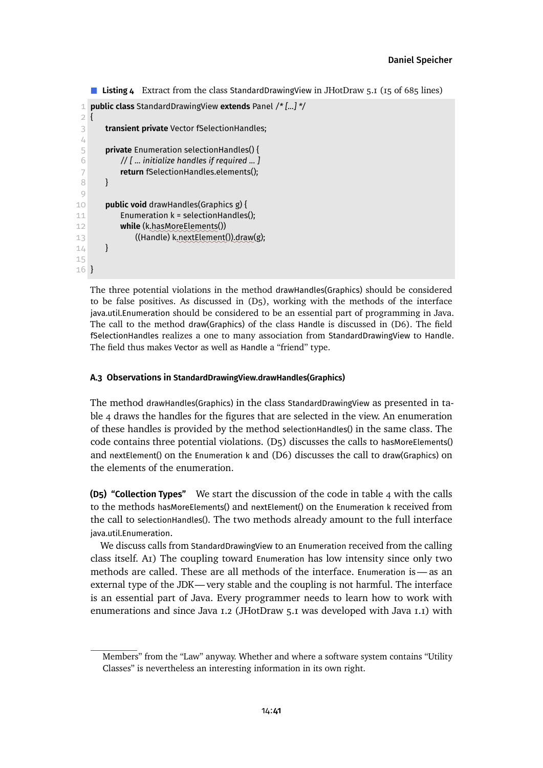```
Listing 4 Extract from the class StandardDrawingView in JHotDraw 5.1 (15 of 685 lines)
```

```
1 public class StandardDrawingView extends Panel /* [...] */
 2 {
 3 transient private Vector fSelectionHandles;
 4
 5 private Enumeration selectionHandles() {
 6 // [ ... initialize handles if required ... ]
 7 return fSelectionHandles.elements();
 8 }
 9
10 public void drawHandles(Graphics g) {
11 Enumeration k = selectionHandles();
12 while (k.hasMoreElements())
13 ((Handle) k.nextElement()).draw(g);
14 }
15
16 }
```
The three potential violations in the method drawHandles(Graphics) should be considered to be false positives. As discussed in  $(D_5)$ , working with the methods of the interface java.util.Enumeration should be considered to be an essential part of programming in Java. The call to the method draw(Graphics) of the class Handle is discussed in [\(D6\).](#page-41-0) The field fSelectionHandles realizes a one to many association from StandardDrawingView to Handle. The field thus makes Vector as well as Handle a "friend" type.

# **A.3 Observations in StandardDrawingView.drawHandles(Graphics)**

The method drawHandles(Graphics) in the class StandardDrawingView as presented in [ta](#page-40-1)[ble 4](#page-40-1) draws the handles for the figures that are selected in the view. An enumeration of these handles is provided by the method selectionHandles() in the same class. The code contains three potential violations. [\(D5\)](#page-40-0) discusses the calls to hasMoreElements() and nextElement() on the Enumeration k and [\(D6\)](#page-41-0) discusses the call to draw(Graphics) on the elements of the enumeration.

<span id="page-40-0"></span>**(D5) "Collection Types"** We start the discussion of the code in [table 4](#page-40-1) with the calls to the methods hasMoreElements() and nextElement() on the Enumeration k received from the call to selectionHandles(). The two methods already amount to the full interface java.util.Enumeration.

We discuss calls from StandardDrawingView to an Enumeration received from the calling class itself. [A1\)](#page-8-0) The coupling toward Enumeration has low intensity since only two methods are called. These are all methods of the interface. Enumeration is— as an external type of the JDK—very stable and the coupling is not harmful. The interface is an essential part of Java. Every programmer needs to learn how to work with enumerations and since Java 1.2 (JHotDraw 5.1 was developed with Java 1.1) with

Members" from the "Law" anyway. Whether and where a software system contains "Utility Classes" is nevertheless an interesting information in its own right.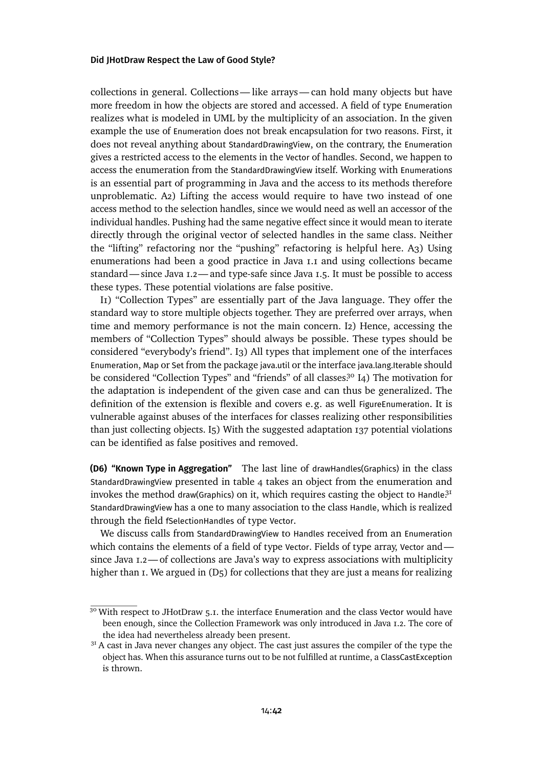collections in general. Collections— like arrays— can hold many objects but have more freedom in how the objects are stored and accessed. A field of type Enumeration realizes what is modeled in UML by the multiplicity of an association. In the given example the use of Enumeration does not break encapsulation for two reasons. First, it does not reveal anything about StandardDrawingView, on the contrary, the Enumeration gives a restricted access to the elements in the Vector of handles. Second, we happen to access the enumeration from the StandardDrawingView itself. Working with Enumerations is an essential part of programming in Java and the access to its methods therefore unproblematic. [A2\)](#page-9-6) Lifting the access would require to have two instead of one access method to the selection handles, since we would need as well an accessor of the individual handles. Pushing had the same negative effect since it would mean to iterate directly through the original vector of selected handles in the same class. Neither the "lifting" refactoring nor the "pushing" refactoring is helpful here. [A3\)](#page-9-0) Using enumerations had been a good practice in Java 1.1 and using collections became standard—since Java 1.2—and type-safe since Java 1.5. It must be possible to access these types. These potential violations are false positive.

II) "Collection Types" are essentially part of the Java language. They offer the standard way to store multiple objects together. They are preferred over arrays, when time and memory performance is not the main concern. [I2\)](#page-9-2) Hence, accessing the members of "Collection Types" should always be possible. These types should be considered "everybody's friend". [I3\)](#page-9-3) All types that implement one of the interfaces Enumeration, Map or Set from the package java.util or the interface java.lang.Iterable should be considered "Collection Types" and "friends" of all classes.<sup>[30](#page-41-1)</sup> [I4\)](#page-9-4) The motivation for the adaptation is independent of the given case and can thus be generalized. The definition of the extension is flexible and covers e.g. as well FigureEnumeration. It is vulnerable against abuses of the interfaces for classes realizing other responsibilities than just collecting objects. [I5\)](#page-9-5) With the suggested adaptation 137 potential violations can be identified as false positives and removed.

<span id="page-41-0"></span>**(D6) "Known Type in Aggregation"** The last line of drawHandles(Graphics) in the class StandardDrawingView presented in [table 4](#page-40-1) takes an object from the enumeration and invokes the method draw(Graphics) on it, which requires casting the object to Handle<sup>[31](#page-41-2)</sup> StandardDrawingView has a one to many association to the class Handle, which is realized through the field fSelectionHandles of type Vector.

We discuss calls from StandardDrawingView to Handles received from an Enumeration which contains the elements of a field of type Vector. Fields of type array, Vector and since Java 1.2— of collections are Java's way to express associations with multiplicity higherthan 1. We argued in (D<sub>5</sub>) for collections that they are just a means for realizing

<span id="page-41-1"></span><sup>&</sup>lt;sup>30</sup> With respect to JHotDraw 5.1. the interface Enumeration and the class Vector would have been enough, since the Collection Framework was only introduced in Java 1.2. The core of the idea had nevertheless already been present.

<span id="page-41-2"></span> $3<sup>1</sup>$  A cast in Java never changes any object. The cast just assures the compiler of the type the object has. When this assurance turns out to be not fulfilled at runtime, a ClassCastException is thrown.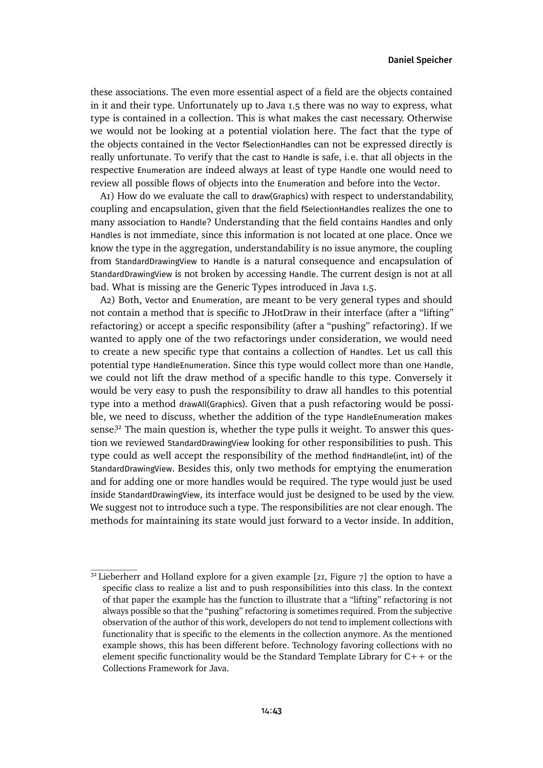these associations. The even more essential aspect of a field are the objects contained in it and their type. Unfortunately up to Java 1.5 there was no way to express, what type is contained in a collection. This is what makes the cast necessary. Otherwise we would not be looking at a potential violation here. The fact that the type of the objects contained in the Vector fSelectionHandles can not be expressed directly is really unfortunate. To verify that the cast to Handle is safe, i.e. that all objects in the respective Enumeration are indeed always at least of type Handle one would need to review all possible flows of objects into the Enumeration and before into the Vector.

[A1\)](#page-8-0) How do we evaluate the call to draw(Graphics) with respect to understandability, coupling and encapsulation, given that the field fSelectionHandles realizes the one to many association to Handle? Understanding that the field contains Handles and only Handles is not immediate, since this information is not located at one place. Once we know the type in the aggregation, understandability is no issue anymore, the coupling from StandardDrawingView to Handle is a natural consequence and encapsulation of StandardDrawingView is not broken by accessing Handle. The current design is not at all bad. What is missing are the Generic Types introduced in Java 1.5.

[A2\)](#page-9-6) Both, Vector and Enumeration, are meant to be very general types and should not contain a method that is specific to JHotDraw in their interface (after a "lifting" refactoring) or accept a specific responsibility (after a "pushing" refactoring). If we wanted to apply one of the two refactorings under consideration, we would need to create a new specific type that contains a collection of Handles. Let us call this potential type HandleEnumeration. Since this type would collect more than one Handle, we could not lift the draw method of a specific handle to this type. Conversely it would be very easy to push the responsibility to draw all handles to this potential type into a method drawAll(Graphics). Given that a push refactoring would be possible, we need to discuss, whether the addition of the type HandleEnumeration makes sense.<sup>[32](#page-42-0)</sup> The main question is, whether the type pulls it weight. To answer this question we reviewed StandardDrawingView looking for other responsibilities to push. This type could as well accept the responsibility of the method findHandle(int, int) of the StandardDrawingView. Besides this, only two methods for emptying the enumeration and for adding one or more handles would be required. The type would just be used inside StandardDrawingView, its interface would just be designed to be used by the view. We suggest not to introduce such a type. The responsibilities are not clear enough. The methods for maintaining its state would just forward to a Vector inside. In addition,

<span id="page-42-0"></span> $32$  Lieberherr and Holland explore for a given example [\[21,](#page-29-1) Figure 7] the option to have a specific class to realize a list and to push responsibilities into this class. In the context of that paper the example has the function to illustrate that a "lifting" refactoring is not always possible so that the "pushing" refactoring is sometimes required. From the subjective observation of the author of this work, developers do not tend to implement collections with functionality that is specific to the elements in the collection anymore. As the mentioned example shows, this has been different before. Technology favoring collections with no element specific functionality would be the Standard Template Library for  $C++$  or the Collections Framework for Java.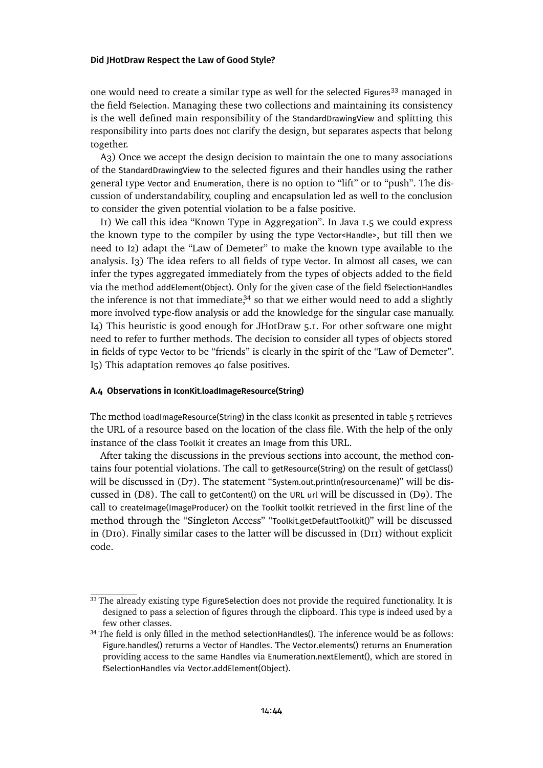one would need to create a similar type as well for the selected Figures<sup>[33](#page-43-0)</sup> managed in the field fSelection. Managing these two collections and maintaining its consistency is the well defined main responsibility of the StandardDrawingView and splitting this responsibility into parts does not clarify the design, but separates aspects that belong together.

[A3\)](#page-9-0) Once we accept the design decision to maintain the one to many associations of the StandardDrawingView to the selected figures and their handles using the rather general type Vector and Enumeration, there is no option to "lift" or to "push". The discussion of understandability, coupling and encapsulation led as well to the conclusion to consider the given potential violation to be a false positive.

[I1\)](#page-9-1) We call this idea "Known Type in Aggregation". In Java 1.5 we could express the known type to the compiler by using the type Vector<Handle>, but till then we need to [I2\)](#page-9-2) adapt the "Law of Demeter" to make the known type available to the analysis. [I3\)](#page-9-3) The idea refers to all fields of type Vector. In almost all cases, we can infer the types aggregated immediately from the types of objects added to the field via the method addElement(Object). Only for the given case of the field fSelectionHandles the inference is not that immediate, $34$  so that we either would need to add a slightly more involved type-flow analysis or add the knowledge for the singular case manually. [I4\)](#page-9-4) This heuristic is good enough for JHotDraw 5.1. For other software one might need to refer to further methods. The decision to consider all types of objects stored in fields of type Vector to be "friends" is clearly in the spirit of the "Law of Demeter". [I5\)](#page-9-5) This adaptation removes 40 false positives.

### **A.4 Observations in IconKit.loadImageResource(String)**

The method loadImageResource(String) in the class Iconkit as presentedin [table 5](#page-44-0) retrieves the URL of a resource based on the location of the class file. With the help of the only instance of the class Toolkit it creates an Image from this URL.

After taking the discussions in the previous sections into account, the method contains four potential violations. The call to getResource(String) on the result of getClass() will be discussed in [\(D7\).](#page-44-1) The statement "System.out.println(resourcename)" will be discussed in [\(D8\).](#page-45-0) The call to getContent() on the URL url will be discussed in [\(D9\).](#page-45-1) The call to createImage(ImageProducer) on the Toolkit toolkit retrieved in the first line of the method through the "Singleton Access" "Toolkit.getDefaultToolkit()" will be discussed in [\(D10\).](#page-46-0) Finally similar cases to the latter will be discussedin [\(D11\)](#page-47-0) without explicit code.

<span id="page-43-0"></span><sup>&</sup>lt;sup>33</sup> The already existing type FigureSelection does not provide the required functionality. It is designed to pass a selection of figures through the clipboard. This type is indeed used by a few other classes.

<span id="page-43-1"></span><sup>&</sup>lt;sup>34</sup> The field is only filled in the method selectionHandles(). The inference would be as follows: Figure.handles() returns a Vector of Handles. The Vector.elements() returns an Enumeration providing access to the same Handles via Enumeration.nextElement(), which are stored in fSelectionHandles via Vector.addElement(Object).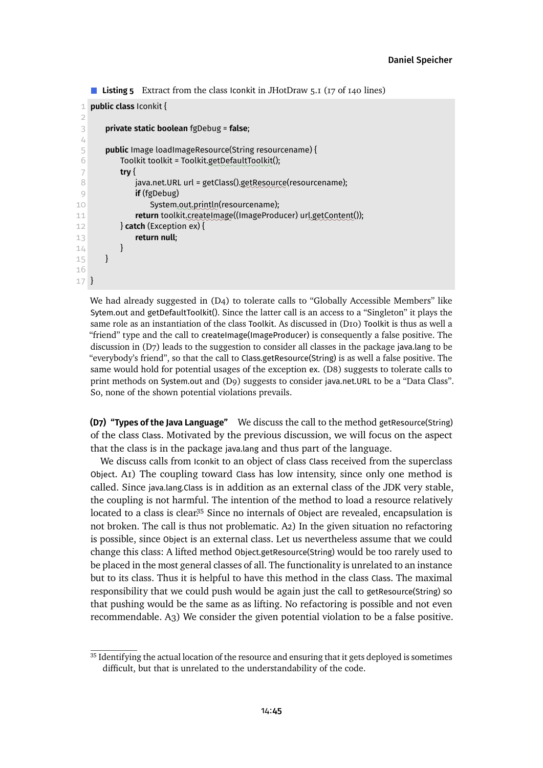```
■ Listing 5 Extract from the class Iconkit in JHotDraw 5.1 (17 of 140 lines)
```

```
1 public class Iconkit {
 \overline{2}3 private static boolean fgDebug = false;
 4
 5 public Image loadImageResource(String resourcename) {
 6 Toolkit toolkit = Toolkit.getDefaultToolkit();
 7 try {
 8 java.net.URL url = getClass().getResource(resourcename);
 9 if (fgDebug)
10 System.out.println(resourcename);
11 return toolkit.createImage((ImageProducer) url.getContent());
12 } catch (Exception ex) {
13 return null;
14 \quad \frac{1}{2}15 }
16
17 }
```
We had already suggested in [\(D4\)](#page-38-1) to tolerate calls to "Globally Accessible Members" like Sytem.out and getDefaultToolkit(). Since the latter call is an access to a "Singleton" it plays the same role as an instantiation of the class Toolkit. As discussedin [\(D10\)](#page-46-0) Toolkit is thus as well a "friend" type and the call to createImage(ImageProducer) is consequently a false positive. The discussion in [\(D7\)](#page-44-1) leads to the suggestion to consider all classes in the package java.lang to be "everybody's friend", so that the call to Class.getResource(String) is as well a false positive. The same would hold for potential usages of the exception ex. [\(D8\)](#page-45-0) suggests to tolerate calls to print methods on System.out and [\(D9\)](#page-45-1) suggests to consider java.net.URL to be a "Data Class". So, none of the shown potential violations prevails.

<span id="page-44-1"></span>**(D7) "Types of the Java Language"** We discuss the call to the method getResource(String) of the class Class. Motivated by the previous discussion, we will focus on the aspect that the class is in the package java.lang and thus part of the language.

We discuss calls from Iconkit to an object of class Class received from the superclass Object. [A1\)](#page-8-0) The coupling toward Class has low intensity, since only one method is called. Since java.lang.Class is in addition as an external class of the JDK very stable, the coupling is not harmful. The intention of the method to load a resource relatively located to a class is clear.<sup>[35](#page-44-2)</sup> Since no internals of Object are revealed, encapsulation is not broken. The call is thus not problematic. [A2\)](#page-9-6) In the given situation no refactoring is possible, since Object is an external class. Let us nevertheless assume that we could change this class: A lifted method Object.getResource(String) would be too rarely used to be placed in the most general classes of all. The functionality is unrelated to an instance but to its class. Thus it is helpful to have this method in the class Class. The maximal responsibility that we could push would be again just the call to getResource(String) so that pushing would be the same as as lifting. No refactoring is possible and not even recommendable. [A3\)](#page-9-0) We consider the given potential violation to be a false positive.

<span id="page-44-2"></span><sup>&</sup>lt;sup>35</sup> Identifying the actual location of the resource and ensuring that it gets deployed is sometimes difficult, but that is unrelated to the understandability of the code.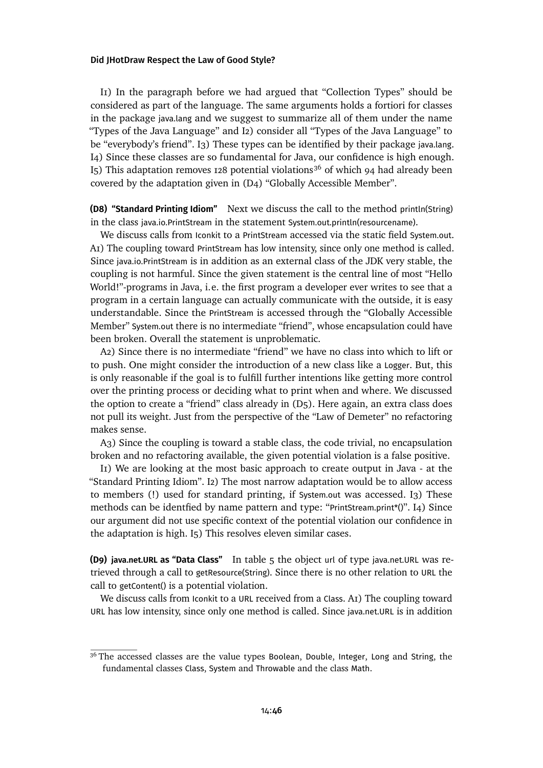II) In the paragraph before we had argued that "Collection Types" should be considered as part of the language. The same arguments holds a fortiori for classes in the package java.lang and we suggest to summarize all of them under the name "Types of the Java Language" and [I2\)](#page-9-2) consider all "Types of the Java Language" to be "everybody's friend". [I3\)](#page-9-3) These types can be identified by their package java.lang. [I4\)](#page-9-4) Since these classes are so fundamental for Java, our confidence is high enough. I<sub>5</sub>) This adaptation removes 128 potential violations<sup>[36](#page-45-2)</sup> of which 94 had already been covered by the adaptation given in [\(D4\) "Globally Accessible Member".](#page-38-1)

<span id="page-45-0"></span>**(D8) "Standard Printing Idiom"** Next we discuss the call to the method println(String) in the class java.io.PrintStream in the statement System.out.println(resourcename).

We discuss calls from Iconkit to a PrintStream accessed via the static field System.out. [A1\)](#page-8-0) The coupling toward PrintStream has low intensity, since only one method is called. Since java.io.PrintStream is in addition as an external class of the JDK very stable, the coupling is not harmful. Since the given statement is the central line of most "Hello World!"-programs in Java, i.e. the first program a developer ever writes to see that a program in a certain language can actually communicate with the outside, it is easy understandable. Since the PrintStream is accessed through the "Globally Accessible Member" System.out there is no intermediate "friend", whose encapsulation could have been broken. Overall the statement is unproblematic.

[A2\)](#page-9-6) Since there is no intermediate "friend" we have no class into which to lift or to push. One might consider the introduction of a new class like a Logger. But, this is only reasonable if the goal is to fulfill further intentions like getting more control over the printing process or deciding what to print when and where. We discussed the option to create a "friend" class already in [\(D5\).](#page-40-0) Here again, an extra class does not pull its weight. Just from the perspective of the "Law of Demeter" no refactoring makes sense.

[A3\)](#page-9-0) Since the coupling is toward a stable class, the code trivial, no encapsulation broken and no refactoring available, the given potential violation is a false positive.

[I1\)](#page-9-1) We are looking at the most basic approach to create output in Java - at the "Standard Printing Idiom". [I2\)](#page-9-2) The most narrow adaptation would be to allow access to members (!) used for standard printing, if System.out was accessed. [I3\)](#page-9-3) These methods can be identfied by name pattern and type: "PrintStream.print\*()". [I4\)](#page-9-4) Since our argument did not use specific context of the potential violation our confidence in the adaptation is high. [I5\)](#page-9-5) This resolves eleven similar cases.

<span id="page-45-1"></span>**(D9) java.net.URL as "Data Class"** In [table 5](#page-44-0) the object url of type java.net.URL was retrieved through a call to getResource(String). Since there is no other relation to URL the call to getContent() is a potential violation.

We discuss calls from Iconkit to a URL received from a Class. [A1\)](#page-8-0) The coupling toward URL has low intensity, since only one method is called. Since java.net.URL is in addition

<span id="page-45-2"></span><sup>&</sup>lt;sup>36</sup> The accessed classes are the value types Boolean, Double, Integer, Long and String, the fundamental classes Class, System and Throwable and the class Math.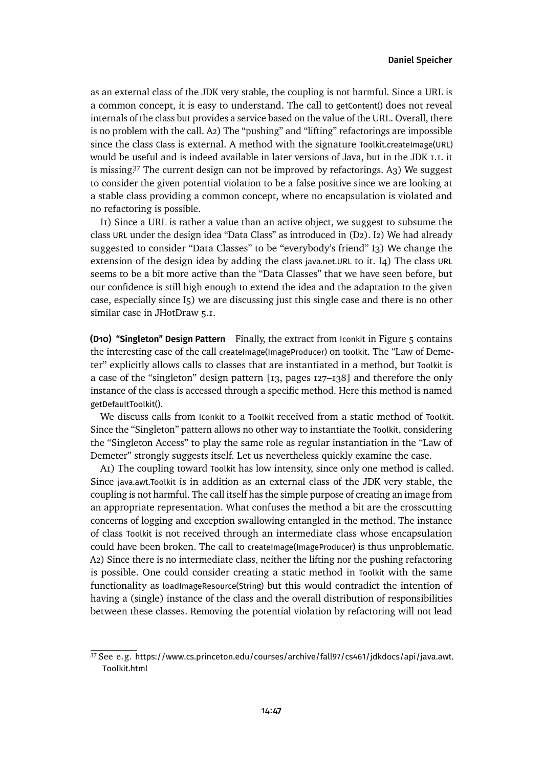as an external class of the JDK very stable, the coupling is not harmful. Since a URL is a common concept, it is easy to understand. The call to getContent() does not reveal internals of the class but provides a service based on the value of the URL. Overall, there is no problem with the call. [A2\)](#page-9-6) The "pushing" and "lifting" refactorings are impossible since the class Class is external. A method with the signature Toolkit.createImage(URL) would be useful and is indeed available in later versions of Java, but in the JDK 1.1. it is missing.<sup>[37](#page-46-1)</sup> The current design can not be improved by refactorings. A<sub>3</sub>) We suggest to consider the given potential violation to be a false positive since we are looking at a stable class providing a common concept, where no encapsulation is violated and no refactoring is possible.

[I1\)](#page-9-1) Since a URL is rather a value than an active object, we suggest to subsume the class URL under the design idea "Data Class" as introduced in [\(D2\).](#page-35-0) [I2\)](#page-9-2) We had already suggested to consider "Data Classes" to be "everybody's friend" [I3\)](#page-9-3) We change the extension of the design idea by adding the class java.net.URL to it. [I4\)](#page-9-4) The class URL seems to be a bit more active than the "Data Classes" that we have seen before, but our confidence is still high enough to extend the idea and the adaptation to the given case, especially since [I5\)](#page-9-5) we are discussing just this single case and there is no other similar case in JHotDraw 5.1.

<span id="page-46-0"></span>**(D10) "Singleton" Design Pattern** Finally, the extract from Iconkit in Figure [5](#page-44-0) contains the interesting case of the call createImage(ImageProducer) on toolkit. The "Law of Demeter" explicitly allows calls to classes that are instantiated in a method, but Toolkit is a case of the "singleton" design pattern [\[13,](#page-29-2) pages 127–138] and therefore the only instance of the class is accessed through a specific method. Here this method is named getDefaultToolkit().

We discuss calls from Iconkit to a Toolkit received from a static method of Toolkit. Since the "Singleton" pattern allows no other way to instantiate the Toolkit, considering the "Singleton Access" to play the same role as regular instantiation in the "Law of Demeter" strongly suggests itself. Let us nevertheless quickly examine the case.

[A1\)](#page-8-0) The coupling toward Toolkit has low intensity, since only one method is called. Since java.awt.Toolkit is in addition as an external class of the JDK very stable, the coupling is not harmful. The call itself has the simple purpose of creating an image from an appropriate representation. What confuses the method a bit are the crosscutting concerns of logging and exception swallowing entangled in the method. The instance of class Toolkit is not received through an intermediate class whose encapsulation could have been broken. The call to createImage(ImageProducer) is thus unproblematic. [A2\)](#page-9-6) Since there is no intermediate class, neither the lifting nor the pushing refactoring is possible. One could consider creating a static method in Toolkit with the same functionality as loadImageResource(String) but this would contradict the intention of having a (single) instance of the class and the overall distribution of responsibilities between these classes. Removing the potential violation by refactoring will not lead

<span id="page-46-1"></span><sup>37</sup> See e.g. [https://www.cs.princeton.edu/courses/archive/fall97/cs461/jdkdocs/api/java.awt.](https://www.cs.princeton.edu/courses/archive/fall97/cs461/jdkdocs/api/java.awt.Toolkit.html) [Toolkit.html](https://www.cs.princeton.edu/courses/archive/fall97/cs461/jdkdocs/api/java.awt.Toolkit.html)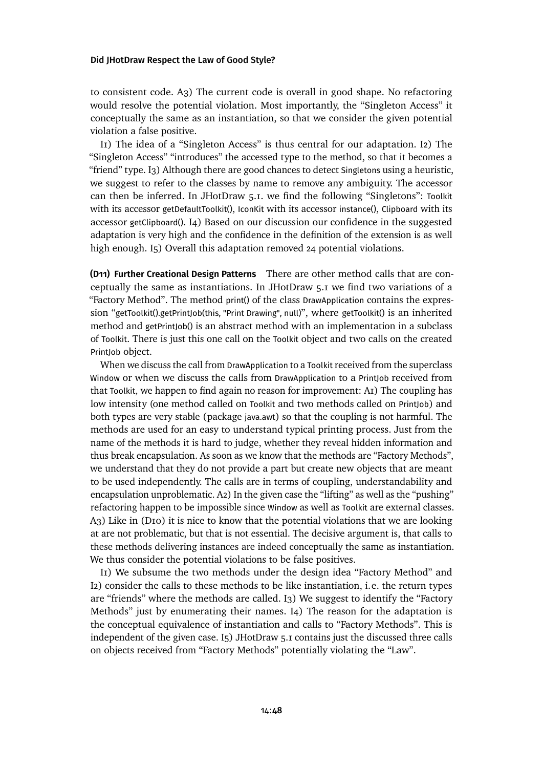to consistent code. [A3\)](#page-9-0) The current code is overall in good shape. No refactoring would resolve the potential violation. Most importantly, the "Singleton Access" it conceptually the same as an instantiation, so that we consider the given potential violation a false positive.

[I1\)](#page-9-1) The idea of a "Singleton Access" is thus central for our adaptation. [I2\)](#page-9-2) The "Singleton Access" "introduces" the accessed type to the method, so that it becomes a "friend" type. [I3\)](#page-9-3) Although there are good chances to detect Singletons using a heuristic, we suggest to refer to the classes by name to remove any ambiguity. The accessor can then be inferred. In JHotDraw 5.1. we find the following "Singletons": Toolkit with its accessor getDefaultToolkit(), IconKit with its accessor instance(), Clipboard with its accessor getClipboard(). [I4\)](#page-9-4) Based on our discussion our confidence in the suggested adaptation is very high and the confidence in the definition of the extension is as well high enough. I<sub>5</sub>) Overall this adaptation removed 24 potential violations.

<span id="page-47-0"></span>**(D11) Further Creational Design Patterns** There are other method calls that are conceptually the same as instantiations. In JHotDraw 5.1 we find two variations of a "Factory Method". The method print() of the class DrawApplication contains the expression "getToolkit().getPrintJob(this, "Print Drawing", null)", where getToolkit() is an inherited method and getPrintJob() is an abstract method with an implementation in a subclass of Toolkit. There is just this one call on the Toolkit object and two calls on the created PrintJob object.

When we discuss the call from DrawApplication to a Toolkit received from the superclass Window or when we discuss the calls from DrawApplication to a PrintJob received from that Toolkit, we happen to find again no reason for improvement: AI) The coupling has low intensity (one method called on Toolkit and two methods called on PrintJob) and both types are very stable (package java.awt) so that the coupling is not harmful. The methods are used for an easy to understand typical printing process. Just from the name of the methods it is hard to judge, whether they reveal hidden information and thus break encapsulation. As soon as we know that the methods are "Factory Methods", we understand that they do not provide a part but create new objects that are meant to be used independently. The calls are in terms of coupling, understandability and encapsulation unproblematic. [A2\)](#page-9-6) In the given case the "lifting" as well as the "pushing" refactoring happen to be impossible since Window as well as Toolkit are external classes. [A3\)](#page-9-0) Like in [\(D10\)](#page-46-0) it is nice to know that the potential violations that we are looking at are not problematic, but that is not essential. The decisive argument is, that calls to these methods delivering instances are indeed conceptually the same as instantiation. We thus consider the potential violations to be false positives.

[I1\)](#page-9-1) We subsume the two methods under the design idea "Factory Method" and [I2\)](#page-9-2) consider the calls to these methods to be like instantiation, i.e. the return types are "friends" where the methods are called. [I3\)](#page-9-3) We suggest to identify the "Factory Methods" just by enumerating their names. [I4\)](#page-9-4) The reason for the adaptation is the conceptual equivalence of instantiation and calls to "Factory Methods". This is independent of the given case. [I5\)](#page-9-5) JHotDraw 5.1 contains just the discussed three calls on objects received from "Factory Methods" potentially violating the "Law".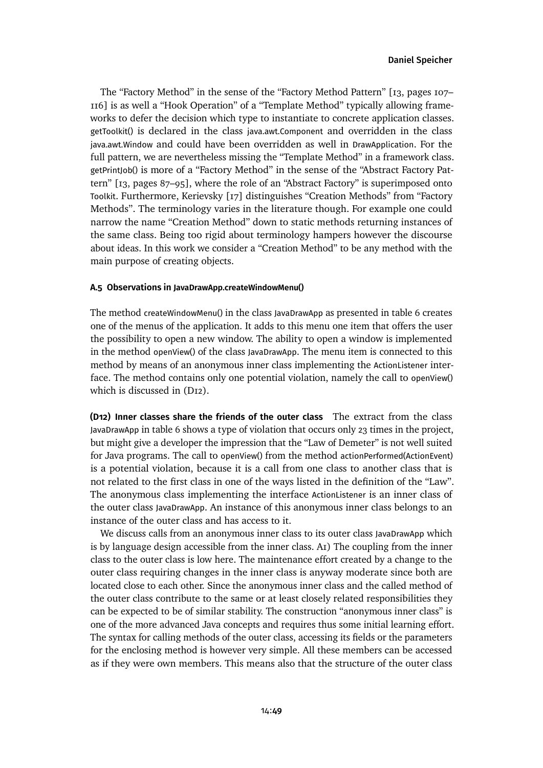The "Factory Method" in the sense of the "Factory Method Pattern" [\[13,](#page-29-2) pages 107– 116] is as well a "Hook Operation" of a "Template Method" typically allowing frameworks to defer the decision which type to instantiate to concrete application classes. getToolkit() is declared in the class java.awt.Component and overridden in the class java.awt.Window and could have been overridden as well in DrawApplication. For the full pattern, we are nevertheless missing the "Template Method" in a framework class. getPrintJob() is more of a "Factory Method" in the sense of the "Abstract Factory Pattern" [\[13,](#page-29-2) pages 87–95], where the role of an "Abstract Factory" is superimposed onto Toolkit. Furthermore, Kerievsky [\[17\]](#page-29-3) distinguishes "Creation Methods" from "Factory Methods". The terminology varies in the literature though. For example one could narrow the name "Creation Method" down to static methods returning instances of the same class. Being too rigid about terminology hampers however the discourse about ideas. In this work we consider a "Creation Method" to be any method with the main purpose of creating objects.

## **A.5 Observations in JavaDrawApp.createWindowMenu()**

The method createWindowMenu() in the class JavaDrawApp as presented in [table 6](#page-49-0) creates one of the menus of the application. It adds to this menu one item that offers the user the possibility to open a new window. The ability to open a window is implemented in the method openView() of the class JavaDrawApp. The menu item is connected to this method by means of an anonymous inner class implementing the ActionListener interface. The method contains only one potential violation, namely the call to openView() which is discussed in [\(D12\).](#page-48-0)

<span id="page-48-0"></span>**(D12) Inner classes share the friends of the outer class** The extract from the class JavaDrawApp in [table 6](#page-49-0) shows a type of violation that occurs only 23 times in the project, but might give a developer the impression that the "Law of Demeter" is not well suited for Java programs. The call to openView() from the method actionPerformed(ActionEvent) is a potential violation, because it is a call from one class to another class that is not related to the first class in one of the ways listed in the definition of the "Law". The anonymous class implementing the interface ActionListener is an inner class of the outer class JavaDrawApp. An instance of this anonymous inner class belongs to an instance of the outer class and has access to it.

We discuss calls from an anonymous inner class to its outer class JavaDrawApp which is by language design accessible from the inner class. [A1\)](#page-8-0) The coupling from the inner class to the outer class is low here. The maintenance effort created by a change to the outer class requiring changes in the inner class is anyway moderate since both are located close to each other. Since the anonymous inner class and the called method of the outer class contribute to the same or at least closely related responsibilities they can be expected to be of similar stability. The construction "anonymous inner class" is one of the more advanced Java concepts and requires thus some initial learning effort. The syntax for calling methods of the outer class, accessing its fields or the parameters for the enclosing method is however very simple. All these members can be accessed as if they were own members. This means also that the structure of the outer class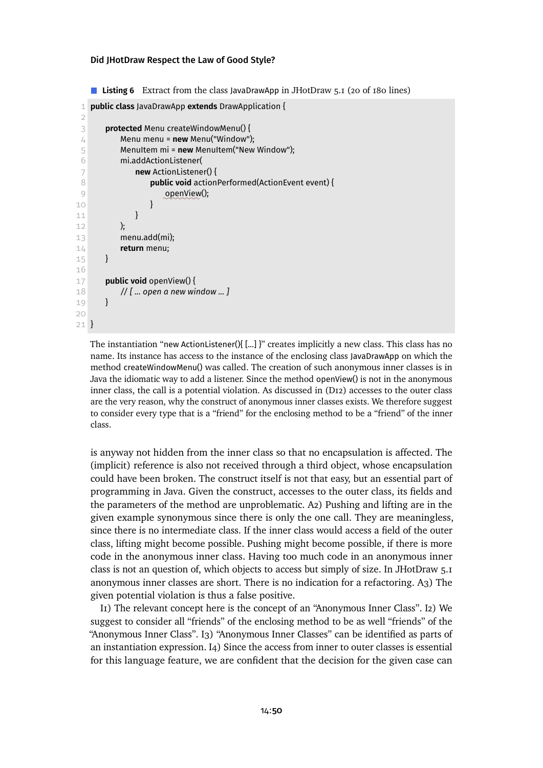<span id="page-49-0"></span>**Listing 6** Extract from the class JavaDrawApp in JHotDraw 5.1 (20 of 180 lines)

```
1 public class JavaDrawApp extends DrawApplication {
 \mathcal{D}3 protected Menu createWindowMenu() {
 4 Menu menu = new Menu("Window");
 5 MenuItem mi = new MenuItem("New Window");
 6 mi.addActionListener(
 7 new ActionListener() {
 8 public void actionPerformed(ActionEvent event) {
 9 ✿✿✿✿✿✿✿✿
openView();
10 }
11 }
12 );
13 menu.add(mi);
14 return menu;
15 }
16
17 public void openView() {
18 // [ ... open a new window ... ]
19 }
20
21 }
```
The instantiation "new ActionListener(){ [...] }" creates implicitly a new class. This class has no name. Its instance has access to the instance of the enclosing class JavaDrawApp on which the method createWindowMenu() was called. The creation of such anonymous inner classes is in Java the idiomatic way to add a listener. Since the method openView() is not in the anonymous inner class, the call is a potential violation. As discussedin [\(D12\)](#page-48-0) accesses to the outer class are the very reason, why the construct of anonymous inner classes exists. We therefore suggest to consider every type that is a "friend" for the enclosing method to be a "friend" of the inner class.

is anyway not hidden from the inner class so that no encapsulation is affected. The (implicit) reference is also not received through a third object, whose encapsulation could have been broken. The construct itself is not that easy, but an essential part of programming in Java. Given the construct, accesses to the outer class, its fields and the parameters of the method are unproblematic. [A2\)](#page-9-6) Pushing and lifting are in the given example synonymous since there is only the one call. They are meaningless, since there is no intermediate class. If the inner class would access a field of the outer class, lifting might become possible. Pushing might become possible, if there is more code in the anonymous inner class. Having too much code in an anonymous inner class is not an question of, which objects to access but simply of size. In JHotDraw 5.1 anonymous inner classes are short. There is no indication for a refactoring. [A3\)](#page-9-0) The given potential violation is thus a false positive.

[I1\)](#page-9-1) The relevant concept here is the concept of an "Anonymous Inner Class". [I2\)](#page-9-2) We suggest to consider all "friends" of the enclosing method to be as well "friends" of the "Anonymous Inner Class". [I3\)](#page-9-3) "Anonymous Inner Classes" can be identified as parts of an instantiation expression. [I4\)](#page-9-4) Since the access from inner to outer classes is essential for this language feature, we are confident that the decision for the given case can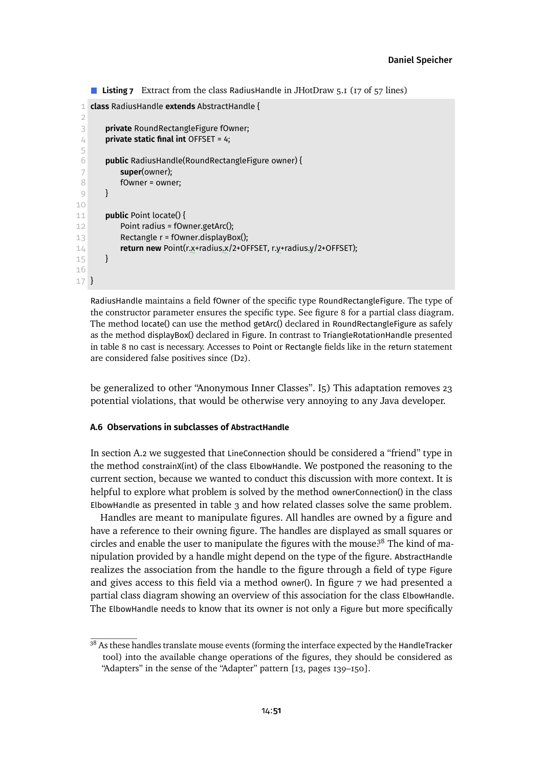```
■ Listing 7 Extract from the class RadiusHandle in JHotDraw 5.1 (17 of 57 lines)
```

```
1 class RadiusHandle extends AbstractHandle {
 \mathcal{D}3 private RoundRectangleFigure fOwner;
 4 private static final int OFFSET = 4;
 5
 6 public RadiusHandle(RoundRectangleFigure owner) {
 7 super(owner);
 8 fOwner = owner;
 9 }
10
11 public Point locate() {
12 Point radius = fOwner.getArc();
13 Rectangle r = fOwner.displayBox();
14 return new Point(r.x+radius.x/2+OFFSET, r.y+radius.y/2+OFFSET);
15 }
16
17 }
```
RadiusHandle maintains a field fOwner of the specific type RoundRectangleFigure. The type of the constructor parameter ensures the specific type. See [figure 8](#page-54-0) for a partial class diagram. The method locate() can use the method getArc() declared in RoundRectangleFigure as safely as the method displayBox() declared in Figure. In contrast to TriangleRotationHandle presented in [table 8](#page-53-0) no cast is necessary. Accesses to Point or Rectangle fields like in the return statement are considered false positives since [\(D2\).](#page-35-0)

be generalized to other "Anonymous Inner Classes". [I5\)](#page-9-5) This adaptation removes 23 potential violations, that would be otherwise very annoying to any Java developer.

### <span id="page-50-0"></span>**A.6 Observations in subclasses of AbstractHandle**

In [section A.2](#page-32-0) we suggested that LineConnection should be considered a "friend" type in the method constrainX(int) of the class ElbowHandle. We postponed the reasoning to the current section, because we wanted to conduct this discussion with more context. It is helpful to explore what problem is solved by the method ownerConnection() in the class ElbowHandle as presented in [table 3](#page-33-0) and how related classes solve the same problem.

Handles are meant to manipulate figures. All handles are owned by a figure and have a reference to their owning figure. The handles are displayed as small squares or circles and enable the user to manipulate the figures with the mouse.<sup>[38](#page-50-1)</sup> The kind of manipulation provided by a handle might depend on the type of the figure. AbstractHandle realizes the association from the handle to the figure through a field of type Figure and gives access to this field via a method owner(). In [figure 7](#page-34-0) we had presented a partial class diagram showing an overview of this association for the class ElbowHandle. The ElbowHandle needs to know that its owner is not only a Figure but more specifically

<span id="page-50-1"></span><sup>&</sup>lt;sup>38</sup> As these handles translate mouse events (forming the interface expected by the HandleTracker tool) into the available change operations of the figures, they should be considered as "Adapters" in the sense of the "Adapter" pattern [\[13,](#page-29-2) pages 139–150].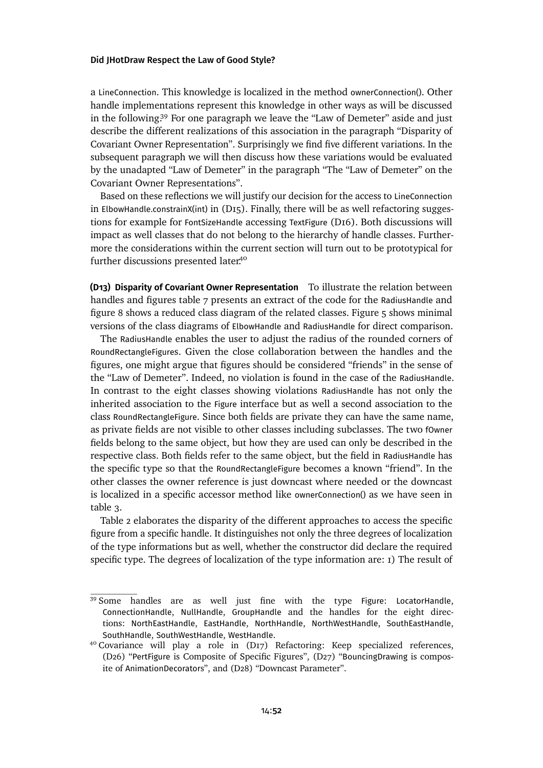a LineConnection. This knowledge is localized in the method ownerConnection(). Other handle implementations represent this knowledge in other ways as will be discussed in the following.[39](#page-51-0) For one paragraph we leave the "Law of Demeter" aside and just describe the different realizations of this association in the paragraph ["Disparity of](#page-51-1) [Covariant Owner Representation"](#page-51-1). Surprisingly we find five different variations. In the subsequent paragraph we will then discuss how these variations would be evaluated by the unadapted "Law of Demeter" in the paragraph ["The "Law of Demeter" on the](#page-56-0) [Covariant Owner Representations"](#page-56-0).

Based on these reflections we will justify our decision for the access to LineConnection in ElbowHandle.constrainX(int) in [\(D15\).](#page-56-1) Finally, there will be as well refactoring suggestions for example for FontSizeHandle accessing TextFigure [\(D16\).](#page-57-0) Both discussions will impact as well classes that do not belong to the hierarchy of handle classes. Furthermore the considerations within the current section will turn out to be prototypical for further discussions presented later.<sup>[40](#page-51-2)</sup>

<span id="page-51-1"></span>**(D13) Disparity of Covariant Owner Representation** To illustrate the relation between handles and figures [table 7](#page-50-2) presents an extract of the code for the RadiusHandle and [figure 8](#page-54-0) shows a reduced class diagram of the related classes. [Figure 5](#page-15-0) shows minimal versions of the class diagrams of ElbowHandle and RadiusHandle for direct comparison.

The RadiusHandle enables the user to adjust the radius of the rounded corners of RoundRectangleFigures. Given the close collaboration between the handles and the figures, one might argue that figures should be considered "friends" in the sense of the "Law of Demeter". Indeed, no violation is found in the case of the RadiusHandle. In contrast to the eight classes showing violations RadiusHandle has not only the inherited association to the Figure interface but as well a second association to the class RoundRectangleFigure. Since both fields are private they can have the same name, as private fields are not visible to other classes including subclasses. The two fOwner fields belong to the same object, but how they are used can only be described in the respective class. Both fields refer to the same object, but the field in RadiusHandle has the specific type so that the RoundRectangleFigure becomes a known "friend". In the other classes the owner reference is just downcast where needed or the downcast is localized in a specific accessor method like ownerConnection() as we have seen in [table 3.](#page-33-0)

[Table 2](#page-52-0) elaborates the disparity of the different approaches to access the specific figure from a specific handle. It distinguishes not only the three degrees of localization of the type informations but as well, whether the constructor did declare the required specific type. The degrees of localization of the type information are: 1) The result of

<span id="page-51-0"></span><sup>&</sup>lt;sup>39</sup> Some handles are as well just fine with the type Figure: LocatorHandle, ConnectionHandle, NullHandle, GroupHandle and the handles for the eight directions: NorthEastHandle, EastHandle, NorthHandle, NorthWestHandle, SouthEastHandle, SouthHandle, SouthWestHandle, WestHandle.

<span id="page-51-2"></span><sup>&</sup>lt;sup>40</sup> Covariance will play a role in [\(D17\) Refactoring: Keep specialized references,](#page-58-0) (D26) "PertFigure [is Composite of Specific Figures",](#page-72-0) (D27) "[BouncingDrawing](#page-72-1) is composite of [AnimationDecorator](#page-72-1)s", and [\(D28\) "Downcast Parameter".](#page-74-0)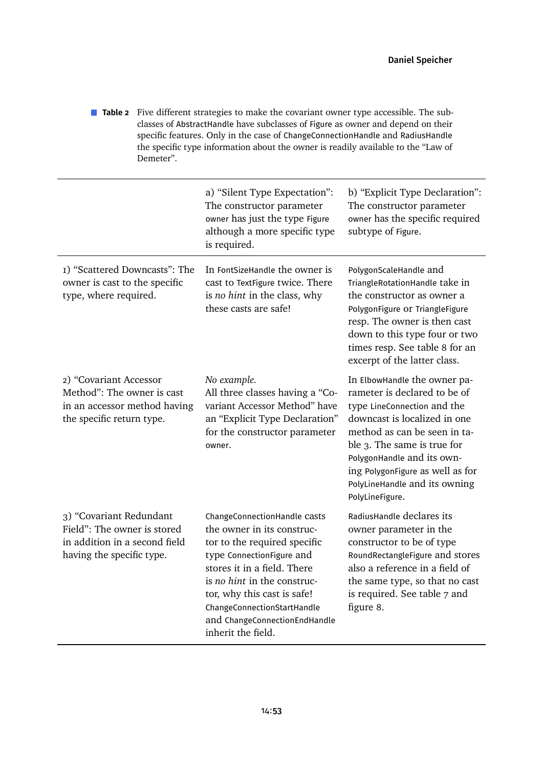<span id="page-52-0"></span>**Table 2** Five different strategies to make the covariant owner type accessible. The subclasses of AbstractHandle have subclasses of Figure as owner and depend on their specific features. Only in the case of ChangeConnectionHandle and RadiusHandle the specific type information about the owner is readily available to the "Law of Demeter".

|                                                                                                                      | a) "Silent Type Expectation":<br>The constructor parameter<br>owner has just the type Figure<br>although a more specific type<br>is required.                                                                                                                                                              | b) "Explicit Type Declaration":<br>The constructor parameter<br>owner has the specific required<br>subtype of Figure.                                                                                                                                                                                            |
|----------------------------------------------------------------------------------------------------------------------|------------------------------------------------------------------------------------------------------------------------------------------------------------------------------------------------------------------------------------------------------------------------------------------------------------|------------------------------------------------------------------------------------------------------------------------------------------------------------------------------------------------------------------------------------------------------------------------------------------------------------------|
| I) "Scattered Downcasts": The<br>owner is cast to the specific<br>type, where required.                              | In FontSizeHandle the owner is<br>cast to TextFigure twice. There<br>is no hint in the class, why<br>these casts are safe!                                                                                                                                                                                 | PolygonScaleHandle and<br>TriangleRotationHandle take in<br>the constructor as owner a<br>PolygonFigure Or TriangleFigure<br>resp. The owner is then cast<br>down to this type four or two<br>times resp. See table 8 for an<br>excerpt of the latter class.                                                     |
| 2) "Covariant Accessor<br>Method": The owner is cast<br>in an accessor method having<br>the specific return type.    | No example.<br>All three classes having a "Co-<br>variant Accessor Method" have<br>an "Explicit Type Declaration"<br>for the constructor parameter<br>owner.                                                                                                                                               | In ElbowHandle the owner pa-<br>rameter is declared to be of<br>type LineConnection and the<br>downcast is localized in one<br>method as can be seen in ta-<br>ble 3. The same is true for<br>PolygonHandle and its own-<br>ing PolygonFigure as well as for<br>PolyLineHandle and its owning<br>PolyLineFigure. |
| 3) "Covariant Redundant<br>Field": The owner is stored<br>in addition in a second field<br>having the specific type. | ChangeConnectionHandle casts<br>the owner in its construc-<br>tor to the required specific<br>type ConnectionFigure and<br>stores it in a field. There<br>is no hint in the construc-<br>tor, why this cast is safe!<br>ChangeConnectionStartHandle<br>and ChangeConnectionEndHandle<br>inherit the field. | RadiusHandle declares its<br>owner parameter in the<br>constructor to be of type<br>RoundRectangleFigure and stores<br>also a reference in a field of<br>the same type, so that no cast<br>is required. See table 7 and<br>figure 8.                                                                             |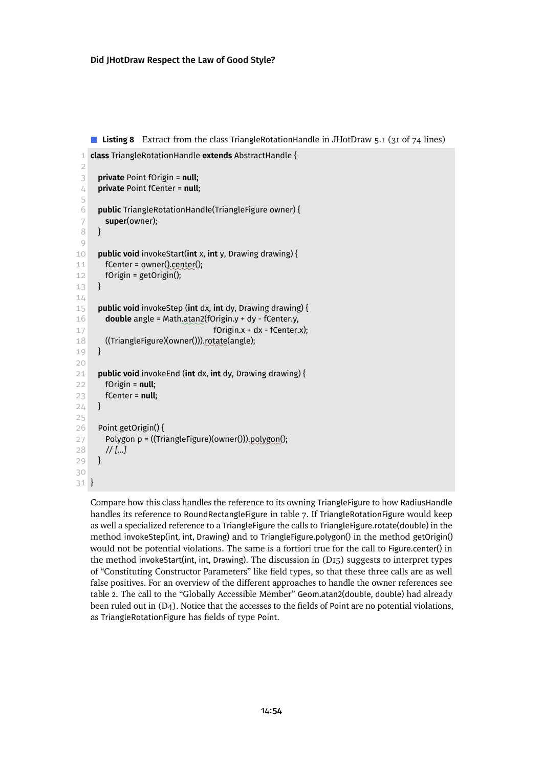<span id="page-53-0"></span>**Listing 8** Extract from the class TriangleRotationHandle in JHotDraw 5.1 (31 of 74 lines)

```
1 class TriangleRotationHandle extends AbstractHandle {
 2
 3 private Point fOrigin = null;
 4 private Point fCenter = null;
 5
 6 public TriangleRotationHandle(TriangleFigure owner) {
 7 super(owner);
 8 }
 9
10 public void invokeStart(int x, int y, Drawing drawing) {
11 fCenter = owner().center();
12 fOrigin = getOrigin();
13 }
14
15 public void invokeStep (int dx, int dy, Drawing drawing) {
16 double angle = Math.atan2(fOrigin.y + dy - fCenter.y,
17 fOrigin.x + dx - fCenter.x);
18 ((TriangleFigure)(owner())).rotate(angle);
19 }
20
21 public void invokeEnd (int dx, int dy, Drawing drawing) {
22 fOrigin = null;
23 fCenter = null;
24 }
25
26 Point getOrigin() {
27 Polygon p = ((TriangleFigure)(owner())).<u>polygon(</u>);
28 // [...]
29 }
30
31 }
```
Compare how this class handles the reference to its owning TriangleFigure to how RadiusHandle handles its reference to RoundRectangleFigure in [table 7.](#page-50-2) If TriangleRotationFigure would keep as well a specialized reference to a TriangleFigure the calls to TriangleFigure.rotate(double) in the method invokeStep(int, int, Drawing) and to TriangleFigure.polygon() in the method getOrigin() would not be potential violations. The same is a fortiori true for the call to Figure.center() in the method invokeStart(int, int, Drawing). The discussion in [\(D15\)](#page-56-1) suggests to interpret types of "Constituting Constructor Parameters" like field types, so that these three calls are as well false positives. For an overview of the different approaches to handle the owner references see [table 2.](#page-52-0) The call to the "Globally Accessible Member" Geom.atan2(double, double) had already been ruled outin [\(D4\).](#page-38-1) Notice that the accesses to the fields of Point are no potential violations, as TriangleRotationFigure has fields of type Point.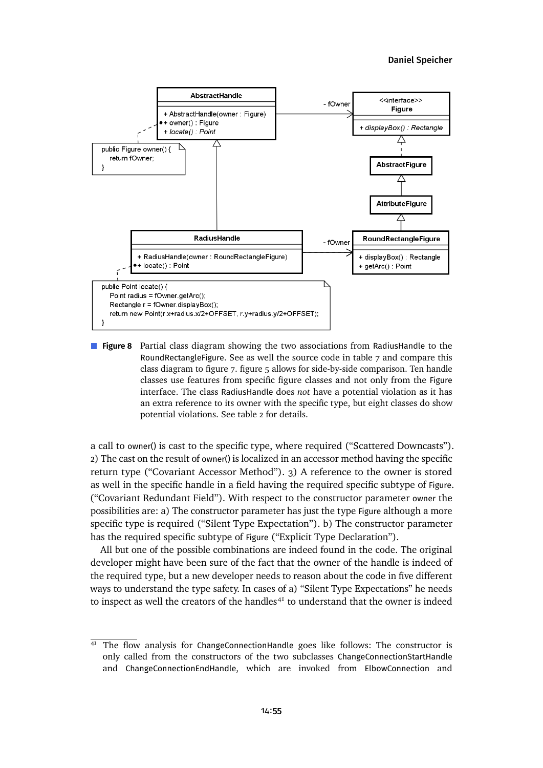<span id="page-54-0"></span>

**Figure 8** Partial class diagram showing the two associations from RadiusHandle to the RoundRectangleFigure. See as well the source code in [table 7](#page-50-2) and compare this class diagramto [figure 7.](#page-34-0) [figure 5](#page-15-0) allows for side-by-side comparison. Ten handle classes use features from specific figure classes and not only from the Figure interface. The class RadiusHandle does *not* have a potential violation as it has an extra reference to its owner with the specific type, but eight classes do show potential violations. See [table 2](#page-52-0) for details.

a call to owner() is cast to the specific type, where required ("Scattered Downcasts"). 2) The cast on the result of owner() is localized in an accessor method having the specific return type ("Covariant Accessor Method"). 3) A reference to the owner is stored as well in the specific handle in a field having the required specific subtype of Figure. ("Covariant Redundant Field"). With respect to the constructor parameter owner the possibilities are: a) The constructor parameter has just the type Figure although a more specific type is required ("Silent Type Expectation"). b) The constructor parameter has the required specific subtype of Figure ("Explicit Type Declaration").

All but one of the possible combinations are indeed found in the code. The original developer might have been sure of the fact that the owner of the handle is indeed of the required type, but a new developer needs to reason about the code in five different ways to understand the type safety. In cases of a) "Silent Type Expectations" he needs to inspect as well the creators of the handles $41$  to understand that the owner is indeed

<span id="page-54-1"></span> $41$  The flow analysis for ChangeConnectionHandle goes like follows: The constructor is only called from the constructors of the two subclasses ChangeConnectionStartHandle and ChangeConnectionEndHandle, which are invoked from ElbowConnection and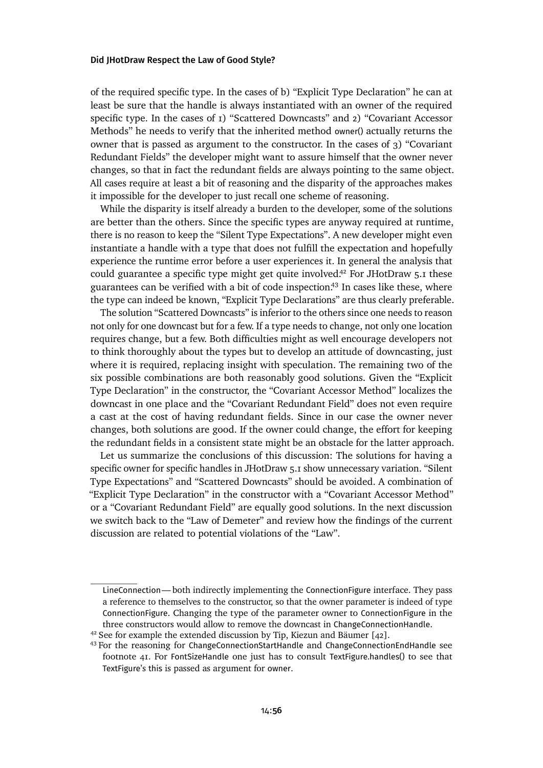of the required specific type. In the cases of b) "Explicit Type Declaration" he can at least be sure that the handle is always instantiated with an owner of the required specific type. In the cases of 1) "Scattered Downcasts" and 2) "Covariant Accessor Methods" he needs to verify that the inherited method owner() actually returns the owner that is passed as argument to the constructor. In the cases of 3) "Covariant Redundant Fields" the developer might want to assure himself that the owner never changes, so that in fact the redundant fields are always pointing to the same object. All cases require at least a bit of reasoning and the disparity of the approaches makes it impossible for the developer to just recall one scheme of reasoning.

While the disparity is itself already a burden to the developer, some of the solutions are better than the others. Since the specific types are anyway required at runtime, there is no reason to keep the "Silent Type Expectations". A new developer might even instantiate a handle with a type that does not fulfill the expectation and hopefully experience the runtime error before a user experiences it. In general the analysis that could guarantee a specific type might get quite involved.<sup>[42](#page-55-0)</sup> For JHotDraw 5.1 these guarantees can be verified with a bit of code inspection.<sup>[43](#page-55-1)</sup> In cases like these, where the type can indeed be known, "Explicit Type Declarations" are thus clearly preferable.

The solution "Scattered Downcasts" is inferior to the others since one needs to reason not only for one downcast but for a few. If a type needs to change, not only one location requires change, but a few. Both difficulties might as well encourage developers not to think thoroughly about the types but to develop an attitude of downcasting, just where it is required, replacing insight with speculation. The remaining two of the six possible combinations are both reasonably good solutions. Given the "Explicit Type Declaration" in the constructor, the "Covariant Accessor Method" localizes the downcast in one place and the "Covariant Redundant Field" does not even require a cast at the cost of having redundant fields. Since in our case the owner never changes, both solutions are good. If the owner could change, the effort for keeping the redundant fields in a consistent state might be an obstacle for the latter approach.

Let us summarize the conclusions of this discussion: The solutions for having a specific owner for specific handles in JHotDraw 5.1 show unnecessary variation. "Silent Type Expectations" and "Scattered Downcasts" should be avoided. A combination of "Explicit Type Declaration" in the constructor with a "Covariant Accessor Method" or a "Covariant Redundant Field" are equally good solutions. In the next discussion we switch back to the "Law of Demeter" and review how the findings of the current discussion are related to potential violations of the "Law".

LineConnection— both indirectly implementing the ConnectionFigure interface. They pass a reference to themselves to the constructor, so that the owner parameter is indeed of type ConnectionFigure. Changing the type of the parameter owner to ConnectionFigure in the three constructors would allow to remove the downcast in ChangeConnectionHandle.

<span id="page-55-0"></span><sup>&</sup>lt;sup>42</sup> See for example the extended discussion by Tip, Kiezun and Bäumer [\[42\]](#page-31-0).

<span id="page-55-1"></span><sup>43</sup> For the reasoning for ChangeConnectionStartHandle and ChangeConnectionEndHandle see footnote [41.](#page-54-1) For FontSizeHandle one just has to consult TextFigure.handles() to see that TextFigure's this is passed as argument for owner.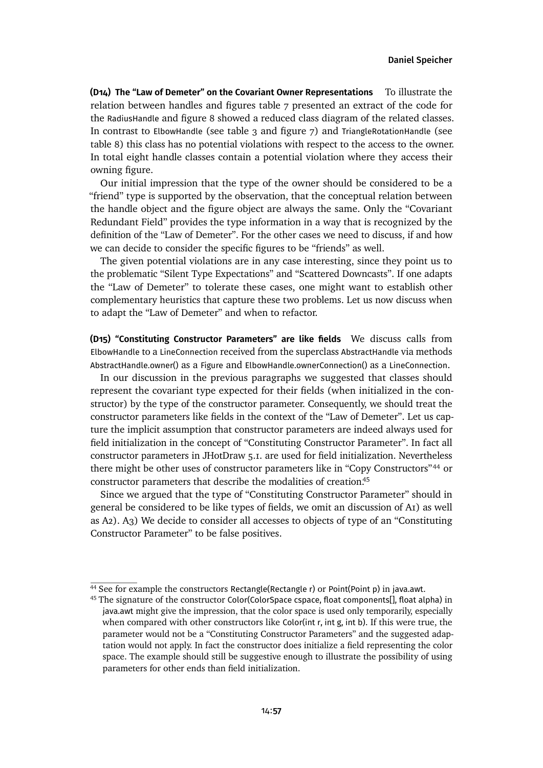<span id="page-56-0"></span>**(D14) The "Law of Demeter" on the Covariant Owner Representations** To illustrate the relation between handles and figures [table 7](#page-50-2) presented an extract of the code for the RadiusHandle and [figure 8](#page-54-0) showed a reduced class diagram of the related classes. In contrast to ElbowHandle (see [table 3](#page-33-0) and [figure 7\)](#page-34-0) and TriangleRotationHandle (see [table 8\)](#page-53-0) this class has no potential violations with respect to the access to the owner. In total eight handle classes contain a potential violation where they access their owning figure.

Our initial impression that the type of the owner should be considered to be a "friend" type is supported by the observation, that the conceptual relation between the handle object and the figure object are always the same. Only the "Covariant Redundant Field" provides the type information in a way that is recognized by the definition of the "Law of Demeter". For the other cases we need to discuss, if and how we can decide to consider the specific figures to be "friends" as well.

The given potential violations are in any case interesting, since they point us to the problematic "Silent Type Expectations" and "Scattered Downcasts". If one adapts the "Law of Demeter" to tolerate these cases, one might want to establish other complementary heuristics that capture these two problems. Let us now discuss when to adapt the "Law of Demeter" and when to refactor.

<span id="page-56-1"></span>**(D15) "Constituting Constructor Parameters" are like fields** We discuss calls from ElbowHandle to a LineConnection received from the superclass AbstractHandle via methods AbstractHandle.owner() as a Figure and ElbowHandle.ownerConnection() as a LineConnection.

In our discussion in the previous paragraphs we suggested that classes should represent the covariant type expected for their fields (when initialized in the constructor) by the type of the constructor parameter. Consequently, we should treat the constructor parameters like fields in the context of the "Law of Demeter". Let us capture the implicit assumption that constructor parameters are indeed always used for field initialization in the concept of "Constituting Constructor Parameter". In fact all constructor parameters in JHotDraw 5.1. are used for field initialization. Nevertheless there might be other uses of constructor parameters like in "Copy Constructors"[44](#page-56-2) or constructor parameters that describe the modalities of creation.[45](#page-56-3)

Since we argued that the type of "Constituting Constructor Parameter" should in general be considered to be like types of fields, we omit an discussion of [A1\)](#page-8-0) as well as [A2\)](#page-9-6). [A3\)](#page-9-0) We decide to consider all accesses to objects of type of an "Constituting Constructor Parameter" to be false positives.

<span id="page-56-2"></span><sup>&</sup>lt;sup>44</sup> See for example the constructors Rectangle(Rectangle r) or Point(Point p) in java.awt.

<span id="page-56-3"></span><sup>&</sup>lt;sup>45</sup> The signature of the constructor Color(ColorSpace cspace, float components[], float alpha) in java.awt might give the impression, that the color space is used only temporarily, especially when compared with other constructors like Color(int r, int g, int b). If this were true, the parameter would not be a "Constituting Constructor Parameters" and the suggested adaptation would not apply. In fact the constructor does initialize a field representing the color space. The example should still be suggestive enough to illustrate the possibility of using parameters for other ends than field initialization.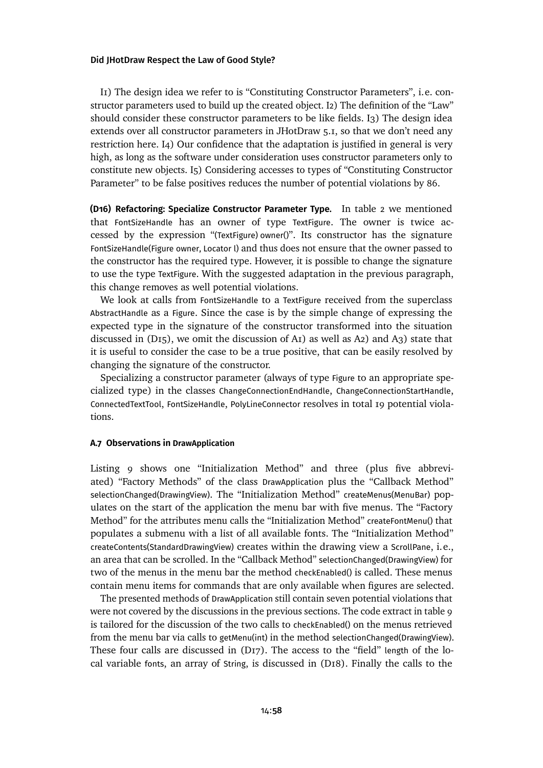[I1\)](#page-9-1) The design idea we refer to is "Constituting Constructor Parameters", i.e. constructor parameters used to build up the created object. [I2\)](#page-9-2) The definition of the "Law" should consider these constructor parameters to be like fields. [I3\)](#page-9-3) The design idea extends over all constructor parameters in JHotDraw 5.1, so that we don't need any restriction here. [I4\)](#page-9-4) Our confidence that the adaptation is justified in general is very high, as long as the software under consideration uses constructor parameters only to constitute new objects. [I5\)](#page-9-5) Considering accesses to types of "Constituting Constructor Parameter" to be false positives reduces the number of potential violations by 86.

<span id="page-57-0"></span>**(D16) Refactoring: Specialize Constructor Parameter Type.** In [table 2](#page-52-0) we mentioned that FontSizeHandle has an owner of type TextFigure. The owner is twice accessed by the expression "(TextFigure) owner()". Its constructor has the signature FontSizeHandle(Figure owner, Locator l) and thus does not ensure that the owner passed to the constructor has the required type. However, it is possible to change the signature to use the type TextFigure. With the suggested adaptation in the previous paragraph, this change removes as well potential violations.

We look at calls from FontSizeHandle to a TextFigure received from the superclass AbstractHandle as a Figure. Since the case is by the simple change of expressing the expected type in the signature of the constructor transformed into the situation discussed in  $(D_15)$ , we omit the discussion of A<sub>1</sub>) as well as A<sub>2</sub>) and A<sub>3</sub>) state that it is useful to consider the case to be a true positive, that can be easily resolved by changing the signature of the constructor.

Specializing a constructor parameter (always of type Figure to an appropriate specialized type) in the classes ChangeConnectionEndHandle, ChangeConnectionStartHandle, ConnectedTextTool, FontSizeHandle, PolyLineConnector resolves in total 19 potential violations.

### **A.7 Observations in DrawApplication**

[Listing 9](#page-59-0) shows one "Initialization Method" and three (plus five abbreviated) "Factory Methods" of the class DrawApplication plus the "Callback Method" selectionChanged(DrawingView). The "Initialization Method" createMenus(MenuBar) populates on the start of the application the menu bar with five menus. The "Factory Method" for the attributes menu calls the "Initialization Method" createFontMenu() that populates a submenu with a list of all available fonts. The "Initialization Method" createContents(StandardDrawingView) creates within the drawing view a ScrollPane, i.e., an area that can be scrolled. In the "Callback Method" selectionChanged(DrawingView) for two of the menus in the menu bar the method checkEnabled() is called. These menus contain menu items for commands that are only available when figures are selected.

The presented methods of DrawApplication still contain seven potential violations that were not covered by the discussions in the previous sections. The code extractin [table 9](#page-59-0) is tailored for the discussion of the two calls to checkEnabled() on the menus retrieved from the menu bar via calls to getMenu(int) in the method selectionChanged(DrawingView). These four calls are discussed in  $(D_{17})$ . The access to the "field" length of the local variable fonts, an array of String, is discussed in [\(D18\).](#page-58-1) Finally the calls to the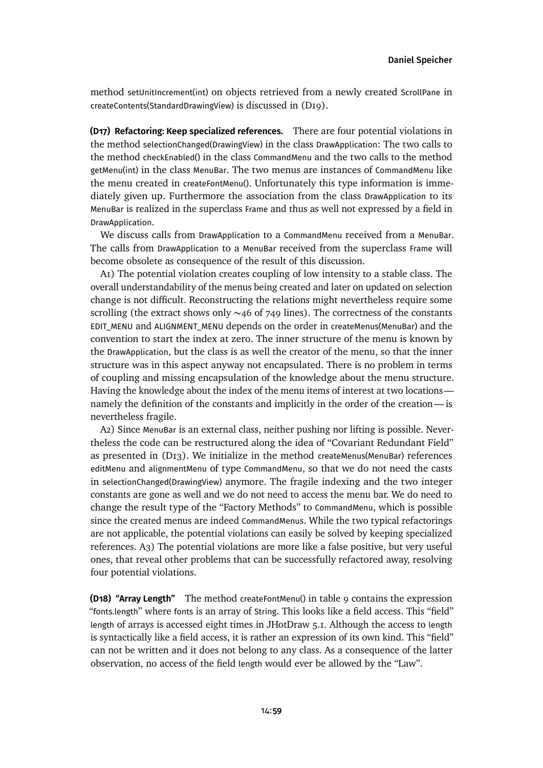method setUnitIncrement(int) on objects retrieved from a newly created ScrollPane in createContents(StandardDrawingView) is discussed in [\(D19\).](#page-60-0)

<span id="page-58-0"></span>**(D17) Refactoring: Keep specialized references.** There are four potential violations in the method selectionChanged(DrawingView) in the class DrawApplication: The two calls to the method checkEnabled() in the class CommandMenu and the two calls to the method getMenu(int) in the class MenuBar. The two menus are instances of CommandMenu like the menu created in createFontMenu(). Unfortunately this type information is immediately given up. Furthermore the association from the class DrawApplication to its MenuBar is realized in the superclass Frame and thus as well not expressed by a field in DrawApplication.

We discuss calls from DrawApplication to a CommandMenu received from a MenuBar. The calls from DrawApplication to a MenuBar received from the superclass Frame will become obsolete as consequence of the result of this discussion.

[A1\)](#page-8-0) The potential violation creates coupling of low intensity to a stable class. The overall understandability of the menus being created and later on updated on selection change is not difficult. Reconstructing the relations might nevertheless require some scrolling (the extract shows only ~46 of 749 lines). The correctness of the constants EDIT\_MENU and ALIGNMENT\_MENU depends on the order in createMenus(MenuBar) and the convention to start the index at zero. The inner structure of the menu is known by the DrawApplication, but the class is as well the creator of the menu, so that the inner structure was in this aspect anyway not encapsulated. There is no problem in terms of coupling and missing encapsulation of the knowledge about the menu structure. Having the knowledge about the index of the menu items of interest at two locations namely the definition of the constants and implicitly in the order of the creation— is nevertheless fragile.

[A2\)](#page-9-6) Since MenuBar is an external class, neither pushing nor lifting is possible. Nevertheless the code can be restructured along the idea of "Covariant Redundant Field" as presented in [\(D13\).](#page-51-1) We initialize in the method createMenus(MenuBar) references editMenu and alignmentMenu of type CommandMenu, so that we do not need the casts in selectionChanged(DrawingView) anymore. The fragile indexing and the two integer constants are gone as well and we do not need to access the menu bar. We do need to change the result type of the "Factory Methods" to CommandMenu, which is possible since the created menus are indeed CommandMenus. While the two typical refactorings are not applicable, the potential violations can easily be solved by keeping specialized references. [A3\)](#page-9-0) The potential violations are more like a false positive, but very useful ones, that reveal other problems that can be successfully refactored away, resolving four potential violations.

<span id="page-58-1"></span>**(D18) "Array Length"** The method createFontMenu() in [table 9](#page-59-0) contains the expression "fonts.length" where fonts is an array of String. This looks like a field access. This "field" length of arrays is accessed eight times in JHotDraw 5.1. Although the access to length is syntactically like a field access, it is rather an expression of its own kind. This "field" can not be written and it does not belong to any class. As a consequence of the latter observation, no access of the field length would ever be allowed by the "Law".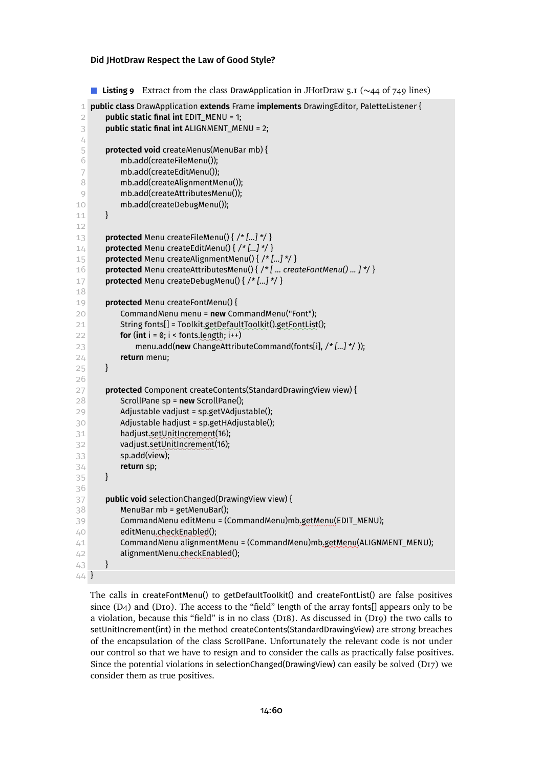<span id="page-59-0"></span>**Listing 9** Extract from the class DrawApplication in JHotDraw 5.1 (∼44 of 749 lines)

```
1 public class DrawApplication extends Frame implements DrawingEditor, PaletteListener {
 2 public static final int EDIT_MENU = 1;
 3 public static final int ALIGNMENT_MENU = 2;
 4
 5 protected void createMenus(MenuBar mb) {
 6 mb.add(createFileMenu());
 7 mb.add(createEditMenu());
 8 mb.add(createAlignmentMenu());
 9 mb.add(createAttributesMenu());
10 mb.add(createDebugMenu());
11 }
12
13 protected Menu createFileMenu() { /* [...] */ }
14 protected Menu createEditMenu() { /* [...] */ }
15 protected Menu createAlignmentMenu() { /* [...] */ }
16 protected Menu createAttributesMenu() { /* [ ... createFontMenu() ... ] */ }
17 protected Menu createDebugMenu() { /* [...] */ }
18
19 protected Menu createFontMenu() {
20 CommandMenu menu = new CommandMenu("Font");
21 String fonts[] = Toolkit.getDefaultToolkit().getFontList();
for (int i = 0; i < fonts.length; i++)
23 menu.add(new ChangeAttributeCommand(fonts[i], /* [...] */ ));
24 return menu;
25 }
26
27 protected Component createContents(StandardDrawingView view) {
28 ScrollPane sp = new ScrollPane();
29 Adjustable vadjust = sp.getVAdjustable();
30 Adjustable hadjust = sp.getHAdjustable();
31 hadjust.setUnitIncrement(16);
32 vadjust.setUnitIncrement(16);
33 sp.add(view);
34 return sp;
35 }
36
37 public void selectionChanged(DrawingView view) {
38 MenuBar mb = getMenuBar();
39 CommandMenu editMenu = (CommandMenu)mb<u>.getMenu</u>(EDIT_MENU);
40 editMenu<u>.checkEnabled</u>();
41 CommandMenu alignmentMenu = (CommandMenu)mb.getMenu(ALIGNMENT_MENU);
42 alignmentMenu.checkEnabled();
43 }
44 }
```
The calls in createFontMenu() to getDefaultToolkit() and createFontList() are false positives since  $(D_4)$  and  $(D_{10})$ . The access to the "field" length of the array fonts[] appears only to be a violation, because this "field" is in no class [\(D18\).](#page-58-1) As discussed in [\(D19\)](#page-60-0) the two calls to setUnitIncrement(int) in the method createContents(StandardDrawingView) are strong breaches of the encapsulation of the class ScrollPane. Unfortunately the relevant code is not under our control so that we have to resign and to consider the calls as practically false positives. Since the potential violations in selectionChanged(DrawingView) can easily be solved [\(D17\)](#page-58-0) we consider them as true positives.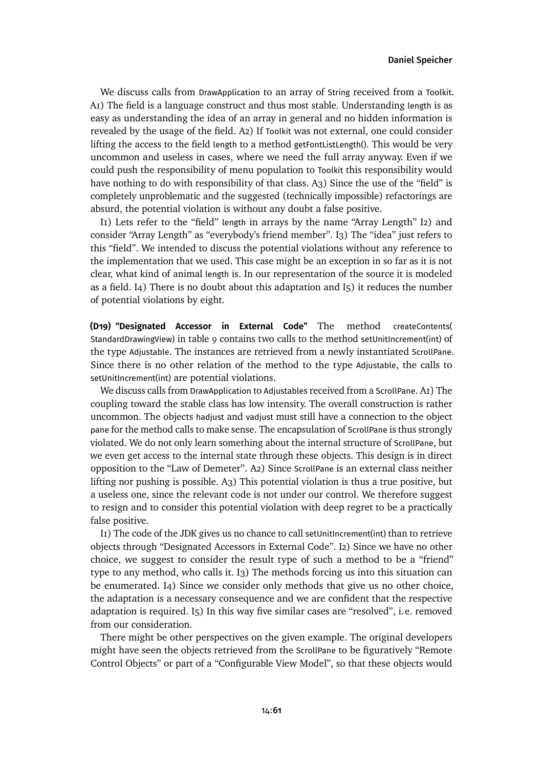We discuss calls from DrawApplication to an array of String received from a Toolkit. [A1\)](#page-8-0) The field is a language construct and thus most stable. Understanding length is as easy as understanding the idea of an array in general and no hidden information is revealed by the usage of the field. [A2\)](#page-9-6) If Toolkit was not external, one could consider lifting the access to the field length to a method getFontListLength(). This would be very uncommon and useless in cases, where we need the full array anyway. Even if we could push the responsibility of menu population to Toolkit this responsibility would have nothing to do with responsibility of that class. [A3\)](#page-9-0) Since the use of the "field" is completely unproblematic and the suggested (technically impossible) refactorings are absurd, the potential violation is without any doubt a false positive.

[I1\)](#page-9-1) Lets refer to the "field" length in arrays by the name "Array Length" [I2\)](#page-9-2) and consider "Array Length" as "everybody's friend member". [I3\)](#page-9-3) The "idea" just refers to this "field". We intended to discuss the potential violations without any reference to the implementation that we used. This case might be an exception in so far as it is not clear, what kind of animal length is. In our representation of the source it is modeled as a field. [I4\)](#page-9-4) There is no doubt about this adaptation and [I5\)](#page-9-5) it reduces the number of potential violations by eight.

<span id="page-60-0"></span>**(D19) "Designated Accessor in External Code"** The method createContents( StandardDrawingView) in [table 9](#page-59-0) contains two calls to the method setUnitIncrement(int) of the type Adjustable. The instances are retrieved from a newly instantiated ScrollPane. Since there is no other relation of the method to the type Adjustable, the calls to setUnitIncrement(int) are potential violations.

We discuss calls from DrawApplication to Adjustables received from a ScrollPane. [A1\)](#page-8-0) The coupling toward the stable class has low intensity. The overall construction is rather uncommon. The objects hadjust and vadjust must still have a connection to the object pane for the method calls to make sense. The encapsulation of ScrollPane is thus strongly violated. We do not only learn something about the internal structure of ScrollPane, but we even get access to the internal state through these objects. This design is in direct opposition to the "Law of Demeter". [A2\)](#page-9-6) Since ScrollPane is an external class neither lifting nor pushing is possible. [A3\)](#page-9-0) This potential violation is thus a true positive, but a useless one, since the relevant code is not under our control. We therefore suggest to resign and to consider this potential violation with deep regret to be a practically false positive.

II) The code of the JDK gives us no chance to call setUnitIncrement(int) than to retrieve objects through "Designated Accessors in External Code". [I2\)](#page-9-2) Since we have no other choice, we suggest to consider the result type of such a method to be a "friend" type to any method, who calls it. [I3\)](#page-9-3) The methods forcing us into this situation can be enumerated. [I4\)](#page-9-4) Since we consider only methods that give us no other choice, the adaptation is a necessary consequence and we are confident that the respective adaptation is required. [I5\)](#page-9-5) In this way five similar cases are "resolved", i.e. removed from our consideration.

There might be other perspectives on the given example. The original developers might have seen the objects retrieved from the ScrollPane to be figuratively "Remote Control Objects" or part of a "Configurable View Model", so that these objects would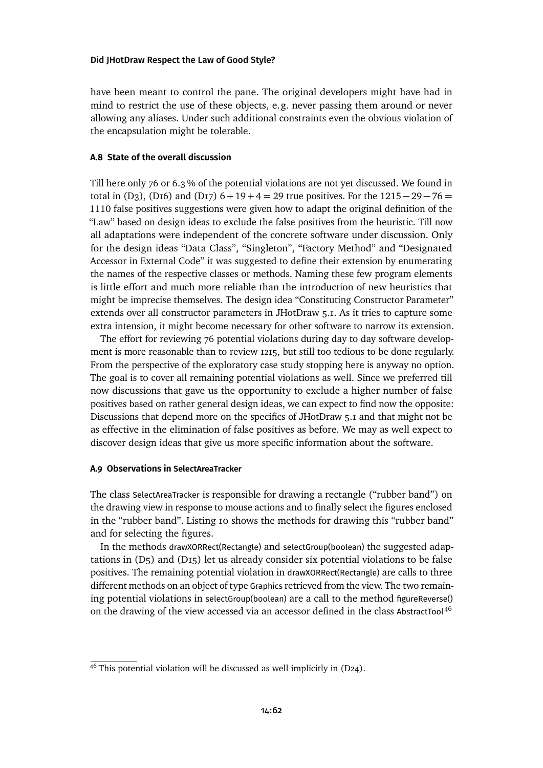have been meant to control the pane. The original developers might have had in mind to restrict the use of these objects, e.g. never passing them around or never allowing any aliases. Under such additional constraints even the obvious violation of the encapsulation might be tolerable.

# **A.8 State of the overall discussion**

Till here only 76 or 6.3 % of the potential violations are not yet discussed. We found in totalin (D<sub>3</sub>), (D<sub>16</sub>) and (D<sub>17</sub>) 6 + 19 + 4 = 29 true positives. For the 1215 – 29 – 76 = 1110 false positives suggestions were given how to adapt the original definition of the "Law" based on design ideas to exclude the false positives from the heuristic. Till now all adaptations were independent of the concrete software under discussion. Only for the design ideas "Data Class", "Singleton", "Factory Method" and "Designated Accessor in External Code" it was suggested to define their extension by enumerating the names of the respective classes or methods. Naming these few program elements is little effort and much more reliable than the introduction of new heuristics that might be imprecise themselves. The design idea "Constituting Constructor Parameter" extends over all constructor parameters in JHotDraw 5.1. As it tries to capture some extra intension, it might become necessary for other software to narrow its extension.

The effort for reviewing 76 potential violations during day to day software development is more reasonable than to review 1215, but still too tedious to be done regularly. From the perspective of the exploratory case study stopping here is anyway no option. The goal is to cover all remaining potential violations as well. Since we preferred till now discussions that gave us the opportunity to exclude a higher number of false positives based on rather general design ideas, we can expect to find now the opposite: Discussions that depend more on the specifics of JHotDraw 5.1 and that might not be as effective in the elimination of false positives as before. We may as well expect to discover design ideas that give us more specific information about the software.

## **A.9 Observations in SelectAreaTracker**

The class SelectAreaTracker is responsible for drawing a rectangle ("rubber band") on the drawing view in response to mouse actions and to finally select the figures enclosed in the "rubber band". [Listing 10](#page-62-0) shows the methods for drawing this "rubber band" and for selecting the figures.

In the methods drawXORRect(Rectangle) and selectGroup(boolean) the suggested adaptations in  $(D<sub>5</sub>)$  and  $(D<sub>15</sub>)$  let us already consider six potential violations to be false positives. The remaining potential violation in drawXORRect(Rectangle) are calls to three different methods on an object of type Graphics retrieved from the view. The two remaining potential violations in selectGroup(boolean) are a call to the method figureReverse() on the drawing of the view accessed via an accessor defined in the class AbstractTool<sup>[46](#page-61-0)</sup>

<span id="page-61-0"></span> $46$  This potential violation will be discussed as well implicitly in [\(D24\).](#page-68-0)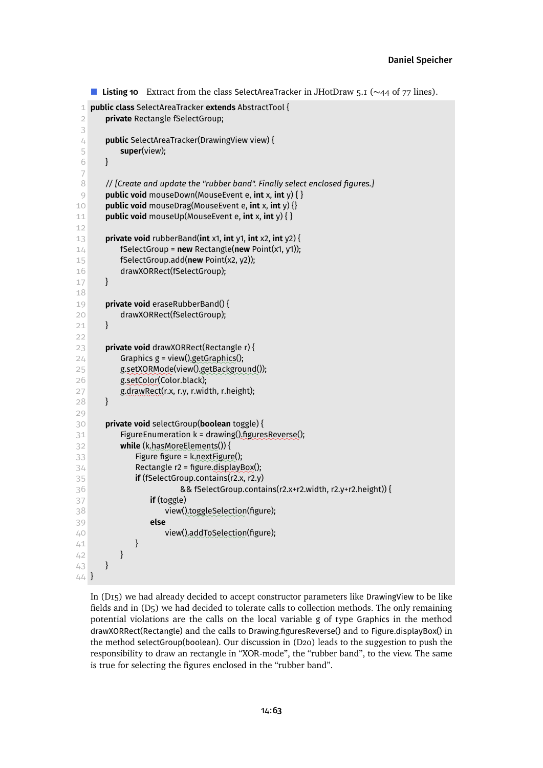```
Listing 10 Extract from the class SelectAreaTracker in JHotDraw 5.1 (∼44 of 77 lines).
 1 public class SelectAreaTracker extends AbstractTool {
 2 private Rectangle fSelectGroup;
 3
 4 public SelectAreaTracker(DrawingView view) {
 5 super(view);
 6 }
 7
 8 // [Create and update the "rubber band". Finally select enclosed figures.]
 9 public void mouseDown(MouseEvent e, int x, int y) { }
10 public void mouseDrag(MouseEvent e, int x, int y) {}
11 public void mouseUp(MouseEvent e, int x, int y) { }
12
13 private void rubberBand(int x1, int y1, int x2, int y2) {
14 fSelectGroup = new Rectangle(new Point(x1, y1));
15 fSelectGroup.add(new Point(x2, y2));
16 drawXORRect(fSelectGroup);
17 }
18
19 private void eraseRubberBand() {
20 drawXORRect(fSelectGroup);
21 }
2223 private void drawXORRect(Rectangle r) {
24 Graphics g = view().getGraphics();
25 g.setXORMode(view().getBackground());
26 g.setColor(Color.black);
27 g.drawRect(r.x, r.y, r.width, r.height);
28 }
29
30 private void selectGroup(boolean toggle) {
31 FigureEnumeration k = drawing().figuresReverse();
32 while (k<u>,hasMoreElements</u>()) {
33 Figure figure = k next Figure();
34 Rectangle r2 = figure.displayBox();
35 if (fSelectGroup.contains(r2.x, r2.y)
36 && fSelectGroup.contains(r2.x+r2.width, r2.y+r2.height)) {
37 if (toggle)
38 view(<u>)</u>,toggleSelection(figure);
39 else
40 view(<u>)</u> addToSelection(figure);
41 }
42 }
43 }
44 }
```
In [\(D15\)](#page-56-1) we had already decided to accept constructor parameters like DrawingView to be like fields andin [\(D5\)](#page-40-0) we had decided to tolerate calls to collection methods. The only remaining potential violations are the calls on the local variable g of type Graphics in the method drawXORRect(Rectangle) and the calls to Drawing.figuresReverse() and to Figure.displayBox() in the method selectGroup(boolean). Our discussionin [\(D20\)](#page-63-0) leads to the suggestion to push the responsibility to draw an rectangle in "XOR-mode", the "rubber band", to the view. The same is true for selecting the figures enclosed in the "rubber band".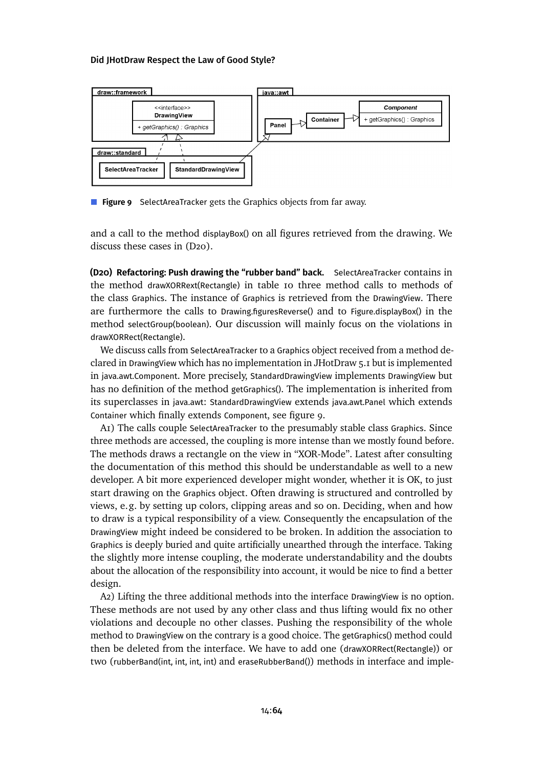<span id="page-63-1"></span>

**Figure 9** SelectAreaTracker gets the Graphics objects from far away.

and a call to the method displayBox() on all figures retrieved from the drawing. We discuss these cases in (D<sub>20</sub>).

<span id="page-63-0"></span>**(D20) Refactoring: Push drawing the "rubber band" back.** SelectAreaTracker contains in the method drawXORRext(Rectangle) in [table 10](#page-62-0) three method calls to methods of the class Graphics. The instance of Graphics is retrieved from the DrawingView. There are furthermore the calls to Drawing.figuresReverse() and to Figure.displayBox() in the method selectGroup(boolean). Our discussion will mainly focus on the violations in drawXORRect(Rectangle).

We discuss calls from SelectAreaTracker to a Graphics object received from a method declared in DrawingView which has no implementation in JHotDraw 5.1 but is implemented in java.awt.Component. More precisely, StandardDrawingView implements DrawingView but has no definition of the method getGraphics(). The implementation is inherited from its superclasses in java.awt: StandardDrawingView extends java.awt.Panel which extends Container which finally extends Component, see [figure 9.](#page-63-1)

[A1\)](#page-8-0) The calls couple SelectAreaTracker to the presumably stable class Graphics. Since three methods are accessed, the coupling is more intense than we mostly found before. The methods draws a rectangle on the view in "XOR-Mode". Latest after consulting the documentation of this method this should be understandable as well to a new developer. A bit more experienced developer might wonder, whether it is OK, to just start drawing on the Graphics object. Often drawing is structured and controlled by views, e.g. by setting up colors, clipping areas and so on. Deciding, when and how to draw is a typical responsibility of a view. Consequently the encapsulation of the DrawingView might indeed be considered to be broken. In addition the association to Graphics is deeply buried and quite artificially unearthed through the interface. Taking the slightly more intense coupling, the moderate understandability and the doubts about the allocation of the responsibility into account, it would be nice to find a better design.

[A2\)](#page-9-6) Lifting the three additional methods into the interface DrawingView is no option. These methods are not used by any other class and thus lifting would fix no other violations and decouple no other classes. Pushing the responsibility of the whole method to DrawingView on the contrary is a good choice. The getGraphics() method could then be deleted from the interface. We have to add one (drawXORRect(Rectangle)) or two (rubberBand(int, int, int, int) and eraseRubberBand()) methods in interface and imple-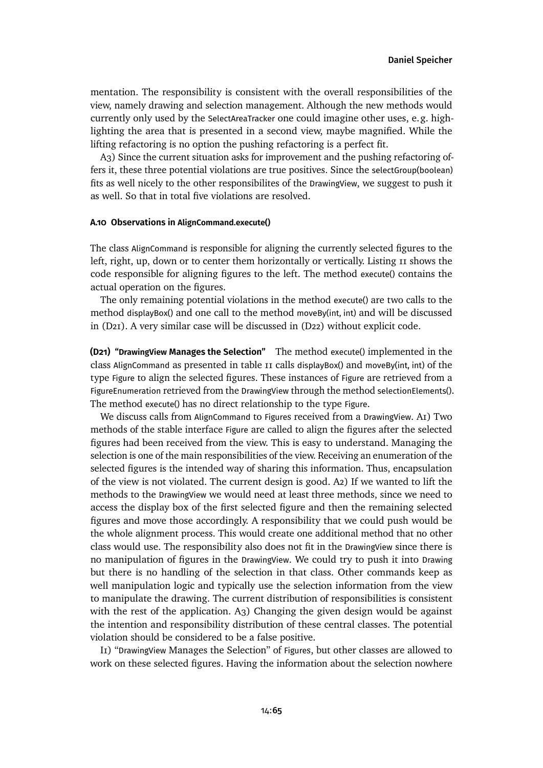mentation. The responsibility is consistent with the overall responsibilities of the view, namely drawing and selection management. Although the new methods would currently only used by the SelectAreaTracker one could imagine other uses, e.g. highlighting the area that is presented in a second view, maybe magnified. While the lifting refactoring is no option the pushing refactoring is a perfect fit.

[A3\)](#page-9-0) Since the current situation asks for improvement and the pushing refactoring offers it, these three potential violations are true positives. Since the selectGroup(boolean) fits as well nicely to the other responsibilites of the DrawingView, we suggest to push it as well. So that in total five violations are resolved.

### **A.10 Observations in AlignCommand.execute()**

The class AlignCommand is responsible for aligning the currently selected figures to the left, right, up, down or to center them horizontally or vertically. [Listing 11](#page-65-0) shows the code responsible for aligning figures to the left. The method execute() contains the actual operation on the figures.

The only remaining potential violations in the method execute() are two calls to the method displayBox() and one call to the method moveBy(int, int) and will be discussed in [\(D21\).](#page-64-0) A very similar case will be discussed in [\(D22\)](#page-66-0) without explicit code.

<span id="page-64-0"></span>**(D21) "DrawingView Manages the Selection"** The method execute() implemented in the class AlignCommand as presented in [table 11](#page-65-0) calls displayBox() and moveBy(int, int) of the type Figure to align the selected figures. These instances of Figure are retrieved from a FigureEnumeration retrieved from the DrawingView through the method selectionElements(). The method execute() has no direct relationship to the type Figure.

We discuss calls from AlignCommand to Figures received from a DrawingView. [A1\)](#page-8-0) Two methods of the stable interface Figure are called to align the figures after the selected figures had been received from the view. This is easy to understand. Managing the selection is one of the main responsibilities of the view. Receiving an enumeration of the selected figures is the intended way of sharing this information. Thus, encapsulation of the view is not violated. The current design is good. [A2\)](#page-9-6) If we wanted to lift the methods to the DrawingView we would need at least three methods, since we need to access the display box of the first selected figure and then the remaining selected figures and move those accordingly. A responsibility that we could push would be the whole alignment process. This would create one additional method that no other class would use. The responsibility also does not fit in the DrawingView since there is no manipulation of figures in the DrawingView. We could try to push it into Drawing but there is no handling of the selection in that class. Other commands keep as well manipulation logic and typically use the selection information from the view to manipulate the drawing. The current distribution of responsibilities is consistent with the rest of the application. A<sub>3</sub>) Changing the given design would be against the intention and responsibility distribution of these central classes. The potential violation should be considered to be a false positive.

[I1\)](#page-9-1) "DrawingView Manages the Selection" of Figures, but other classes are allowed to work on these selected figures. Having the information about the selection nowhere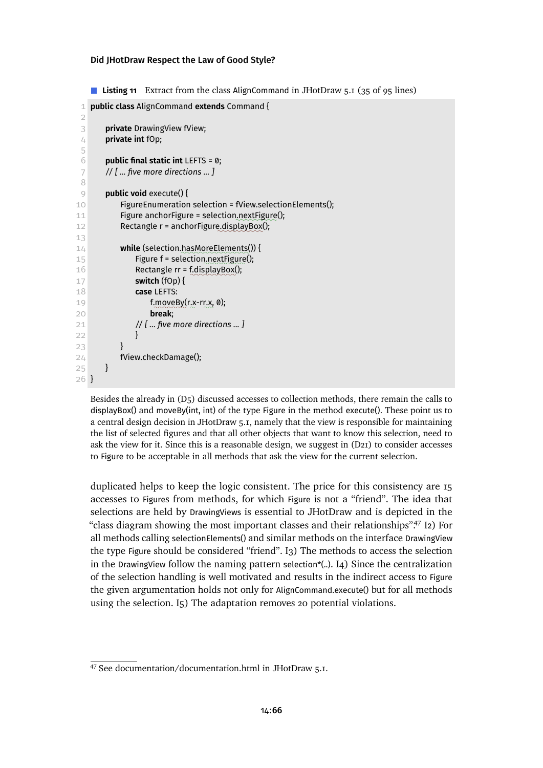<span id="page-65-0"></span>■ **Listing 11** Extract from the class AlignCommand in JHotDraw 5.1 (35 of 95 lines)

```
1 public class AlignCommand extends Command {
 \mathcal{D}3 private DrawingView fView;
 4 private int fOp;
 5
 6 public final static int LEFTS = 0;
 7 // [ ... five more directions ... ]
 8
 9 public void execute() {
10 FigureEnumeration selection = fView.selectionElements();
11 Figure anchorFigure = selection.nextFigure();
12 Rectangle r = anchorFigure.displayBox();
13
14 while (selection.hasMoreElements()) {
15 Figure f = selection nextFigure();
16 Rectangle rr = f.displayBox();
17 switch (fOp) {
18 case LEFTS:
19 f moveBy(r.x-rr.x, 0);
20 break;
21 // [ ... five more directions ... ]
22 }
23 }
24 fView.checkDamage();
25 }
26 }
```
Besides the alreadyin [\(D5\)](#page-40-0) discussed accesses to collection methods, there remain the calls to displayBox() and moveBy(int, int) of the type Figure in the method execute(). These point us to a central design decision in JHotDraw 5.1, namely that the view is responsible for maintaining the list of selected figures and that all other objects that want to know this selection, need to ask the view for it. Since this is a reasonable design, we suggest in [\(D21\)](#page-64-0) to consider accesses to Figure to be acceptable in all methods that ask the view for the current selection.

duplicated helps to keep the logic consistent. The price for this consistency are 15 accesses to Figures from methods, for which Figure is not a "friend". The idea that selections are held by DrawingViews is essential to JHotDraw and is depicted in the "class diagram showing the most important classes and their relationships" $^{47}$  $^{47}$  $^{47}$  [I2\)](#page-9-2) For all methods calling selectionElements() and similar methods on the interface DrawingView the type Figure should be considered "friend". [I3\)](#page-9-3) The methods to access the selection in the DrawingView follow the naming pattern selection\*(..). [I4\)](#page-9-4) Since the centralization of the selection handling is well motivated and results in the indirect access to Figure the given argumentation holds not only for AlignCommand.execute() but for all methods using the selection. [I5\)](#page-9-5) The adaptation removes 20 potential violations.

<span id="page-65-1"></span><sup>47</sup> See documentation/documentation.html in JHotDraw 5.1.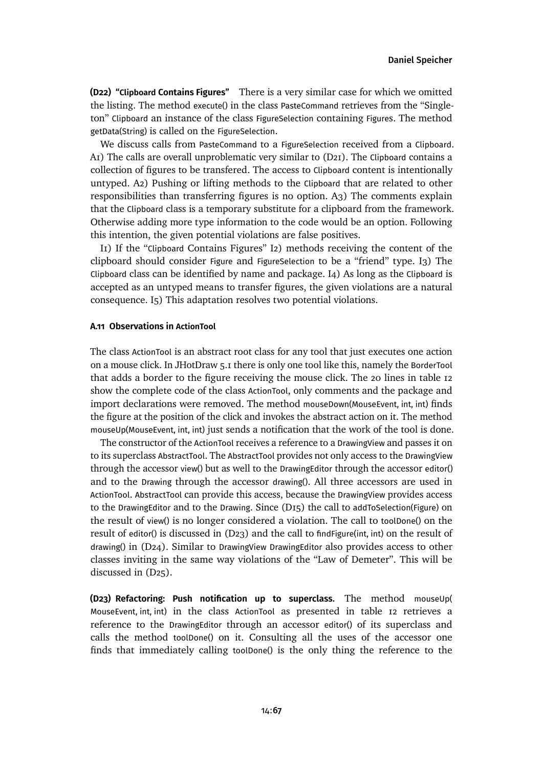<span id="page-66-0"></span>**(D22) "Clipboard Contains Figures"** There is a very similar case for which we omitted the listing. The method execute() in the class PasteCommand retrieves from the "Singleton" Clipboard an instance of the class FigureSelection containing Figures. The method getData(String) is called on the FigureSelection.

We discuss calls from PasteCommand to a FigureSelection received from a Clipboard. [A1\)](#page-8-0) The calls are overall unproblematic very similar to [\(D21\).](#page-64-0) The Clipboard contains a collection of figures to be transfered. The access to Clipboard content is intentionally untyped. [A2\)](#page-9-6) Pushing or lifting methods to the Clipboard that are related to other responsibilities than transferring figures is no option. [A3\)](#page-9-0) The comments explain that the Clipboard class is a temporary substitute for a clipboard from the framework. Otherwise adding more type information to the code would be an option. Following this intention, the given potential violations are false positives.

[I1\)](#page-9-1) If the "Clipboard Contains Figures" [I2\)](#page-9-2) methods receiving the content of the clipboard should consider Figure and FigureSelection to be a "friend" type. [I3\)](#page-9-3) The Clipboard class can be identified by name and package. [I4\)](#page-9-4) As long as the Clipboard is accepted as an untyped means to transfer figures, the given violations are a natural consequence. [I5\)](#page-9-5) This adaptation resolves two potential violations.

# **A.11 Observations in ActionTool**

The class ActionTool is an abstract root class for any tool that just executes one action on a mouse click. In JHotDraw 5.1 there is only one tool like this, namely the BorderTool that adds a border to the figure receiving the mouse click. The 20 lines in [table 12](#page-67-0) show the complete code of the class ActionTool, only comments and the package and import declarations were removed. The method mouseDown(MouseEvent, int, int) finds the figure at the position of the click and invokes the abstract action on it. The method mouseUp(MouseEvent, int, int) just sends a notification that the work of the tool is done.

The constructor of the ActionTool receives a reference to a DrawingView and passes it on to its superclass AbstractTool. The AbstractTool provides not only access to the DrawingView through the accessor view() but as well to the DrawingEditor through the accessor editor() and to the Drawing through the accessor drawing(). All three accessors are used in ActionTool. AbstractTool can provide this access, because the DrawingView provides access to the DrawingEditor and to the Drawing. Since [\(D15\)](#page-56-1) the call to addToSelection(Figure) on the result of view() is no longer considered a violation. The call to toolDone() on the result of editor() is discussed in [\(D23\)](#page-66-1) and the call to findFigure(int, int) on the result of drawing() in [\(D24\).](#page-68-0) Similar to DrawingView DrawingEditor also provides access to other classes inviting in the same way violations of the "Law of Demeter". This will be discussedin [\(D25\).](#page-69-0)

<span id="page-66-1"></span>**(D23) Refactoring: Push notification up to superclass.** The method mouseUp( MouseEvent, int, int) in the class ActionTool as presented in [table 12](#page-67-0) retrieves a reference to the DrawingEditor through an accessor editor() of its superclass and calls the method toolDone() on it. Consulting all the uses of the accessor one finds that immediately calling toolDone() is the only thing the reference to the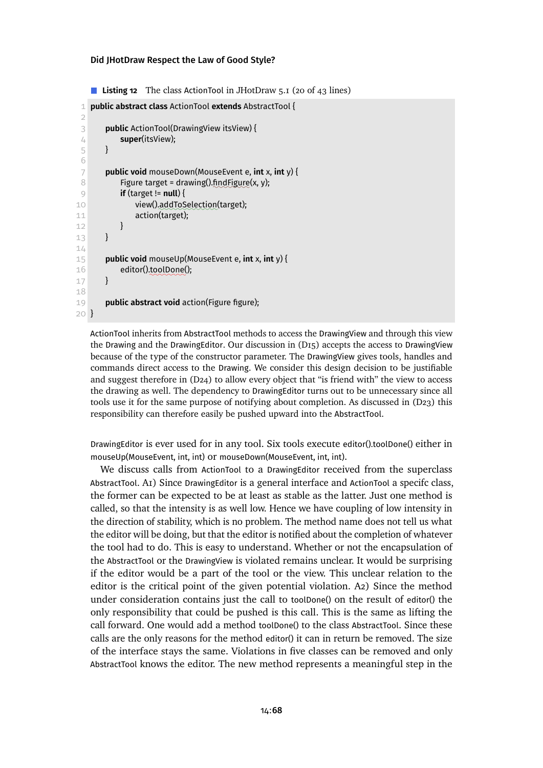```
■ Listing 12 The class ActionTool in JHotDraw 5.1 (20 of 43 lines)
```

```
1 public abstract class ActionTool extends AbstractTool {
 \mathcal{D}3 public ActionTool(DrawingView itsView) {
 4 super(itsView);
 5 }
 6
 7 public void mouseDown(MouseEvent e, int x, int y) {
 8 Figure target = drawing().find Figure(x, y);
 9 if (target != null) {
10 view().addToSelection(target);
11 action(target);
12 }
13 }
14
15 public void mouseUp(MouseEvent e, int x, int y) {
16 editor().toolDone();
17 }
18
19 public abstract void action(Figure figure);
20 }
```
ActionTool inherits from AbstractTool methods to access the DrawingView and through this view the Drawing and the DrawingEditor. Our discussion in [\(D15\)](#page-56-1) accepts the access to DrawingView because of the type of the constructor parameter. The DrawingView gives tools, handles and commands direct access to the Drawing. We consider this design decision to be justifiable and suggest therefore in [\(D24\)](#page-68-0) to allow every object that "is friend with" the view to access the drawing as well. The dependency to DrawingEditor turns out to be unnecessary since all tools use it for the same purpose of notifying about completion. As discussed in [\(D23\)](#page-66-1) this responsibility can therefore easily be pushed upward into the AbstractTool.

DrawingEditor is ever used for in any tool. Six tools execute editor().toolDone() either in mouseUp(MouseEvent, int, int) or mouseDown(MouseEvent, int, int).

We discuss calls from ActionTool to a DrawingEditor received from the superclass AbstractTool. [A1\)](#page-8-0) Since DrawingEditor is a general interface and ActionTool a specifc class, the former can be expected to be at least as stable as the latter. Just one method is called, so that the intensity is as well low. Hence we have coupling of low intensity in the direction of stability, which is no problem. The method name does not tell us what the editor will be doing, but that the editor is notified about the completion of whatever the tool had to do. This is easy to understand. Whether or not the encapsulation of the AbstractTool or the DrawingView is violated remains unclear. It would be surprising if the editor would be a part of the tool or the view. This unclear relation to the editor is the critical point of the given potential violation. [A2\)](#page-9-6) Since the method under consideration contains just the call to toolDone() on the result of editor() the only responsibility that could be pushed is this call. This is the same as lifting the call forward. One would add a method toolDone() to the class AbstractTool. Since these calls are the only reasons for the method editor() it can in return be removed. The size of the interface stays the same. Violations in five classes can be removed and only AbstractTool knows the editor. The new method represents a meaningful step in the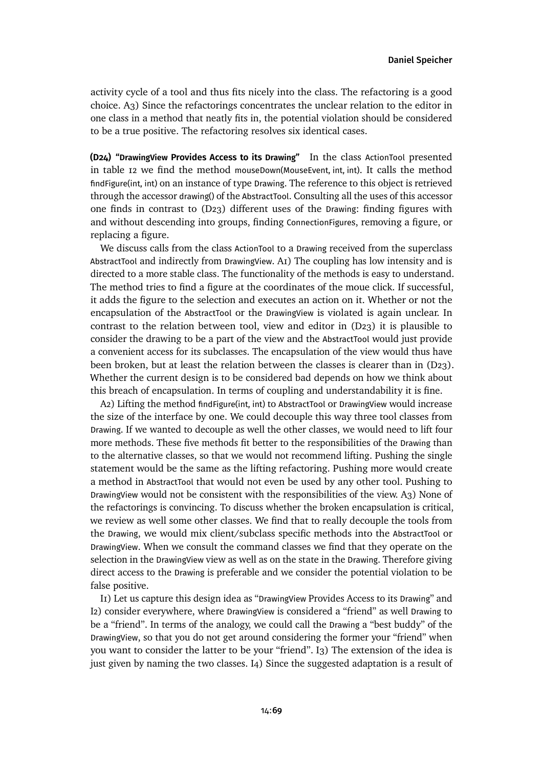activity cycle of a tool and thus fits nicely into the class. The refactoring is a good choice. [A3\)](#page-9-0) Since the refactorings concentrates the unclear relation to the editor in one class in a method that neatly fits in, the potential violation should be considered to be a true positive. The refactoring resolves six identical cases.

<span id="page-68-0"></span>**(D24) "DrawingView Provides Access to its Drawing"** In the class ActionTool presented in [table 12](#page-67-0) we find the method mouseDown(MouseEvent, int, int). It calls the method findFigure(int, int) on an instance of type Drawing. The reference to this object is retrieved through the accessor drawing() of the AbstractTool. Consulting all the uses of this accessor one finds in contrast to [\(D23\)](#page-66-1) different uses of the Drawing: finding figures with and without descending into groups, finding ConnectionFigures, removing a figure, or replacing a figure.

We discuss calls from the class ActionTool to a Drawing received from the superclass AbstractTool and indirectly from DrawingView. [A1\)](#page-8-0) The coupling has low intensity and is directed to a more stable class. The functionality of the methods is easy to understand. The method tries to find a figure at the coordinates of the moue click. If successful, it adds the figure to the selection and executes an action on it. Whether or not the encapsulation of the AbstractTool or the DrawingView is violated is again unclear. In contrast to the relation between tool, view and editor in  $(D23)$  it is plausible to consider the drawing to be a part of the view and the AbstractTool would just provide a convenient access for its subclasses. The encapsulation of the view would thus have been broken, but at least the relation between the classes is clearer than in [\(D23\).](#page-66-1) Whether the current design is to be considered bad depends on how we think about this breach of encapsulation. In terms of coupling and understandability it is fine.

[A2\)](#page-9-6) Lifting the method findFigure(int, int) to AbstractTool or DrawingView would increase the size of the interface by one. We could decouple this way three tool classes from Drawing. If we wanted to decouple as well the other classes, we would need to lift four more methods. These five methods fit better to the responsibilities of the Drawing than to the alternative classes, so that we would not recommend lifting. Pushing the single statement would be the same as the lifting refactoring. Pushing more would create a method in AbstractTool that would not even be used by any other tool. Pushing to DrawingView would not be consistent with the responsibilities of the view. [A3\)](#page-9-0) None of the refactorings is convincing. To discuss whether the broken encapsulation is critical, we review as well some other classes. We find that to really decouple the tools from the Drawing, we would mix client/subclass specific methods into the AbstractTool or DrawingView. When we consult the command classes we find that they operate on the selection in the DrawingView view as well as on the state in the Drawing. Therefore giving direct access to the Drawing is preferable and we consider the potential violation to be false positive.

[I1\)](#page-9-1) Let us capture this design idea as "DrawingView Provides Access to its Drawing" and [I2\)](#page-9-2) consider everywhere, where DrawingView is considered a "friend" as well Drawing to be a "friend". In terms of the analogy, we could call the Drawing a "best buddy" of the DrawingView, so that you do not get around considering the former your "friend" when you want to consider the latter to be your "friend". [I3\)](#page-9-3) The extension of the idea is just given by naming the two classes. [I4\)](#page-9-4) Since the suggested adaptation is a result of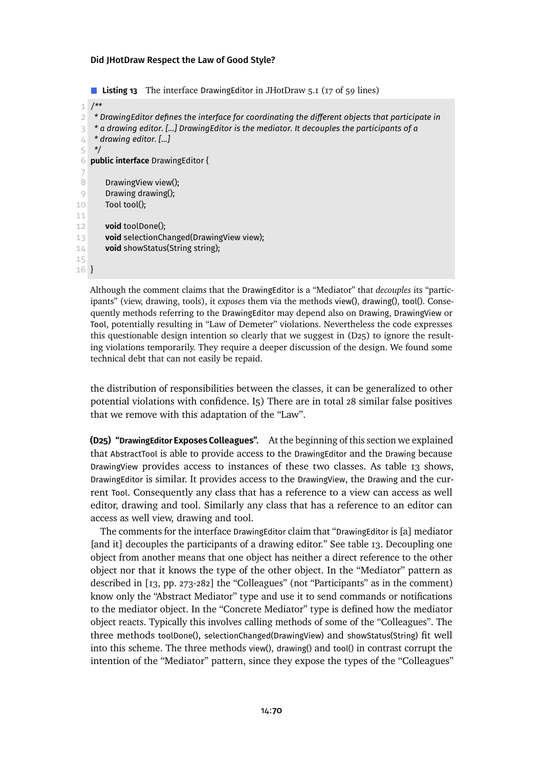<span id="page-69-1"></span>■ **Listing 13** The interface DrawingEditor in JHotDraw 5.1 (17 of 59 lines)

```
1 /**
 2 * DrawingEditor defines the interface for coordinating the different objects that participate in
 3 * a drawing editor. [...] DrawingEditor is the mediator. It decouples the participants of a
 4 * drawing editor. [...]
 5 */
 6 public interface DrawingEditor {
 7
 8 DrawingView view();
 9 Drawing drawing();
10 Tool tool();
11
12 void toolDone();
13 void selectionChanged(DrawingView view);
14 void showStatus(String string);
15
16 }
```
Although the comment claims that the DrawingEditor is a "Mediator" that *decouples* its "participants" (view, drawing, tools), it *exposes* them via the methods view(), drawing(), tool(). Consequently methods referring to the DrawingEditor may depend also on Drawing, DrawingView or Tool, potentially resulting in "Law of Demeter" violations. Nevertheless the code expresses this questionable design intention so clearly that we suggest in [\(D25\)](#page-69-0) to ignore the resulting violations temporarily. They require a deeper discussion of the design. We found some technical debt that can not easily be repaid.

the distribution of responsibilities between the classes, it can be generalized to other potential violations with confidence. [I5\)](#page-9-5) There are in total 28 similar false positives that we remove with this adaptation of the "Law".

<span id="page-69-0"></span>**(D25) "DrawingEditor Exposes Colleagues".** At the beginning of this section we explained that AbstractTool is able to provide access to the DrawingEditor and the Drawing because DrawingView provides access to instances of these two classes. As [table 13](#page-69-1) shows, DrawingEditor is similar. It provides access to the DrawingView, the Drawing and the current Tool. Consequently any class that has a reference to a view can access as well editor, drawing and tool. Similarly any class that has a reference to an editor can access as well view, drawing and tool.

The comments for the interface DrawingEditor claim that "DrawingEditor is [a] mediator [and it] decouples the participants of a drawing editor." See [table 13.](#page-69-1) Decoupling one object from another means that one object has neither a direct reference to the other object nor that it knows the type of the other object. In the "Mediator" pattern as described in [\[13,](#page-29-2) pp. 273-282] the "Colleagues" (not "Participants" as in the comment) know only the "Abstract Mediator" type and use it to send commands or notifications to the mediator object. In the "Concrete Mediator" type is defined how the mediator object reacts. Typically this involves calling methods of some of the "Colleagues". The three methods toolDone(), selectionChanged(DrawingView) and showStatus(String) fit well into this scheme. The three methods view(), drawing() and tool() in contrast corrupt the intention of the "Mediator" pattern, since they expose the types of the "Colleagues"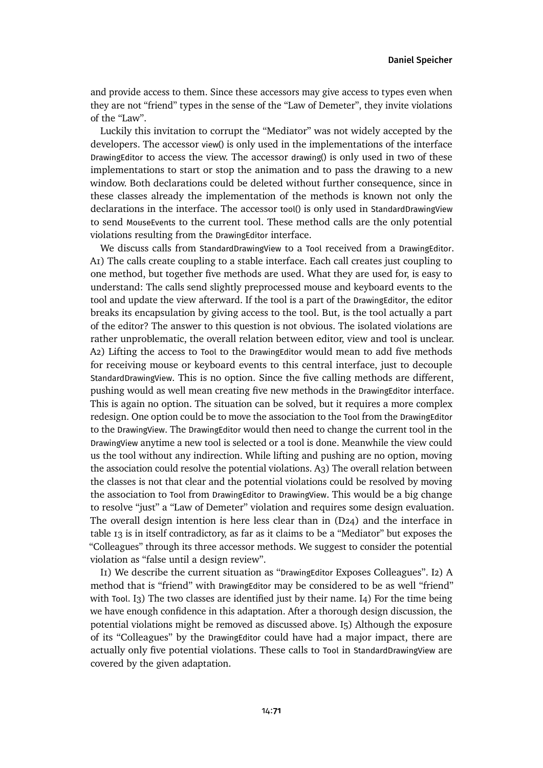and provide access to them. Since these accessors may give access to types even when they are not "friend" types in the sense of the "Law of Demeter", they invite violations of the "Law".

Luckily this invitation to corrupt the "Mediator" was not widely accepted by the developers. The accessor view() is only used in the implementations of the interface DrawingEditor to access the view. The accessor drawing() is only used in two of these implementations to start or stop the animation and to pass the drawing to a new window. Both declarations could be deleted without further consequence, since in these classes already the implementation of the methods is known not only the declarations in the interface. The accessor tool() is only used in StandardDrawingView to send MouseEvents to the current tool. These method calls are the only potential violations resulting from the DrawingEditor interface.

We discuss calls from StandardDrawingView to a Tool received from a DrawingEditor. [A1\)](#page-8-0) The calls create coupling to a stable interface. Each call creates just coupling to one method, but together five methods are used. What they are used for, is easy to understand: The calls send slightly preprocessed mouse and keyboard events to the tool and update the view afterward. If the tool is a part of the DrawingEditor, the editor breaks its encapsulation by giving access to the tool. But, is the tool actually a part of the editor? The answer to this question is not obvious. The isolated violations are rather unproblematic, the overall relation between editor, view and tool is unclear. [A2\)](#page-9-6) Lifting the access to Tool to the DrawingEditor would mean to add five methods for receiving mouse or keyboard events to this central interface, just to decouple StandardDrawingView. This is no option. Since the five calling methods are different, pushing would as well mean creating five new methods in the DrawingEditor interface. This is again no option. The situation can be solved, but it requires a more complex redesign. One option could be to move the association to the Tool from the DrawingEditor to the DrawingView. The DrawingEditor would then need to change the current tool in the DrawingView anytime a new tool is selected or a tool is done. Meanwhile the view could us the tool without any indirection. While lifting and pushing are no option, moving the association could resolve the potential violations. [A3\)](#page-9-0) The overall relation between the classes is not that clear and the potential violations could be resolved by moving the association to Tool from DrawingEditor to DrawingView. This would be a big change to resolve "just" a "Law of Demeter" violation and requires some design evaluation. The overall design intention is here less clear than in  $(D24)$  and the interface in [table 13](#page-69-1) is in itself contradictory, as far as it claims to be a "Mediator" but exposes the "Colleagues" through its three accessor methods. We suggest to consider the potential violation as "false until a design review".

[I1\)](#page-9-1) We describe the current situation as "DrawingEditor Exposes Colleagues". [I2\)](#page-9-2) A method that is "friend" with DrawingEditor may be considered to be as well "friend" with Tool. I<sub>3</sub>) The two classes are identified just by their name. I<sub>4</sub>) For the time being we have enough confidence in this adaptation. After a thorough design discussion, the potential violations might be removed as discussed above. [I5\)](#page-9-5) Although the exposure of its "Colleagues" by the DrawingEditor could have had a major impact, there are actually only five potential violations. These calls to Tool in StandardDrawingView are covered by the given adaptation.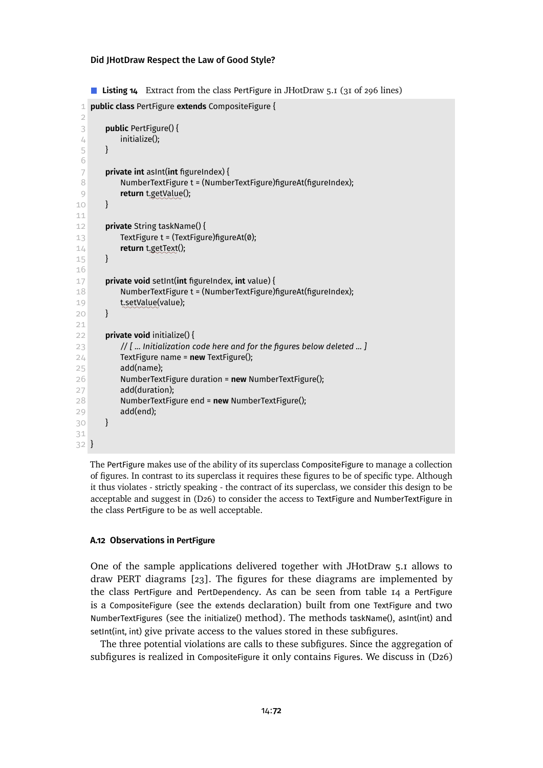<span id="page-71-0"></span>■ **Listing 14** Extract from the class PertFigure in JHotDraw 5.1 (31 of 296 lines)

```
1 public class PertFigure extends CompositeFigure {
 \mathcal{D}3 public PertFigure() {
 4 initialize();
 5 }
 6
 7 private int asInt(int figureIndex) {
 8 NumberTextFigure t = (NumberTextFigure)figureAt(figureIndex);
 9 return t.getValue();
10 }
11
12 private String taskName() {
13 TextFigure t = (TextFigure)figureAt(0);
14 return t.getText();
15 }
16
17 private void setInt(int figureIndex, int value) {
18 NumberTextFigure t = (NumberTextFigure)figureAt(figureIndex);
19 teetValue(value);
20 }
21
22 private void initialize() {
23 // [ ... Initialization code here and for the figures below deleted ... ]
24 TextFigure name = new TextFigure();
25 add(name);
26 NumberTextFigure duration = new NumberTextFigure();
27 add(duration);
28 NumberTextFigure end = new NumberTextFigure();
29 add(end);
30 }
31
32 }
```
The PertFigure makes use of the ability of its superclass CompositeFigure to manage a collection of figures. In contrast to its superclass it requires these figures to be of specific type. Although it thus violates - strictly speaking - the contract of its superclass, we consider this design to be acceptable and suggest in [\(D26\)](#page-72-0) to consider the access to TextFigure and NumberTextFigure in the class PertFigure to be as well acceptable.

### **A.12 Observations in PertFigure**

One of the sample applications delivered together with JHotDraw 5.1 allows to draw PERT diagrams [\[23\]](#page-29-4). The figures for these diagrams are implemented by the class PertFigure and PertDependency. As can be seen from [table 14](#page-71-0) a PertFigure is a CompositeFigure (see the extends declaration) built from one TextFigure and two NumberTextFigures (see the initialize() method). The methods taskName(), asInt(int) and setInt(int, int) give private access to the values stored in these subfigures.

The three potential violations are calls to these subfigures. Since the aggregation of subfigures is realized in CompositeFigure it only contains Figures. We discuss in [\(D26\)](#page-72-0)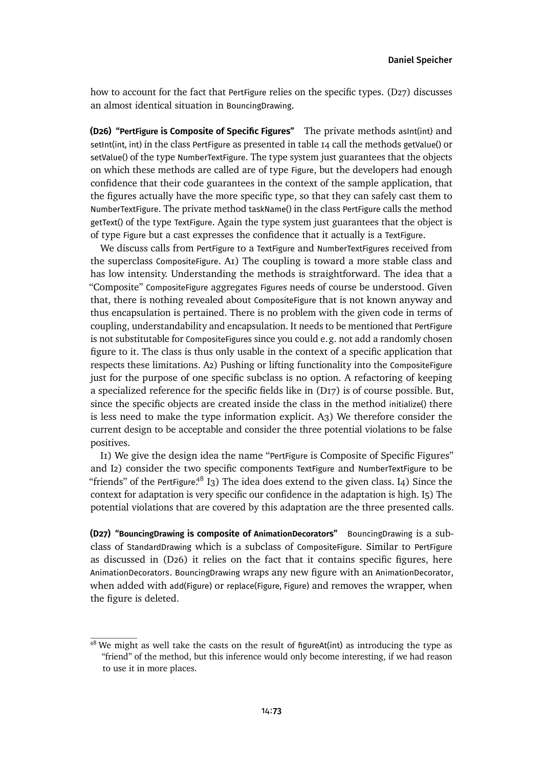how to account for the fact that PertFigure relies on the specific types. [\(D27\)](#page-72-0) discusses an almost identical situation in BouncingDrawing.

<span id="page-72-2"></span>**(D26) "PertFigure is Composite of Specific Figures"** The private methods asInt(int) and setInt(int, int) in the class PertFigure as presentedin [table 14](#page-71-0) call the methods getValue() or setValue() of the type NumberTextFigure. The type system just guarantees that the objects on which these methods are called are of type Figure, but the developers had enough confidence that their code guarantees in the context of the sample application, that the figures actually have the more specific type, so that they can safely cast them to NumberTextFigure. The private method taskName() in the class PertFigure calls the method getText() of the type TextFigure. Again the type system just guarantees that the object is of type Figure but a cast expresses the confidence that it actually is a TextFigure.

We discuss calls from PertFigure to a TextFigure and NumberTextFigures received from the superclass CompositeFigure. [A1\)](#page-8-0) The coupling is toward a more stable class and has low intensity. Understanding the methods is straightforward. The idea that a "Composite" CompositeFigure aggregates Figures needs of course be understood. Given that, there is nothing revealed about CompositeFigure that is not known anyway and thus encapsulation is pertained. There is no problem with the given code in terms of coupling, understandability and encapsulation. It needs to be mentioned that PertFigure is not substitutable for CompositeFigures since you could e.g. not add a randomly chosen figure to it. The class is thus only usable in the context of a specific application that respects these limitations. [A2\)](#page-9-0) Pushing or lifting functionality into the CompositeFigure just for the purpose of one specific subclass is no option. A refactoring of keeping a specialized reference for the specific fields like in [\(D17\)](#page-58-0) is of course possible. But, since the specific objects are created inside the class in the method initialize() there is less need to make the type information explicit. [A3\)](#page-9-1) We therefore consider the current design to be acceptable and consider the three potential violations to be false positives.

[I1\)](#page-9-2) We give the design idea the name "PertFigure is Composite of Specific Figures" and [I2\)](#page-9-3) consider the two specific components TextFigure and NumberTextFigure to be "friends" of the PertFigure.<sup>[48](#page-72-1)</sup> [I3\)](#page-9-4) The idea does extend to the given class. [I4\)](#page-9-5) Since the context for adaptation is very specific our confidence in the adaptation is high. [I5\)](#page-9-6) The potential violations that are covered by this adaptation are the three presented calls.

<span id="page-72-0"></span>**(D27) "BouncingDrawing is composite of AnimationDecorators"** BouncingDrawing is a subclass of StandardDrawing which is a subclass of CompositeFigure. Similar to PertFigure as discussed in [\(D26\)](#page-72-2) it relies on the fact that it contains specific figures, here AnimationDecorators. BouncingDrawing wraps any new figure with an AnimationDecorator, when added with add(Figure) or replace(Figure, Figure) and removes the wrapper, when the figure is deleted.

<span id="page-72-1"></span> $48$  We might as well take the casts on the result of figureAt(int) as introducing the type as "friend" of the method, but this inference would only become interesting, if we had reason to use it in more places.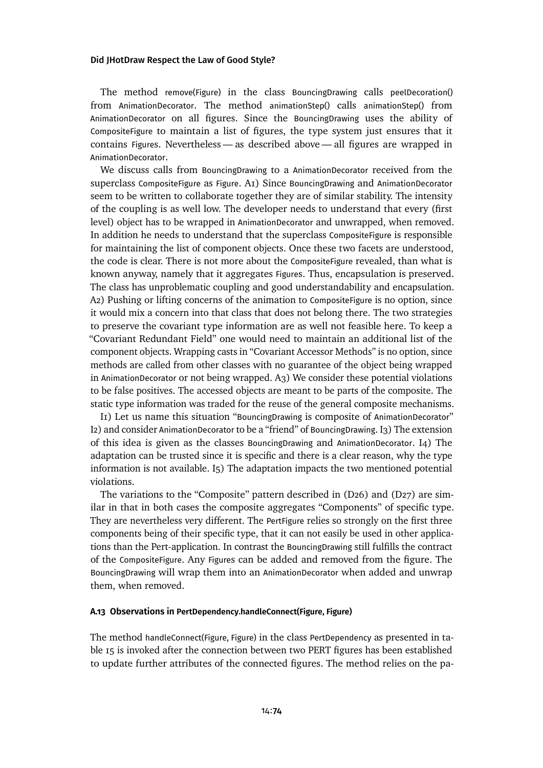The method remove(Figure) in the class BouncingDrawing calls peelDecoration() from AnimationDecorator. The method animationStep() calls animationStep() from AnimationDecorator on all figures. Since the BouncingDrawing uses the ability of CompositeFigure to maintain a list of figures, the type system just ensures that it contains Figures. Nevertheless — as described above — all figures are wrapped in AnimationDecorator.

We discuss calls from BouncingDrawing to a AnimationDecorator received from the superclass CompositeFigure as Figure. [A1\)](#page-8-0) Since BouncingDrawing and AnimationDecorator seem to be written to collaborate together they are of similar stability. The intensity of the coupling is as well low. The developer needs to understand that every (first level) object has to be wrapped in AnimationDecorator and unwrapped, when removed. In addition he needs to understand that the superclass CompositeFigure is responsible for maintaining the list of component objects. Once these two facets are understood, the code is clear. There is not more about the CompositeFigure revealed, than what is known anyway, namely that it aggregates Figures. Thus, encapsulation is preserved. The class has unproblematic coupling and good understandability and encapsulation. [A2\)](#page-9-0) Pushing or lifting concerns of the animation to CompositeFigure is no option, since it would mix a concern into that class that does not belong there. The two strategies to preserve the covariant type information are as well not feasible here. To keep a "Covariant Redundant Field" one would need to maintain an additional list of the component objects. Wrapping casts in "Covariant Accessor Methods" is no option, since methods are called from other classes with no guarantee of the object being wrapped in AnimationDecorator or not being wrapped. [A3\)](#page-9-1) We consider these potential violations to be false positives. The accessed objects are meant to be parts of the composite. The static type information was traded for the reuse of the general composite mechanisms.

[I1\)](#page-9-2) Let us name this situation "BouncingDrawing is composite of AnimationDecorator" [I2\)](#page-9-3) and consider AnimationDecorator to be a "friend" of BouncingDrawing. [I3\)](#page-9-4) The extension of this idea is given as the classes BouncingDrawing and AnimationDecorator. [I4\)](#page-9-5) The adaptation can be trusted since it is specific and there is a clear reason, why the type information is not available. [I5\)](#page-9-6) The adaptation impacts the two mentioned potential violations.

The variations to the "Composite" pattern described in [\(D26\)](#page-72-2) and [\(D27\)](#page-72-0) are similar in that in both cases the composite aggregates "Components" of specific type. They are nevertheless very different. The PertFigure relies so strongly on the first three components being of their specific type, that it can not easily be used in other applications than the Pert-application. In contrast the BouncingDrawing still fulfills the contract of the CompositeFigure. Any Figures can be added and removed from the figure. The BouncingDrawing will wrap them into an AnimationDecorator when added and unwrap them, when removed.

#### **A.13 Observations in PertDependency.handleConnect(Figure, Figure)**

The method handleConnect(Figure, Figure) in the class PertDependency as presented in [ta](#page-74-0)[ble 15](#page-74-0) is invoked after the connection between two PERT figures has been established to update further attributes of the connected figures. The method relies on the pa-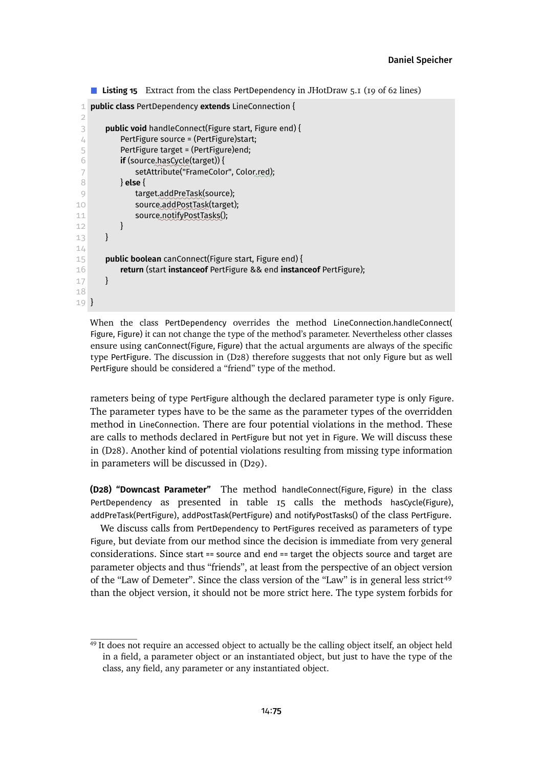```
■ Listing 15 Extract from the class PertDependency in JHotDraw 5.1 (19 of 62 lines)
```

```
1 public class PertDependency extends LineConnection {
 \mathcal{D}3 public void handleConnect(Figure start, Figure end) {
 4 PertFigure source = (PertFigure)start;
 5 PertFigure target = (PertFigure)end;
 6 if (source.hasCycle(target)) {
 7 setAttribute("FrameColor", Color.red);
 8 } else {
 9 target.addPreTask(source);
10 source@addPostTask(target);
11 source.notifyPostTasks();
12 }
13 }
1/115 public boolean canConnect(Figure start, Figure end) {
16 return (start instanceof PertFigure && end instanceof PertFigure);
17 }
18
19 }
```
When the class PertDependency overrides the method LineConnection.handleConnect( Figure, Figure) it can not change the type of the method's parameter. Nevertheless other classes ensure using canConnect(Figure, Figure) that the actual arguments are always of the specific type PertFigure. The discussion in [\(D28\)](#page-74-1) therefore suggests that not only Figure but as well PertFigure should be considered a "friend" type of the method.

rameters being of type PertFigure although the declared parameter type is only Figure. The parameter types have to be the same as the parameter types of the overridden method in LineConnection. There are four potential violations in the method. These are calls to methods declared in PertFigure but not yet in Figure. We will discuss these in [\(D28\).](#page-74-1) Another kind of potential violations resulting from missing type information in parameters will be discussed in [\(D29\).](#page-75-0)

<span id="page-74-1"></span>**(D28) "Downcast Parameter"** The method handleConnect(Figure, Figure) in the class PertDependency as presented in [table 15](#page-74-0) calls the methods hasCycle(Figure), addPreTask(PertFigure), addPostTask(PertFigure) and notifyPostTasks() of the class PertFigure.

We discuss calls from PertDependency to PertFigures received as parameters of type Figure, but deviate from our method since the decision is immediate from very general considerations. Since start == source and end == target the objects source and target are parameter objects and thus "friends", at least from the perspective of an object version of the "Law of Demeter". Since the class version of the "Law" is in general less strict<sup>[49](#page-74-2)</sup> than the object version, it should not be more strict here. The type system forbids for

<span id="page-74-2"></span><sup>&</sup>lt;sup>49</sup> It does not require an accessed object to actually be the calling object itself, an object held in a field, a parameter object or an instantiated object, but just to have the type of the class, any field, any parameter or any instantiated object.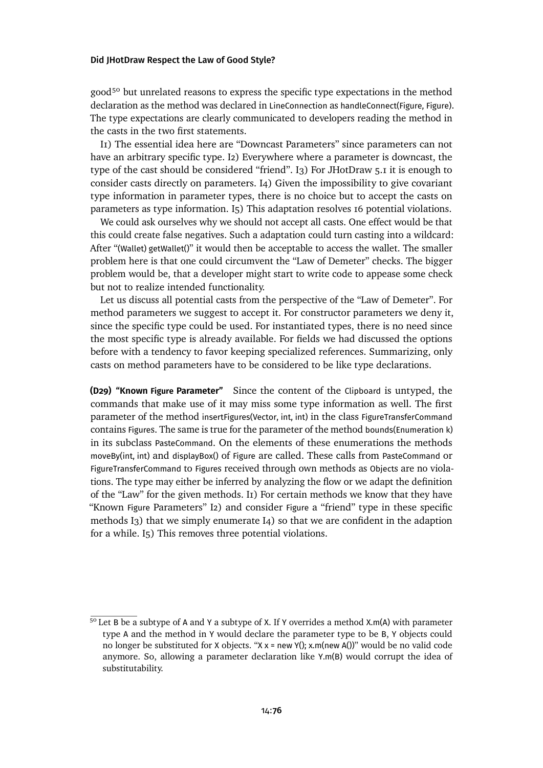good<sup>[50](#page-75-1)</sup> but unrelated reasons to express the specific type expectations in the method declaration as the method was declared in LineConnection as handleConnect(Figure, Figure). The type expectations are clearly communicated to developers reading the method in the casts in the two first statements.

[I1\)](#page-9-2) The essential idea here are "Downcast Parameters" since parameters can not have an arbitrary specific type. [I2\)](#page-9-3) Everywhere where a parameter is downcast, the type of the cast should be considered "friend". [I3\)](#page-9-4) For JHotDraw 5.1 it is enough to consider casts directly on parameters. [I4\)](#page-9-5) Given the impossibility to give covariant type information in parameter types, there is no choice but to accept the casts on parameters as type information. [I5\)](#page-9-6) This adaptation resolves 16 potential violations.

We could ask ourselves why we should not accept all casts. One effect would be that this could create false negatives. Such a adaptation could turn casting into a wildcard: After "(Wallet) getWallet()" it would then be acceptable to access the wallet. The smaller problem here is that one could circumvent the "Law of Demeter" checks. The bigger problem would be, that a developer might start to write code to appease some check but not to realize intended functionality.

Let us discuss all potential casts from the perspective of the "Law of Demeter". For method parameters we suggest to accept it. For constructor parameters we deny it, since the specific type could be used. For instantiated types, there is no need since the most specific type is already available. For fields we had discussed the options before with a tendency to favor keeping specialized references. Summarizing, only casts on method parameters have to be considered to be like type declarations.

<span id="page-75-0"></span>**(D29) "Known Figure Parameter"** Since the content of the Clipboard is untyped, the commands that make use of it may miss some type information as well. The first parameter of the method insertFigures(Vector, int, int) in the class FigureTransferCommand contains Figures. The same is true for the parameter of the method bounds(Enumeration k) in its subclass PasteCommand. On the elements of these enumerations the methods moveBy(int, int) and displayBox() of Figure are called. These calls from PasteCommand or FigureTransferCommand to Figures received through own methods as Objects are no violations. The type may either be inferred by analyzing the flow or we adapt the definition of the "Law" for the given methods. [I1\)](#page-9-2) For certain methods we know that they have "Known Figure Parameters" [I2\)](#page-9-3) and consider Figure a "friend" type in these specific methods [I3\)](#page-9-4) that we simply enumerate [I4\)](#page-9-5) so that we are confident in the adaption for a while. [I5\)](#page-9-6) This removes three potential violations.

<span id="page-75-1"></span><sup>&</sup>lt;sup>50</sup> Let B be a subtype of A and Y a subtype of X. If Y overrides a method X.m(A) with parameter type A and the method in Y would declare the parameter type to be B, Y objects could no longer be substituted for X objects. " $X x = new Y()$ ;  $x.m(new A()$ " would be no valid code anymore. So, allowing a parameter declaration like Y.m(B) would corrupt the idea of substitutability.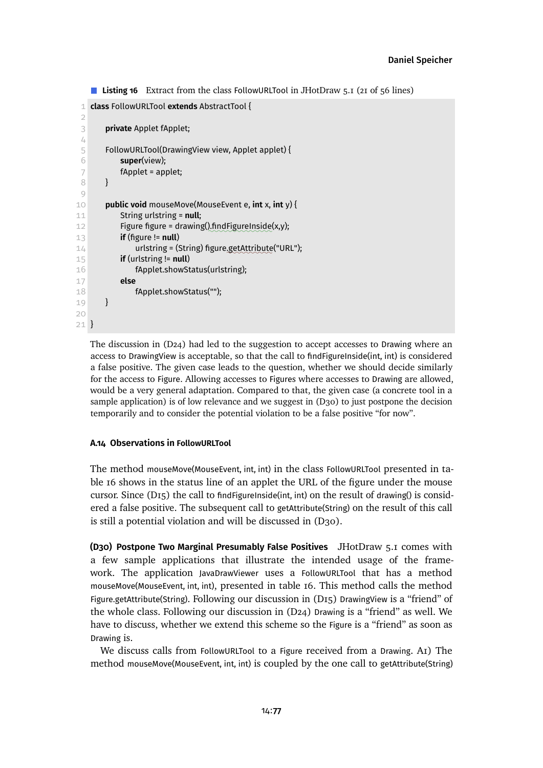```
Listing 16 Extract from the class FollowURLTool in JHotDraw 5.1 (21 of 56 lines)
```

```
1 class FollowURLTool extends AbstractTool {
 \mathcal{D}3 private Applet fApplet;
 4
 5 FollowURLTool(DrawingView view, Applet applet) {
 6 super(view);
 7 fApplet = applet;
 8 }
 9
10 public void mouseMove(MouseEvent e, int x, int y) {
11 String urlstring = null;
12 Figure figure = drawing(),findFigureInside(x,y);
13 if (figure != null)
14 urlstring = (String) figure.getAttribute("URL");
15 if (urlstring != null)
16 fApplet.showStatus(urlstring);
17 else
18 fApplet.showStatus("");
19 }
20
21 }
```
The discussion in  $(D24)$  had led to the suggestion to accept accesses to Drawing where an access to DrawingView is acceptable, so that the call to findFigureInside(int, int) is considered a false positive. The given case leads to the question, whether we should decide similarly for the access to Figure. Allowing accesses to Figures where accesses to Drawing are allowed, would be a very general adaptation. Compared to that, the given case (a concrete tool in a sample application) is of low relevance and we suggestin [\(D30\)](#page-76-0) to just postpone the decision temporarily and to consider the potential violation to be a false positive "for now".

### **A.14 Observations in FollowURLTool**

The method mouseMove(MouseEvent, int, int) in the class FollowURLTool presented in [ta](#page-76-1)[ble 16](#page-76-1) shows in the status line of an applet the URL of the figure under the mouse cursor. Since ( $D_{15}$ ) the call to find FigureInside(int, int) on the result of drawing() is considered a false positive. The subsequent call to getAttribute(String) on the result of this call is still a potential violation and will be discussed in [\(D30\).](#page-76-0)

<span id="page-76-0"></span>**(D30) Postpone Two Marginal Presumably False Positives** JHotDraw 5.1 comes with a few sample applications that illustrate the intended usage of the framework. The application JavaDrawViewer uses a FollowURLTool that has a method mouseMove(MouseEvent, int, int), presented in [table 16.](#page-76-1) This method calls the method Figure.getAttribute(String). Following our discussion in [\(D15\)](#page-56-0) DrawingView is a "friend" of the whole class. Following our discussion in [\(D24\)](#page-68-0) Drawing is a "friend" as well. We have to discuss, whether we extend this scheme so the Figure is a "friend" as soon as Drawing is.

We discuss calls from FollowURLTool to a Figure received from a Drawing. [A1\)](#page-8-0) The method mouseMove(MouseEvent, int, int) is coupled by the one call to getAttribute(String)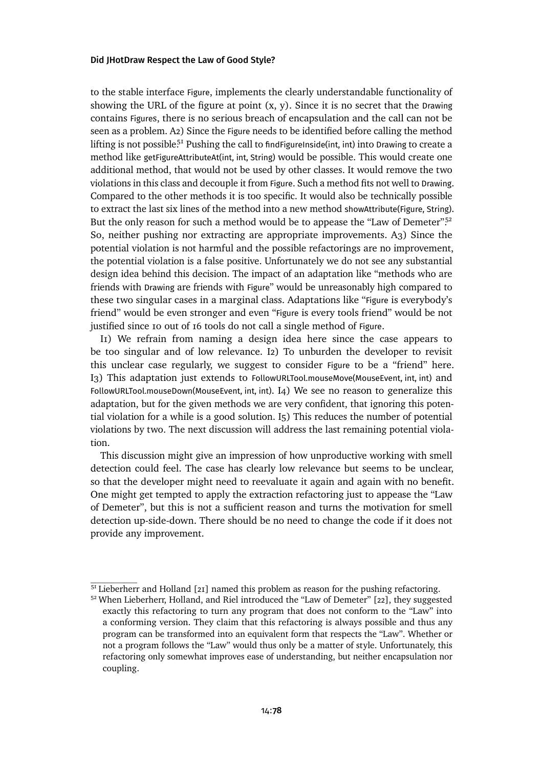to the stable interface Figure, implements the clearly understandable functionality of showing the URL of the figure at point  $(x, y)$ . Since it is no secret that the Drawing contains Figures, there is no serious breach of encapsulation and the call can not be seen as a problem. [A2\)](#page-9-0) Since the Figure needs to be identified before calling the method lifting is not possible<sup>[51](#page-77-0)</sup> Pushing the call to findFigureInside(int, int) into Drawing to create a method like getFigureAttributeAt(int, int, String) would be possible. This would create one additional method, that would not be used by other classes. It would remove the two violations in this class and decouple it from Figure. Such a method fits not well to Drawing. Compared to the other methods it is too specific. It would also be technically possible to extract the last six lines of the method into a new method showAttribute(Figure, String). But the only reason for such a method would be to appease the "Law of Demeter".<sup>[52](#page-77-1)</sup> So, neither pushing nor extracting are appropriate improvements. [A3\)](#page-9-1) Since the potential violation is not harmful and the possible refactorings are no improvement, the potential violation is a false positive. Unfortunately we do not see any substantial design idea behind this decision. The impact of an adaptation like "methods who are friends with Drawing are friends with Figure" would be unreasonably high compared to these two singular cases in a marginal class. Adaptations like "Figure is everybody's friend" would be even stronger and even "Figure is every tools friend" would be not justified since 10 out of 16 tools do not call a single method of Figure.

[I1\)](#page-9-2) We refrain from naming a design idea here since the case appears to be too singular and of low relevance. [I2\)](#page-9-3) To unburden the developer to revisit this unclear case regularly, we suggest to consider Figure to be a "friend" here. [I3\)](#page-9-4) This adaptation just extends to FollowURLTool.mouseMove(MouseEvent, int, int) and FollowURLTool.mouseDown(MouseEvent, int, int). [I4\)](#page-9-5) We see no reason to generalize this adaptation, but for the given methods we are very confident, that ignoring this potential violation for a while is a good solution. [I5\)](#page-9-6) This reduces the number of potential violations by two. The next discussion will address the last remaining potential violation.

This discussion might give an impression of how unproductive working with smell detection could feel. The case has clearly low relevance but seems to be unclear, so that the developer might need to reevaluate it again and again with no benefit. One might get tempted to apply the extraction refactoring just to appease the "Law of Demeter", but this is not a sufficient reason and turns the motivation for smell detection up-side-down. There should be no need to change the code if it does not provide any improvement.

<span id="page-77-0"></span> $51$  Lieberherr and Holland [\[21\]](#page-29-0) named this problem as reason for the pushing refactoring.

<span id="page-77-1"></span><sup>52</sup> When Lieberherr, Holland, and Riel introduced the "Law of Demeter" [\[22\]](#page-29-1), they suggested exactly this refactoring to turn any program that does not conform to the "Law" into a conforming version. They claim that this refactoring is always possible and thus any program can be transformed into an equivalent form that respects the "Law". Whether or not a program follows the "Law" would thus only be a matter of style. Unfortunately, this refactoring only somewhat improves ease of understanding, but neither encapsulation nor coupling.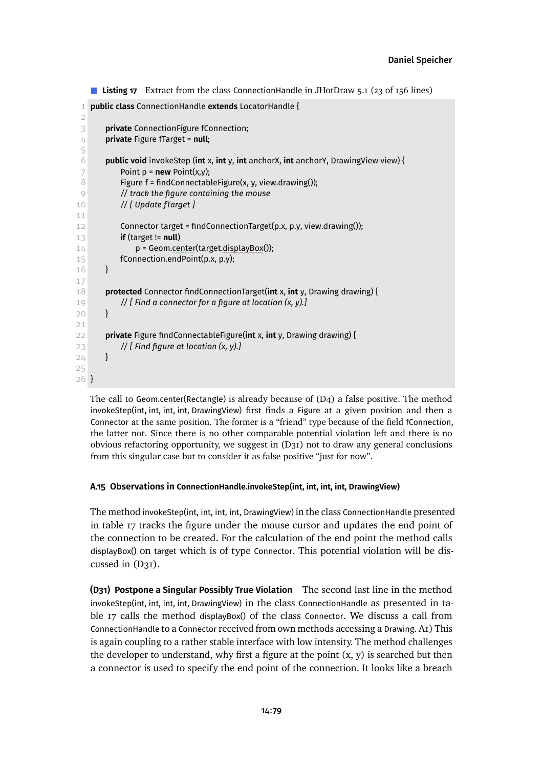```
Listing 17 Extract from the class ConnectionHandle in JHotDraw 5.1 (23 of 156 lines)
 1 public class ConnectionHandle extends LocatorHandle {
 \mathcal{D}3 private ConnectionFigure fConnection;
 4 private Figure fTarget = null;
 5
 6 public void invokeStep (int x, int y, int anchorX, int anchorY, DrawingView view) {
 7 Point p = new Point(x,y);8 Figure f = findConnectableFigure(x, y, view.drawing());
 9 // track the figure containing the mouse
10 // [ Update fTarget ]
11
12 Connector target = findConnectionTarget(p.x, p.y, view.drawing());
13 if (target != null)
14 p = Geom.center(target.displayBox());
15 fConnection.endPoint(p.x, p.y);
16 }
17
18 protected Connector findConnectionTarget(int x, int y, Drawing drawing) {
19 // [ Find a connector for a figure at location (x, y).]
20 }
21
22 private Figure findConnectableFigure(int x, int y, Drawing drawing) {
23 // [ Find figure at location (x, y).]
24 \quad \frac{3}{2}25
26 }
```
The call to Geom.center(Rectangle) is already because of [\(D4\)](#page-38-0) a false positive. The method invokeStep(int, int, int, int, DrawingView) first finds a Figure at a given position and then a Connector at the same position. The former is a "friend" type because of the field fConnection, the latter not. Since there is no other comparable potential violation left and there is no obvious refactoring opportunity, we suggest in [\(D31\)](#page-78-0) not to draw any general conclusions from this singular case but to consider it as false positive "just for now".

# **A.15 Observations in ConnectionHandle.invokeStep(int, int, int, int, DrawingView)**

The method invokeStep(int, int, int, int, DrawingView) in the class ConnectionHandle presented in [table 17](#page-78-1) tracks the figure under the mouse cursor and updates the end point of the connection to be created. For the calculation of the end point the method calls displayBox() on target which is of type Connector. This potential violation will be discussed in  $(D31)$ .

<span id="page-78-0"></span>**(D31) Postpone a Singular Possibly True Violation** The second last line in the method invokeStep(int, int, int, int, DrawingView) in the class ConnectionHandle as presented in [ta](#page-78-1)[ble 17](#page-78-1) calls the method displayBox() of the class Connector. We discuss a call from ConnectionHandle to a Connector received from own methods accessing a Drawing. [A1\)](#page-8-0) This is again coupling to a rather stable interface with low intensity. The method challenges the developer to understand, why first a figure at the point  $(x, y)$  is searched but then a connector is used to specify the end point of the connection. It looks like a breach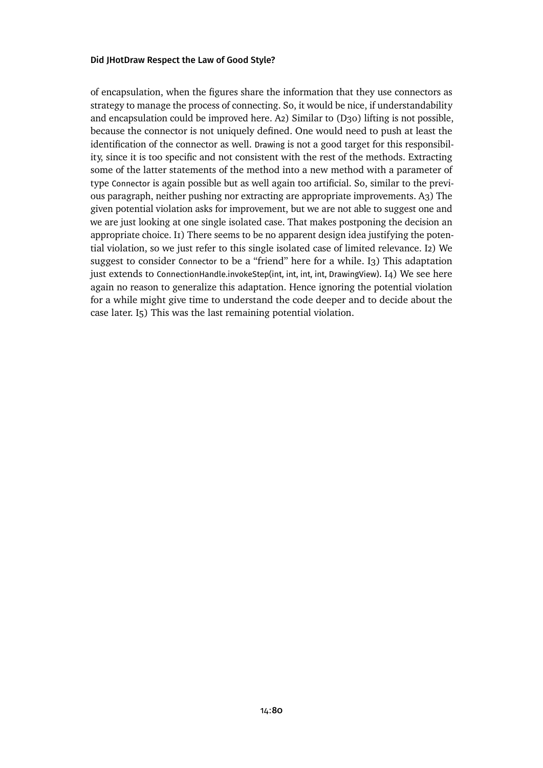of encapsulation, when the figures share the information that they use connectors as strategy to manage the process of connecting. So, it would be nice, if understandability and encapsulation could be improved here. [A2\)](#page-9-0) Similar to [\(D30\)](#page-76-0) lifting is not possible, because the connector is not uniquely defined. One would need to push at least the identification of the connector as well. Drawing is not a good target for this responsibility, since it is too specific and not consistent with the rest of the methods. Extracting some of the latter statements of the method into a new method with a parameter of type Connector is again possible but as well again too artificial. So, similar to the previous paragraph, neither pushing nor extracting are appropriate improvements. [A3\)](#page-9-1) The given potential violation asks for improvement, but we are not able to suggest one and we are just looking at one single isolated case. That makes postponing the decision an appropriate choice. In There seems to be no apparent design idea justifying the potential violation, so we just refer to this single isolated case of limited relevance. [I2\)](#page-9-3) We suggest to consider Connector to be a "friend" here for a while. [I3\)](#page-9-4) This adaptation just extends to ConnectionHandle.invokeStep(int, int, int, int, DrawingView). [I4\)](#page-9-5) We see here again no reason to generalize this adaptation. Hence ignoring the potential violation for a while might give time to understand the code deeper and to decide about the case later. [I5\)](#page-9-6) This was the last remaining potential violation.